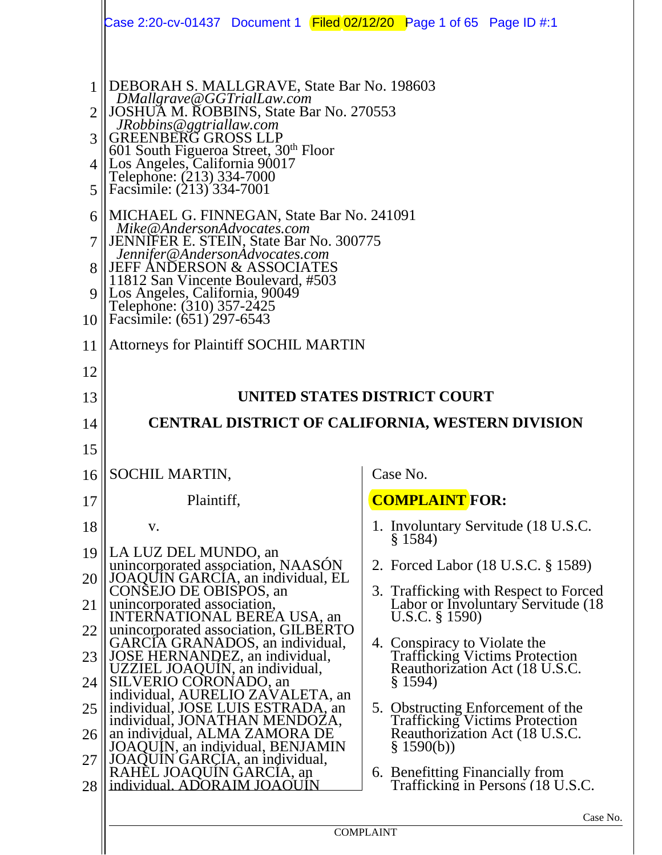|                                               | Case 2:20-cv-01437 Document 1 Filed 02/12/20 Page 1 of 65 Page ID #:1                                                                                                                                                                                                                                                                                                                                                                                                                                                                                                                                                                                                 |                                                                                                                            |
|-----------------------------------------------|-----------------------------------------------------------------------------------------------------------------------------------------------------------------------------------------------------------------------------------------------------------------------------------------------------------------------------------------------------------------------------------------------------------------------------------------------------------------------------------------------------------------------------------------------------------------------------------------------------------------------------------------------------------------------|----------------------------------------------------------------------------------------------------------------------------|
| 2<br>3<br>$\overline{4}$<br>5<br>6<br>9<br>10 | DEBORAH S. MALLGRAVE, State Bar No. 198603<br>DMallgrave@GGTrialLaw.com<br>JOSHUA M. ROBBINS, State Bar No. 270553<br>JRobbins@ggtriallaw.com<br><b>GREENBERG GROSS LLP</b><br>601 South Figueroa Street, 30 <sup>th</sup> Floor<br>Los Angeles, California 90017<br>Telephone: (213) 334-7000<br>Facsimile: (213) 334-7001<br>MICHAEL G. FINNEGAN, State Bar No. 241091<br>Mike@AndersonAdvocates.com<br><b>JENNIFER E. STEIN, State Bar No. 300775</b><br>Jennifer@AndersonAdvocates.com<br><b>JEFF ANDERSON &amp; ASSOCIATES</b><br>11812 San Vincente Boulevard, #503<br>Los Angeles, California, 90049<br>Telephone: (310) 357-2425<br>Facsimile: (651) 297-6543 |                                                                                                                            |
| 11                                            | <b>Attorneys for Plaintiff SOCHIL MARTIN</b>                                                                                                                                                                                                                                                                                                                                                                                                                                                                                                                                                                                                                          |                                                                                                                            |
| 12                                            |                                                                                                                                                                                                                                                                                                                                                                                                                                                                                                                                                                                                                                                                       |                                                                                                                            |
| 13                                            |                                                                                                                                                                                                                                                                                                                                                                                                                                                                                                                                                                                                                                                                       | UNITED STATES DISTRICT COURT                                                                                               |
| 14                                            |                                                                                                                                                                                                                                                                                                                                                                                                                                                                                                                                                                                                                                                                       | <b>CENTRAL DISTRICT OF CALIFORNIA, WESTERN DIVISION</b>                                                                    |
| 15                                            |                                                                                                                                                                                                                                                                                                                                                                                                                                                                                                                                                                                                                                                                       |                                                                                                                            |
| 16                                            | SOCHIL MARTIN,                                                                                                                                                                                                                                                                                                                                                                                                                                                                                                                                                                                                                                                        | Case No.                                                                                                                   |
| 17                                            | Plaintiff,                                                                                                                                                                                                                                                                                                                                                                                                                                                                                                                                                                                                                                                            | <b>COMPLAINT FOR:</b>                                                                                                      |
| 18                                            | V.                                                                                                                                                                                                                                                                                                                                                                                                                                                                                                                                                                                                                                                                    | 1. Involuntary Servitude (18 U.S.C.                                                                                        |
| 19                                            | LA LUZ DEL MUNDO, an                                                                                                                                                                                                                                                                                                                                                                                                                                                                                                                                                                                                                                                  | § 1584                                                                                                                     |
| 20                                            | unincorporated association, NAASON<br>JOAQUIN GARCIA, an individual, EL                                                                                                                                                                                                                                                                                                                                                                                                                                                                                                                                                                                               | 2. Forced Labor (18 U.S.C. § 1589)                                                                                         |
| 21                                            | CONSEJO DE OBISPOS, an<br>unincorporated association,<br>INTERNATIONAL BEREA USA, an                                                                                                                                                                                                                                                                                                                                                                                                                                                                                                                                                                                  | 3. Trafficking with Respect to Forced<br>Labor or Involuntary Servitude (18)<br>U.S.C. $\S$ 1590)                          |
| 22                                            | unincorporated association, GILBERTO<br>GARCIA GRANADOS, an individual,                                                                                                                                                                                                                                                                                                                                                                                                                                                                                                                                                                                               | 4. Conspiracy to Violate the                                                                                               |
| 23                                            | JOSE HERNANDEZ, an individual,<br>UZZIEL JOAQUIN, an individual,                                                                                                                                                                                                                                                                                                                                                                                                                                                                                                                                                                                                      | <b>Trafficking Victims Protection</b><br>Reauthorization Act (18 U.S.C.                                                    |
| 24                                            | SILVERIO CORONADO, an<br>individual, AURELIO ZAVALETA, an                                                                                                                                                                                                                                                                                                                                                                                                                                                                                                                                                                                                             | § 1594)                                                                                                                    |
| 25<br>26                                      | individual, JOSE LUIS ESTRADA, an<br>individual, JONATHAN MENDOZA,<br>an individual, ALMA ZAMORA DE<br>JOAQUIN, an individual, BENJAMIN                                                                                                                                                                                                                                                                                                                                                                                                                                                                                                                               | 5. Obstructing Enforcement of the<br><b>Trafficking Victims Protection</b><br>Reauthorization Act (18 U.S.C.<br>\$1590(b)) |
| 27<br>28                                      | JOAQUIN GARÇIA, an individual,<br>RAHEL JOAQUIN GARCIA, an<br>individual. ADORAIM JOAOUIN                                                                                                                                                                                                                                                                                                                                                                                                                                                                                                                                                                             | 6. Benefitting Financially from<br>Trafficking in Persons (18 U.S.C.                                                       |
|                                               |                                                                                                                                                                                                                                                                                                                                                                                                                                                                                                                                                                                                                                                                       |                                                                                                                            |
|                                               |                                                                                                                                                                                                                                                                                                                                                                                                                                                                                                                                                                                                                                                                       | Case 1<br><b>COMPLAINT</b>                                                                                                 |
|                                               |                                                                                                                                                                                                                                                                                                                                                                                                                                                                                                                                                                                                                                                                       |                                                                                                                            |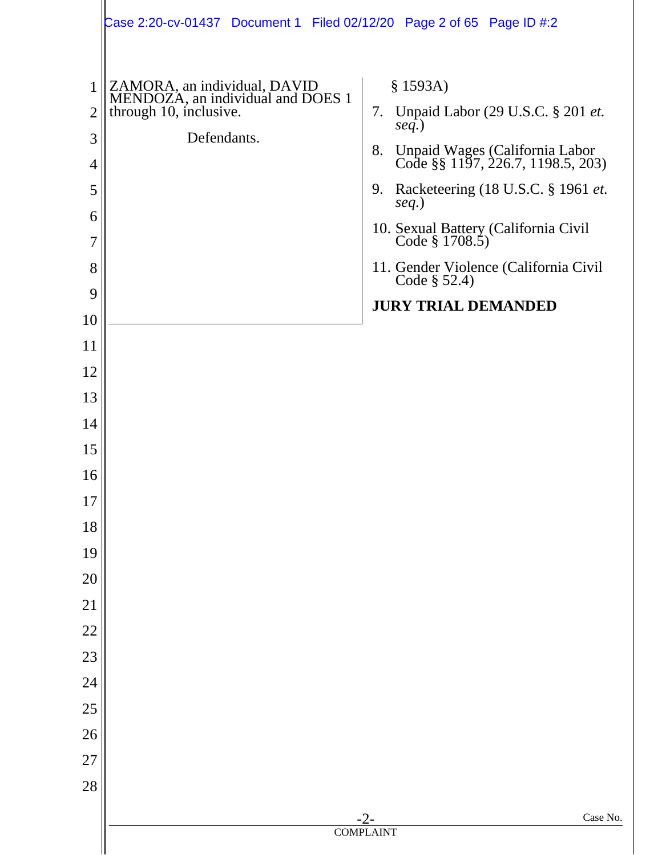|                                                                     | Case 2:20-cv-01437 Document 1 Filed 02/12/20 Page 2 of 65 Page ID #:2                                      |                                                                                                                                                                                                                                                                                                                      |
|---------------------------------------------------------------------|------------------------------------------------------------------------------------------------------------|----------------------------------------------------------------------------------------------------------------------------------------------------------------------------------------------------------------------------------------------------------------------------------------------------------------------|
| 1<br>$\overline{2}$<br>3<br>$\overline{4}$<br>5<br>6<br>7<br>8<br>9 | ZAMORA, an individual, DAVID<br>MENDOZA, an individual and DOES 1<br>through 10, inclusive.<br>Defendants. | \$1593A)<br>Unpaid Labor (29 U.S.C. § 201 et.<br>7.<br>$seq.$ )<br>Unpaid Wages (California Labor<br>Code §§ 1197, 226.7, 1198.5, 203)<br>8.<br>9. Racketeering (18 U.S.C. § 1961 et.<br>$seq.$ )<br>10. Sexual Battery (California Civil<br>Code § 1708.5)<br>11. Gender Violence (California Civil<br>Code § 52.4) |
| 10                                                                  |                                                                                                            | <b>JURY TRIAL DEMANDED</b>                                                                                                                                                                                                                                                                                           |
| 11                                                                  |                                                                                                            |                                                                                                                                                                                                                                                                                                                      |
| 12                                                                  |                                                                                                            |                                                                                                                                                                                                                                                                                                                      |
| 13                                                                  |                                                                                                            |                                                                                                                                                                                                                                                                                                                      |
| 14                                                                  |                                                                                                            |                                                                                                                                                                                                                                                                                                                      |
| 15                                                                  |                                                                                                            |                                                                                                                                                                                                                                                                                                                      |
| 16                                                                  |                                                                                                            |                                                                                                                                                                                                                                                                                                                      |
| 17                                                                  |                                                                                                            |                                                                                                                                                                                                                                                                                                                      |
| 18                                                                  |                                                                                                            |                                                                                                                                                                                                                                                                                                                      |
| 19                                                                  |                                                                                                            |                                                                                                                                                                                                                                                                                                                      |
| 20                                                                  |                                                                                                            |                                                                                                                                                                                                                                                                                                                      |
| 21                                                                  |                                                                                                            |                                                                                                                                                                                                                                                                                                                      |
| 22                                                                  |                                                                                                            |                                                                                                                                                                                                                                                                                                                      |
| 23                                                                  |                                                                                                            |                                                                                                                                                                                                                                                                                                                      |
| 24                                                                  |                                                                                                            |                                                                                                                                                                                                                                                                                                                      |
| 25                                                                  |                                                                                                            |                                                                                                                                                                                                                                                                                                                      |
| 26                                                                  |                                                                                                            |                                                                                                                                                                                                                                                                                                                      |
| 27                                                                  |                                                                                                            |                                                                                                                                                                                                                                                                                                                      |
| 28                                                                  |                                                                                                            |                                                                                                                                                                                                                                                                                                                      |
|                                                                     |                                                                                                            | Case No.<br>$-2-$                                                                                                                                                                                                                                                                                                    |
|                                                                     |                                                                                                            | <b>COMPLAINT</b>                                                                                                                                                                                                                                                                                                     |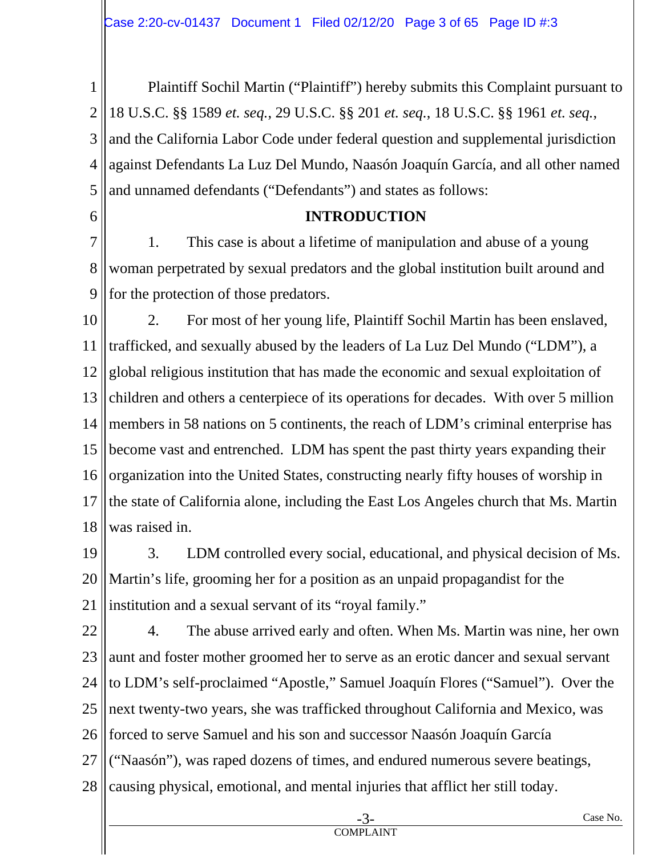1 2 3 4 5 Plaintiff Sochil Martin ("Plaintiff") hereby submits this Complaint pursuant to 18 U.S.C. §§ 1589 *et. seq.*, 29 U.S.C. §§ 201 *et. seq.*, 18 U.S.C. §§ 1961 *et. seq.*, and the California Labor Code under federal question and supplemental jurisdiction against Defendants La Luz Del Mundo, Naasón Joaquín García, and all other named and unnamed defendants ("Defendants") and states as follows:

6

## **INTRODUCTION**

7 8 9 1. This case is about a lifetime of manipulation and abuse of a young woman perpetrated by sexual predators and the global institution built around and for the protection of those predators.

10 11 12 13 14 15 16 17 18 2. For most of her young life, Plaintiff Sochil Martin has been enslaved, trafficked, and sexually abused by the leaders of La Luz Del Mundo ("LDM"), a global religious institution that has made the economic and sexual exploitation of children and others a centerpiece of its operations for decades. With over 5 million members in 58 nations on 5 continents, the reach of LDM's criminal enterprise has become vast and entrenched. LDM has spent the past thirty years expanding their organization into the United States, constructing nearly fifty houses of worship in the state of California alone, including the East Los Angeles church that Ms. Martin was raised in.

19 20 21 3. LDM controlled every social, educational, and physical decision of Ms. Martin's life, grooming her for a position as an unpaid propagandist for the institution and a sexual servant of its "royal family."

22 23 24 25 26 27 28 4. The abuse arrived early and often. When Ms. Martin was nine, her own aunt and foster mother groomed her to serve as an erotic dancer and sexual servant to LDM's self-proclaimed "Apostle," Samuel Joaquín Flores ("Samuel"). Over the next twenty-two years, she was trafficked throughout California and Mexico, was forced to serve Samuel and his son and successor Naasón Joaquín García ("Naasón"), was raped dozens of times, and endured numerous severe beatings, causing physical, emotional, and mental injuries that afflict her still today.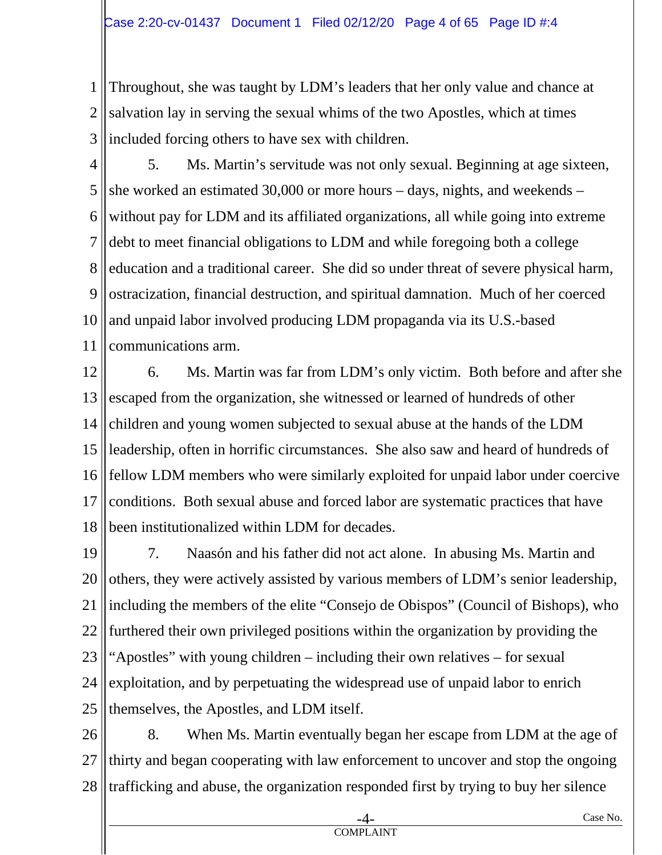1 2 3 Throughout, she was taught by LDM's leaders that her only value and chance at salvation lay in serving the sexual whims of the two Apostles, which at times included forcing others to have sex with children.

- 4 5 6 7 8 9 10 11 5. Ms. Martin's servitude was not only sexual. Beginning at age sixteen, she worked an estimated 30,000 or more hours – days, nights, and weekends – without pay for LDM and its affiliated organizations, all while going into extreme debt to meet financial obligations to LDM and while foregoing both a college education and a traditional career. She did so under threat of severe physical harm, ostracization, financial destruction, and spiritual damnation. Much of her coerced and unpaid labor involved producing LDM propaganda via its U.S.-based communications arm.
- 12 13 14 15 16 17 18 6. Ms. Martin was far from LDM's only victim. Both before and after she escaped from the organization, she witnessed or learned of hundreds of other children and young women subjected to sexual abuse at the hands of the LDM leadership, often in horrific circumstances. She also saw and heard of hundreds of fellow LDM members who were similarly exploited for unpaid labor under coercive conditions. Both sexual abuse and forced labor are systematic practices that have been institutionalized within LDM for decades.
- 19 20 21 22 23 24 25 7. Naasón and his father did not act alone. In abusing Ms. Martin and others, they were actively assisted by various members of LDM's senior leadership, including the members of the elite "Consejo de Obispos" (Council of Bishops), who furthered their own privileged positions within the organization by providing the "Apostles" with young children – including their own relatives – for sexual exploitation, and by perpetuating the widespread use of unpaid labor to enrich themselves, the Apostles, and LDM itself.
- 26 27 28 8. When Ms. Martin eventually began her escape from LDM at the age of thirty and began cooperating with law enforcement to uncover and stop the ongoing trafficking and abuse, the organization responded first by trying to buy her silence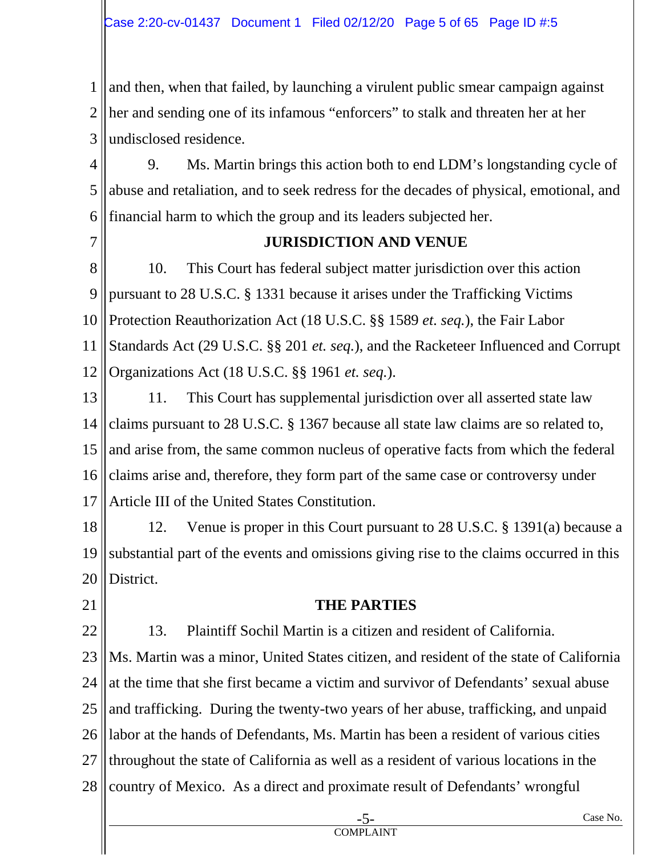1 2 3 and then, when that failed, by launching a virulent public smear campaign against her and sending one of its infamous "enforcers" to stalk and threaten her at her undisclosed residence.

4 5 6 9. Ms. Martin brings this action both to end LDM's longstanding cycle of abuse and retaliation, and to seek redress for the decades of physical, emotional, and financial harm to which the group and its leaders subjected her.

7

#### **JURISDICTION AND VENUE**

8 9 10 11 12 10. This Court has federal subject matter jurisdiction over this action pursuant to 28 U.S.C. § 1331 because it arises under the Trafficking Victims Protection Reauthorization Act (18 U.S.C. §§ 1589 *et. seq.*), the Fair Labor Standards Act (29 U.S.C. §§ 201 *et. seq.*), and the Racketeer Influenced and Corrupt Organizations Act (18 U.S.C. §§ 1961 *et. seq.*).

13 14 15 16 17 11. This Court has supplemental jurisdiction over all asserted state law claims pursuant to 28 U.S.C. § 1367 because all state law claims are so related to, and arise from, the same common nucleus of operative facts from which the federal claims arise and, therefore, they form part of the same case or controversy under Article III of the United States Constitution.

18 19 20 12. Venue is proper in this Court pursuant to 28 U.S.C. § 1391(a) because a substantial part of the events and omissions giving rise to the claims occurred in this District.

21

22

#### **THE PARTIES**

13. Plaintiff Sochil Martin is a citizen and resident of California.

23 24 25 26 27 28 Ms. Martin was a minor, United States citizen, and resident of the state of California at the time that she first became a victim and survivor of Defendants' sexual abuse and trafficking. During the twenty-two years of her abuse, trafficking, and unpaid labor at the hands of Defendants, Ms. Martin has been a resident of various cities throughout the state of California as well as a resident of various locations in the country of Mexico. As a direct and proximate result of Defendants' wrongful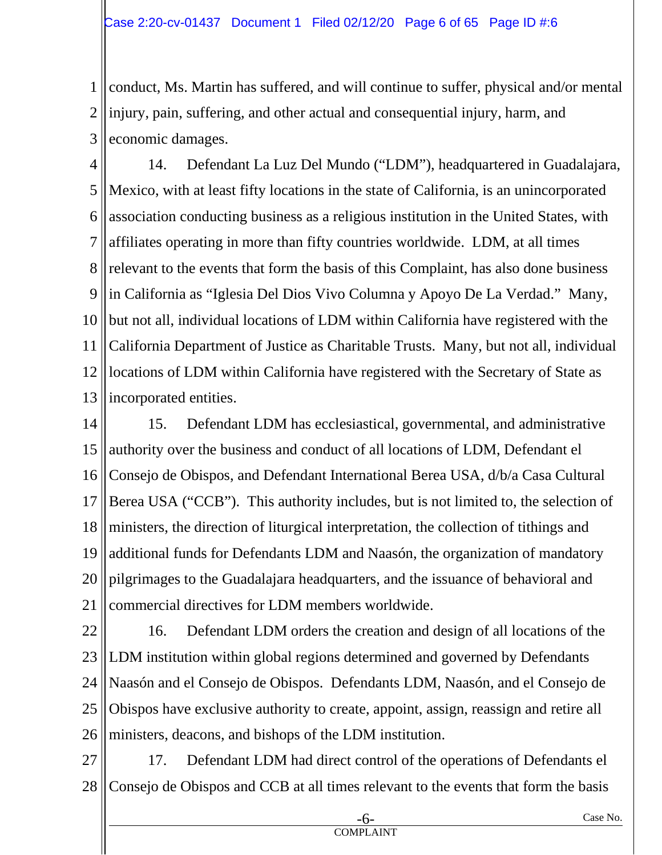1 2 3 conduct, Ms. Martin has suffered, and will continue to suffer, physical and/or mental injury, pain, suffering, and other actual and consequential injury, harm, and economic damages.

4 5 6 7 8 9 10 11 12 13 14. Defendant La Luz Del Mundo ("LDM"), headquartered in Guadalajara, Mexico, with at least fifty locations in the state of California, is an unincorporated association conducting business as a religious institution in the United States, with affiliates operating in more than fifty countries worldwide. LDM, at all times relevant to the events that form the basis of this Complaint, has also done business in California as "Iglesia Del Dios Vivo Columna y Apoyo De La Verdad." Many, but not all, individual locations of LDM within California have registered with the California Department of Justice as Charitable Trusts. Many, but not all, individual locations of LDM within California have registered with the Secretary of State as incorporated entities.

14 15 16 17 18 19 20 21 15. Defendant LDM has ecclesiastical, governmental, and administrative authority over the business and conduct of all locations of LDM, Defendant el Consejo de Obispos, and Defendant International Berea USA, d/b/a Casa Cultural Berea USA ("CCB"). This authority includes, but is not limited to, the selection of ministers, the direction of liturgical interpretation, the collection of tithings and additional funds for Defendants LDM and Naasón, the organization of mandatory pilgrimages to the Guadalajara headquarters, and the issuance of behavioral and commercial directives for LDM members worldwide.

22 23 24 25 26 16. Defendant LDM orders the creation and design of all locations of the LDM institution within global regions determined and governed by Defendants Naasón and el Consejo de Obispos. Defendants LDM, Naasón, and el Consejo de Obispos have exclusive authority to create, appoint, assign, reassign and retire all ministers, deacons, and bishops of the LDM institution.

27 28 17. Defendant LDM had direct control of the operations of Defendants el Consejo de Obispos and CCB at all times relevant to the events that form the basis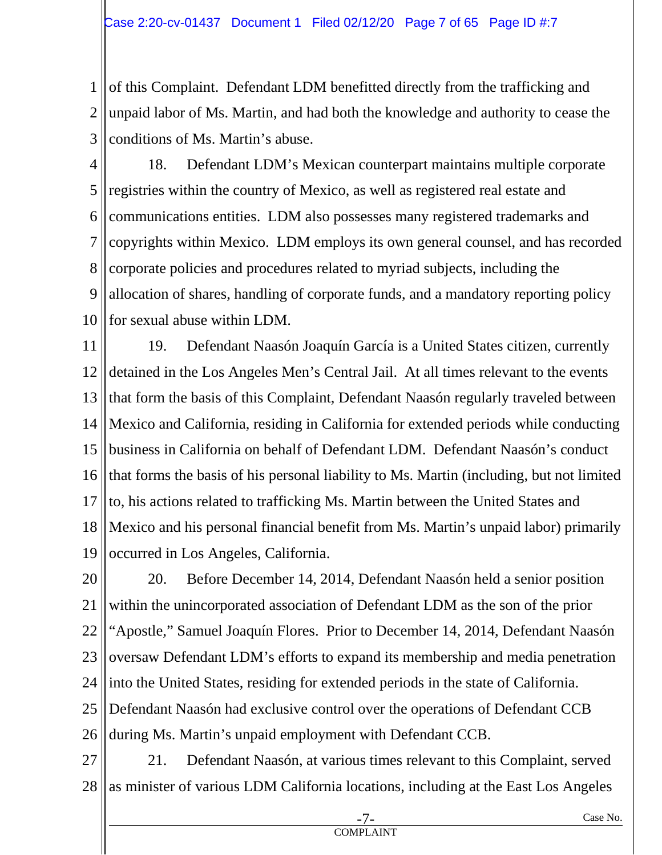1 2 3 of this Complaint. Defendant LDM benefitted directly from the trafficking and unpaid labor of Ms. Martin, and had both the knowledge and authority to cease the conditions of Ms. Martin's abuse.

4 5 6 7 8 9 10 18. Defendant LDM's Mexican counterpart maintains multiple corporate registries within the country of Mexico, as well as registered real estate and communications entities. LDM also possesses many registered trademarks and copyrights within Mexico. LDM employs its own general counsel, and has recorded corporate policies and procedures related to myriad subjects, including the allocation of shares, handling of corporate funds, and a mandatory reporting policy for sexual abuse within LDM.

11 12 13 14 15 16 17 18 19 19. Defendant Naasón Joaquín García is a United States citizen, currently detained in the Los Angeles Men's Central Jail. At all times relevant to the events that form the basis of this Complaint, Defendant Naasón regularly traveled between Mexico and California, residing in California for extended periods while conducting business in California on behalf of Defendant LDM. Defendant Naasón's conduct that forms the basis of his personal liability to Ms. Martin (including, but not limited to, his actions related to trafficking Ms. Martin between the United States and Mexico and his personal financial benefit from Ms. Martin's unpaid labor) primarily occurred in Los Angeles, California.

20 21 22 23 24 25 26 20. Before December 14, 2014, Defendant Naasón held a senior position within the unincorporated association of Defendant LDM as the son of the prior "Apostle," Samuel Joaquín Flores. Prior to December 14, 2014, Defendant Naasón oversaw Defendant LDM's efforts to expand its membership and media penetration into the United States, residing for extended periods in the state of California. Defendant Naasón had exclusive control over the operations of Defendant CCB during Ms. Martin's unpaid employment with Defendant CCB.

27 28 21. Defendant Naasón, at various times relevant to this Complaint, served as minister of various LDM California locations, including at the East Los Angeles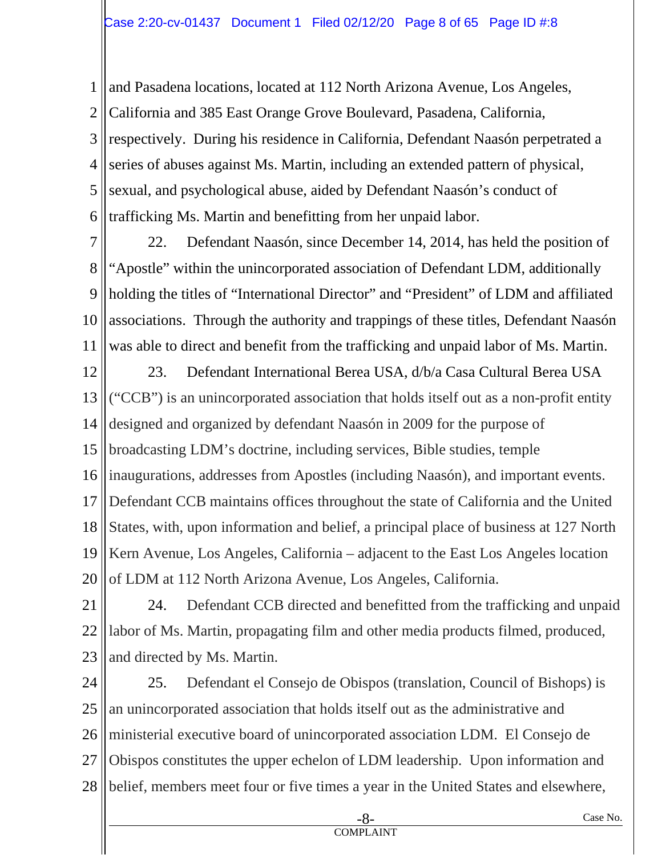1 2 3 4 5 6 and Pasadena locations, located at 112 North Arizona Avenue, Los Angeles, California and 385 East Orange Grove Boulevard, Pasadena, California, respectively. During his residence in California, Defendant Naasón perpetrated a series of abuses against Ms. Martin, including an extended pattern of physical, sexual, and psychological abuse, aided by Defendant Naasón's conduct of trafficking Ms. Martin and benefitting from her unpaid labor.

7 8 9 10 11 22. Defendant Naasón, since December 14, 2014, has held the position of "Apostle" within the unincorporated association of Defendant LDM, additionally holding the titles of "International Director" and "President" of LDM and affiliated associations. Through the authority and trappings of these titles, Defendant Naasón was able to direct and benefit from the trafficking and unpaid labor of Ms. Martin.

12 13 14 15 16 17 18 19 20 23. Defendant International Berea USA, d/b/a Casa Cultural Berea USA ("CCB") is an unincorporated association that holds itself out as a non-profit entity designed and organized by defendant Naasón in 2009 for the purpose of broadcasting LDM's doctrine, including services, Bible studies, temple inaugurations, addresses from Apostles (including Naasón), and important events. Defendant CCB maintains offices throughout the state of California and the United States, with, upon information and belief, a principal place of business at 127 North Kern Avenue, Los Angeles, California – adjacent to the East Los Angeles location of LDM at 112 North Arizona Avenue, Los Angeles, California.

21 22 23 24. Defendant CCB directed and benefitted from the trafficking and unpaid labor of Ms. Martin, propagating film and other media products filmed, produced, and directed by Ms. Martin.

24 25 26 27 28 25. Defendant el Consejo de Obispos (translation, Council of Bishops) is an unincorporated association that holds itself out as the administrative and ministerial executive board of unincorporated association LDM. El Consejo de Obispos constitutes the upper echelon of LDM leadership. Upon information and belief, members meet four or five times a year in the United States and elsewhere,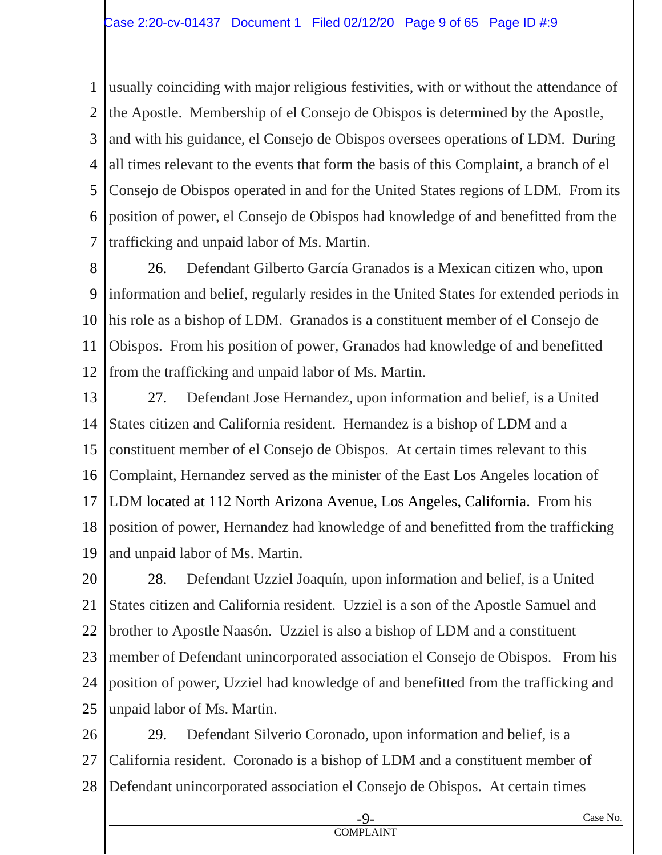1 2 3 4 5 6 7 usually coinciding with major religious festivities, with or without the attendance of the Apostle. Membership of el Consejo de Obispos is determined by the Apostle, and with his guidance, el Consejo de Obispos oversees operations of LDM. During all times relevant to the events that form the basis of this Complaint, a branch of el Consejo de Obispos operated in and for the United States regions of LDM. From its position of power, el Consejo de Obispos had knowledge of and benefitted from the trafficking and unpaid labor of Ms. Martin.

8 9 10 11 12 26. Defendant Gilberto García Granados is a Mexican citizen who, upon information and belief, regularly resides in the United States for extended periods in his role as a bishop of LDM. Granados is a constituent member of el Consejo de Obispos. From his position of power, Granados had knowledge of and benefitted from the trafficking and unpaid labor of Ms. Martin.

13 14 15 16 17 18 19 27. Defendant Jose Hernandez, upon information and belief, is a United States citizen and California resident. Hernandez is a bishop of LDM and a constituent member of el Consejo de Obispos. At certain times relevant to this Complaint, Hernandez served as the minister of the East Los Angeles location of LDM located at 112 North Arizona Avenue, Los Angeles, California. From his position of power, Hernandez had knowledge of and benefitted from the trafficking and unpaid labor of Ms. Martin.

20 21 22 23 24 25 28. Defendant Uzziel Joaquín, upon information and belief, is a United States citizen and California resident. Uzziel is a son of the Apostle Samuel and brother to Apostle Naasón. Uzziel is also a bishop of LDM and a constituent member of Defendant unincorporated association el Consejo de Obispos. From his position of power, Uzziel had knowledge of and benefitted from the trafficking and unpaid labor of Ms. Martin.

26 27 28 29. Defendant Silverio Coronado, upon information and belief, is a California resident. Coronado is a bishop of LDM and a constituent member of Defendant unincorporated association el Consejo de Obispos. At certain times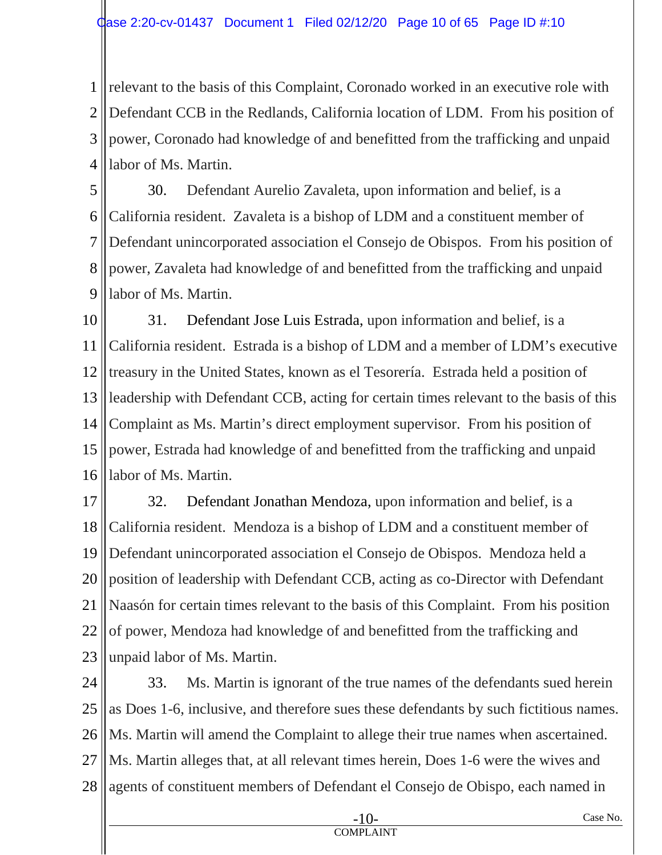1 2 3 4 relevant to the basis of this Complaint, Coronado worked in an executive role with Defendant CCB in the Redlands, California location of LDM. From his position of power, Coronado had knowledge of and benefitted from the trafficking and unpaid labor of Ms. Martin.

5 6 7 8 9 30. Defendant Aurelio Zavaleta, upon information and belief, is a California resident. Zavaleta is a bishop of LDM and a constituent member of Defendant unincorporated association el Consejo de Obispos. From his position of power, Zavaleta had knowledge of and benefitted from the trafficking and unpaid labor of Ms. Martin.

10 11 12 13 14 15 16 31. Defendant Jose Luis Estrada, upon information and belief, is a California resident. Estrada is a bishop of LDM and a member of LDM's executive treasury in the United States, known as el Tesorería. Estrada held a position of leadership with Defendant CCB, acting for certain times relevant to the basis of this Complaint as Ms. Martin's direct employment supervisor. From his position of power, Estrada had knowledge of and benefitted from the trafficking and unpaid labor of Ms. Martin.

17 18 19 20 21 22 23 32. Defendant Jonathan Mendoza, upon information and belief, is a California resident. Mendoza is a bishop of LDM and a constituent member of Defendant unincorporated association el Consejo de Obispos. Mendoza held a position of leadership with Defendant CCB, acting as co-Director with Defendant Naasón for certain times relevant to the basis of this Complaint. From his position of power, Mendoza had knowledge of and benefitted from the trafficking and unpaid labor of Ms. Martin.

24 25 26 27 28 33. Ms. Martin is ignorant of the true names of the defendants sued herein as Does 1-6, inclusive, and therefore sues these defendants by such fictitious names. Ms. Martin will amend the Complaint to allege their true names when ascertained. Ms. Martin alleges that, at all relevant times herein, Does 1-6 were the wives and agents of constituent members of Defendant el Consejo de Obispo, each named in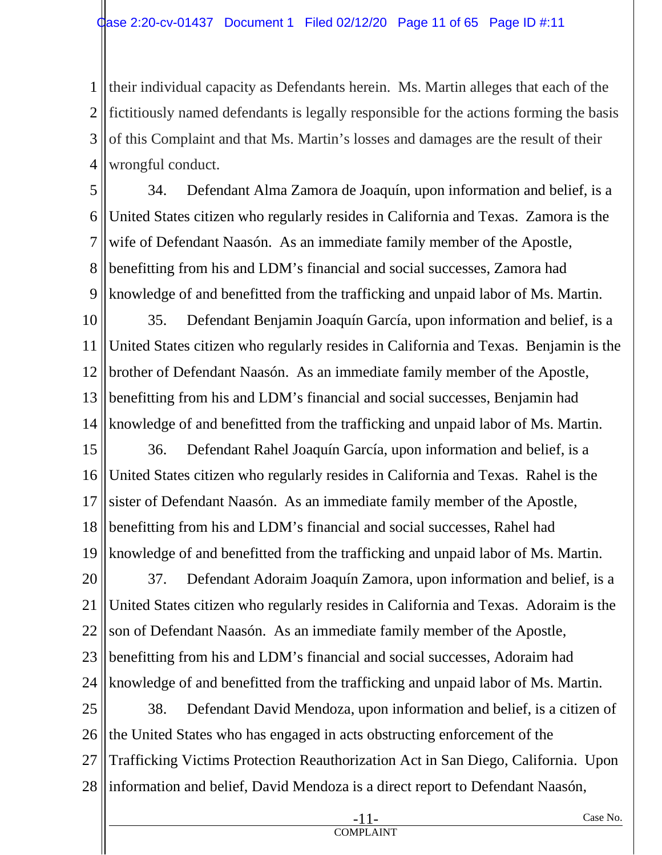1 2 3 4 their individual capacity as Defendants herein. Ms. Martin alleges that each of the fictitiously named defendants is legally responsible for the actions forming the basis of this Complaint and that Ms. Martin's losses and damages are the result of their wrongful conduct.

5 6 7 8 9 34. Defendant Alma Zamora de Joaquín, upon information and belief, is a United States citizen who regularly resides in California and Texas. Zamora is the wife of Defendant Naasón. As an immediate family member of the Apostle, benefitting from his and LDM's financial and social successes, Zamora had knowledge of and benefitted from the trafficking and unpaid labor of Ms. Martin.

10 11 12 13 14 35. Defendant Benjamin Joaquín García, upon information and belief, is a United States citizen who regularly resides in California and Texas. Benjamin is the brother of Defendant Naasón. As an immediate family member of the Apostle, benefitting from his and LDM's financial and social successes, Benjamin had knowledge of and benefitted from the trafficking and unpaid labor of Ms. Martin.

15 16 17 18 19 36. Defendant Rahel Joaquín García, upon information and belief, is a United States citizen who regularly resides in California and Texas. Rahel is the sister of Defendant Naasón. As an immediate family member of the Apostle, benefitting from his and LDM's financial and social successes, Rahel had knowledge of and benefitted from the trafficking and unpaid labor of Ms. Martin.

20 21 22 23 24 37. Defendant Adoraim Joaquín Zamora, upon information and belief, is a United States citizen who regularly resides in California and Texas. Adoraim is the son of Defendant Naasón. As an immediate family member of the Apostle, benefitting from his and LDM's financial and social successes, Adoraim had knowledge of and benefitted from the trafficking and unpaid labor of Ms. Martin.

25 26 27 28 38. Defendant David Mendoza, upon information and belief, is a citizen of the United States who has engaged in acts obstructing enforcement of the Trafficking Victims Protection Reauthorization Act in San Diego, California. Upon information and belief, David Mendoza is a direct report to Defendant Naasón,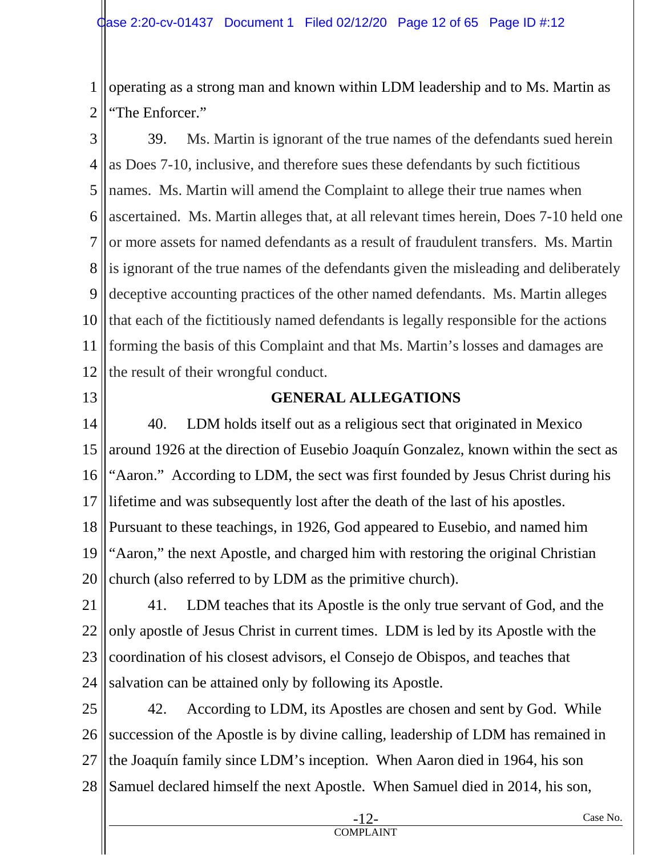1 2 operating as a strong man and known within LDM leadership and to Ms. Martin as "The Enforcer."

3 4 5 6 7 8 9 10 11 12 39. Ms. Martin is ignorant of the true names of the defendants sued herein as Does 7-10, inclusive, and therefore sues these defendants by such fictitious names. Ms. Martin will amend the Complaint to allege their true names when ascertained. Ms. Martin alleges that, at all relevant times herein, Does 7-10 held one or more assets for named defendants as a result of fraudulent transfers. Ms. Martin is ignorant of the true names of the defendants given the misleading and deliberately deceptive accounting practices of the other named defendants. Ms. Martin alleges that each of the fictitiously named defendants is legally responsible for the actions forming the basis of this Complaint and that Ms. Martin's losses and damages are the result of their wrongful conduct.

13

# **GENERAL ALLEGATIONS**

14 15 16 17 18 19 20 40. LDM holds itself out as a religious sect that originated in Mexico around 1926 at the direction of Eusebio Joaquín Gonzalez, known within the sect as "Aaron." According to LDM, the sect was first founded by Jesus Christ during his lifetime and was subsequently lost after the death of the last of his apostles. Pursuant to these teachings, in 1926, God appeared to Eusebio, and named him "Aaron," the next Apostle, and charged him with restoring the original Christian church (also referred to by LDM as the primitive church).

21 22 23 24 41. LDM teaches that its Apostle is the only true servant of God, and the only apostle of Jesus Christ in current times. LDM is led by its Apostle with the coordination of his closest advisors, el Consejo de Obispos, and teaches that salvation can be attained only by following its Apostle.

25 26 27 28 42. According to LDM, its Apostles are chosen and sent by God. While succession of the Apostle is by divine calling, leadership of LDM has remained in the Joaquín family since LDM's inception. When Aaron died in 1964, his son Samuel declared himself the next Apostle. When Samuel died in 2014, his son,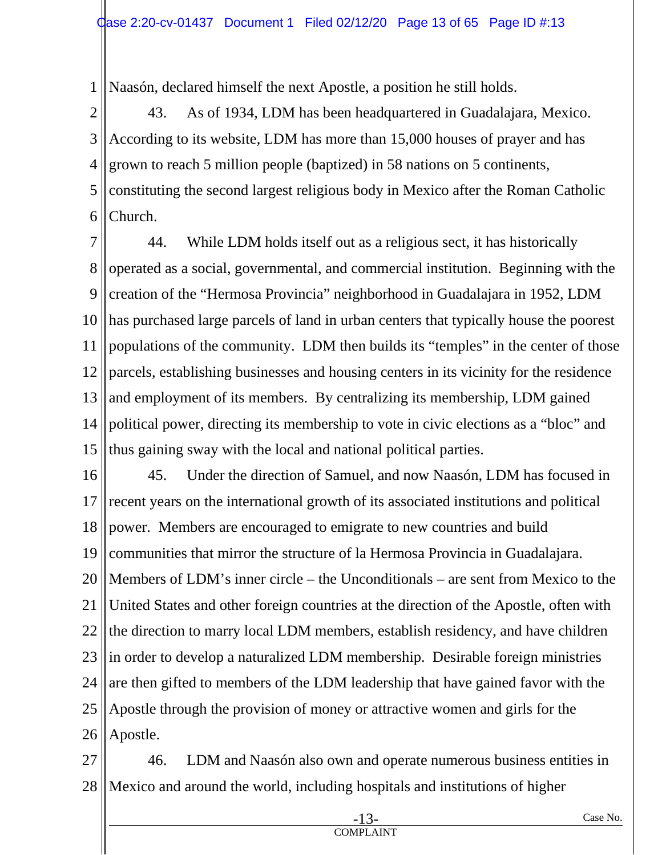1 Naasón, declared himself the next Apostle, a position he still holds.

2 3 4 5 6 43. As of 1934, LDM has been headquartered in Guadalajara, Mexico. According to its website, LDM has more than 15,000 houses of prayer and has grown to reach 5 million people (baptized) in 58 nations on 5 continents, constituting the second largest religious body in Mexico after the Roman Catholic Church.

7 8 9 10 11 12 13 14 15 44. While LDM holds itself out as a religious sect, it has historically operated as a social, governmental, and commercial institution. Beginning with the creation of the "Hermosa Provincia" neighborhood in Guadalajara in 1952, LDM has purchased large parcels of land in urban centers that typically house the poorest populations of the community. LDM then builds its "temples" in the center of those parcels, establishing businesses and housing centers in its vicinity for the residence and employment of its members. By centralizing its membership, LDM gained political power, directing its membership to vote in civic elections as a "bloc" and thus gaining sway with the local and national political parties.

16 17 18 19 20 21 22 23 24 25 26 45. Under the direction of Samuel, and now Naasón, LDM has focused in recent years on the international growth of its associated institutions and political power. Members are encouraged to emigrate to new countries and build communities that mirror the structure of la Hermosa Provincia in Guadalajara. Members of LDM's inner circle – the Unconditionals – are sent from Mexico to the United States and other foreign countries at the direction of the Apostle, often with the direction to marry local LDM members, establish residency, and have children in order to develop a naturalized LDM membership. Desirable foreign ministries are then gifted to members of the LDM leadership that have gained favor with the Apostle through the provision of money or attractive women and girls for the Apostle.

27 28 46. LDM and Naasón also own and operate numerous business entities in Mexico and around the world, including hospitals and institutions of higher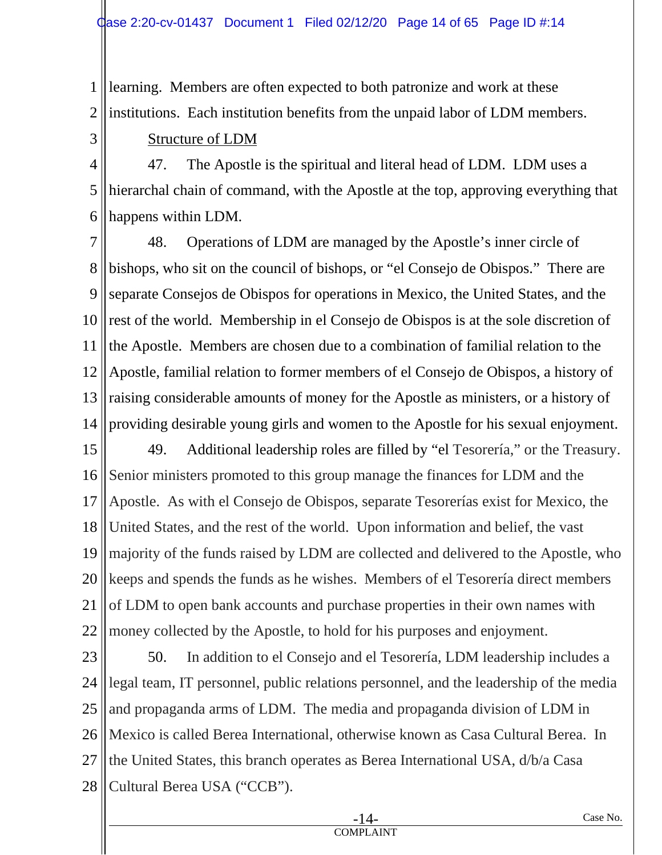1 2 learning. Members are often expected to both patronize and work at these institutions. Each institution benefits from the unpaid labor of LDM members.

3

Structure of LDM

4 5 6 47. The Apostle is the spiritual and literal head of LDM. LDM uses a hierarchal chain of command, with the Apostle at the top, approving everything that happens within LDM.

7 8 9 10 11 12 13 14 48. Operations of LDM are managed by the Apostle's inner circle of bishops, who sit on the council of bishops, or "el Consejo de Obispos." There are separate Consejos de Obispos for operations in Mexico, the United States, and the rest of the world. Membership in el Consejo de Obispos is at the sole discretion of the Apostle. Members are chosen due to a combination of familial relation to the Apostle, familial relation to former members of el Consejo de Obispos, a history of raising considerable amounts of money for the Apostle as ministers, or a history of providing desirable young girls and women to the Apostle for his sexual enjoyment.

15 16 17 18 19 20 21 22 49. Additional leadership roles are filled by "el Tesorería," or the Treasury. Senior ministers promoted to this group manage the finances for LDM and the Apostle. As with el Consejo de Obispos, separate Tesorerías exist for Mexico, the United States, and the rest of the world. Upon information and belief, the vast majority of the funds raised by LDM are collected and delivered to the Apostle, who keeps and spends the funds as he wishes. Members of el Tesorería direct members of LDM to open bank accounts and purchase properties in their own names with money collected by the Apostle, to hold for his purposes and enjoyment.

23 24 25 26 27 28 50. In addition to el Consejo and el Tesorería, LDM leadership includes a legal team, IT personnel, public relations personnel, and the leadership of the media and propaganda arms of LDM. The media and propaganda division of LDM in Mexico is called Berea International, otherwise known as Casa Cultural Berea. In the United States, this branch operates as Berea International USA, d/b/a Casa Cultural Berea USA ("CCB").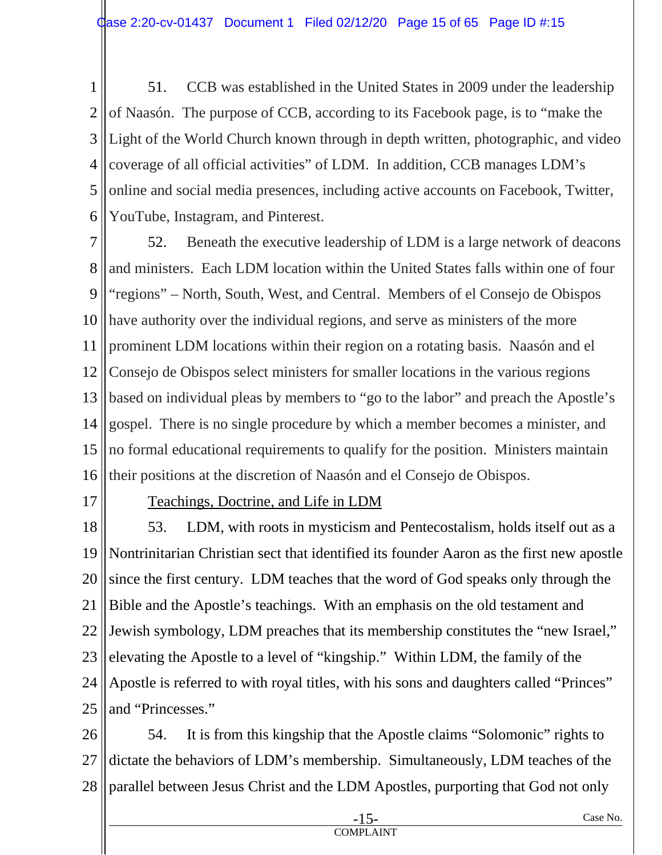1 2 3 4 5 6 51. CCB was established in the United States in 2009 under the leadership of Naasón. The purpose of CCB, according to its Facebook page, is to "make the Light of the World Church known through in depth written, photographic, and video coverage of all official activities" of LDM. In addition, CCB manages LDM's online and social media presences, including active accounts on Facebook, Twitter, YouTube, Instagram, and Pinterest.

7 8 9 10 11 12 13 14 15 16 52. Beneath the executive leadership of LDM is a large network of deacons and ministers. Each LDM location within the United States falls within one of four "regions" – North, South, West, and Central. Members of el Consejo de Obispos have authority over the individual regions, and serve as ministers of the more prominent LDM locations within their region on a rotating basis. Naasón and el Consejo de Obispos select ministers for smaller locations in the various regions based on individual pleas by members to "go to the labor" and preach the Apostle's gospel. There is no single procedure by which a member becomes a minister, and no formal educational requirements to qualify for the position. Ministers maintain their positions at the discretion of Naasón and el Consejo de Obispos.

17

## Teachings, Doctrine, and Life in LDM

18 19 20 21 22 23 24 25 53. LDM, with roots in mysticism and Pentecostalism, holds itself out as a Nontrinitarian Christian sect that identified its founder Aaron as the first new apostle since the first century. LDM teaches that the word of God speaks only through the Bible and the Apostle's teachings. With an emphasis on the old testament and Jewish symbology, LDM preaches that its membership constitutes the "new Israel," elevating the Apostle to a level of "kingship." Within LDM, the family of the Apostle is referred to with royal titles, with his sons and daughters called "Princes" and "Princesses."

26 27 28 54. It is from this kingship that the Apostle claims "Solomonic" rights to dictate the behaviors of LDM's membership. Simultaneously, LDM teaches of the parallel between Jesus Christ and the LDM Apostles, purporting that God not only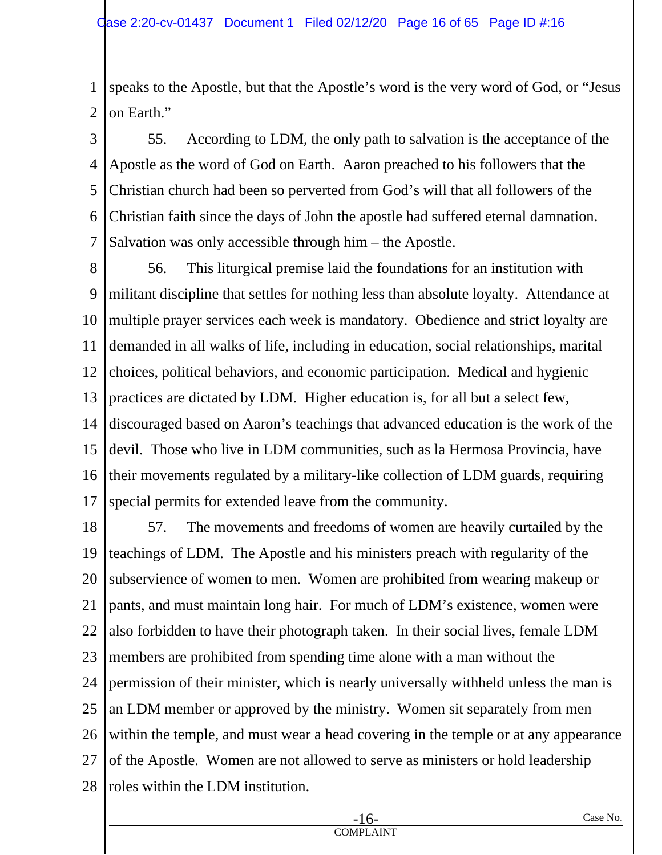1 2 speaks to the Apostle, but that the Apostle's word is the very word of God, or "Jesus on Earth."

3 4 5 6 7 55. According to LDM, the only path to salvation is the acceptance of the Apostle as the word of God on Earth. Aaron preached to his followers that the Christian church had been so perverted from God's will that all followers of the Christian faith since the days of John the apostle had suffered eternal damnation. Salvation was only accessible through him – the Apostle.

8 9 10 11 12 13 14 15 16 17 56. This liturgical premise laid the foundations for an institution with militant discipline that settles for nothing less than absolute loyalty. Attendance at multiple prayer services each week is mandatory. Obedience and strict loyalty are demanded in all walks of life, including in education, social relationships, marital choices, political behaviors, and economic participation. Medical and hygienic practices are dictated by LDM. Higher education is, for all but a select few, discouraged based on Aaron's teachings that advanced education is the work of the devil. Those who live in LDM communities, such as la Hermosa Provincia, have their movements regulated by a military-like collection of LDM guards, requiring special permits for extended leave from the community.

18 19 20 21 22 23 24 25 26 27 28 57. The movements and freedoms of women are heavily curtailed by the teachings of LDM. The Apostle and his ministers preach with regularity of the subservience of women to men. Women are prohibited from wearing makeup or pants, and must maintain long hair. For much of LDM's existence, women were also forbidden to have their photograph taken. In their social lives, female LDM members are prohibited from spending time alone with a man without the permission of their minister, which is nearly universally withheld unless the man is an LDM member or approved by the ministry. Women sit separately from men within the temple, and must wear a head covering in the temple or at any appearance of the Apostle. Women are not allowed to serve as ministers or hold leadership roles within the LDM institution.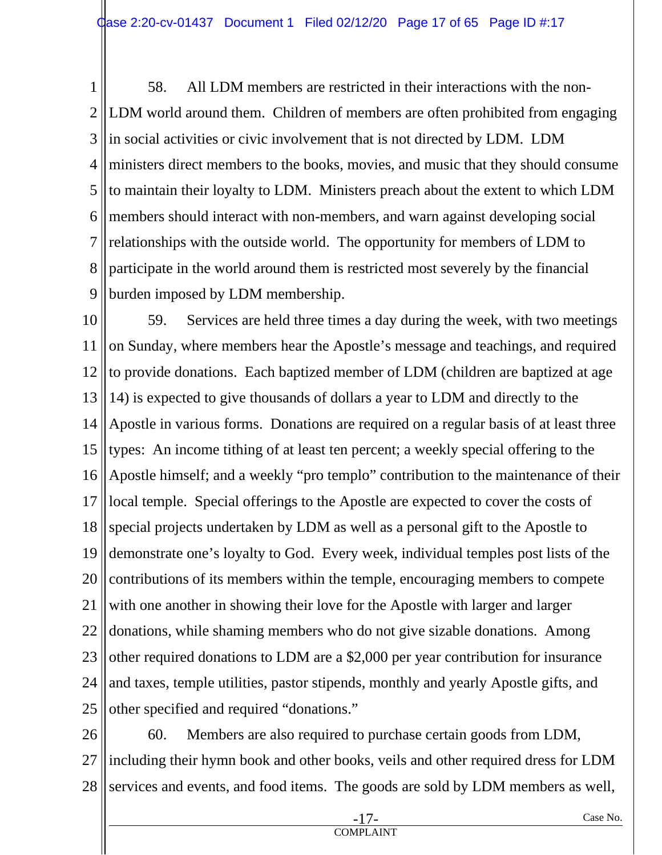1 2 3 4 5 6 7 8 9 58. All LDM members are restricted in their interactions with the non-LDM world around them. Children of members are often prohibited from engaging in social activities or civic involvement that is not directed by LDM. LDM ministers direct members to the books, movies, and music that they should consume to maintain their loyalty to LDM. Ministers preach about the extent to which LDM members should interact with non-members, and warn against developing social relationships with the outside world. The opportunity for members of LDM to participate in the world around them is restricted most severely by the financial burden imposed by LDM membership.

10 11 12 13 14 15 16 17 18 19 20 21 22 23 24 25 59. Services are held three times a day during the week, with two meetings on Sunday, where members hear the Apostle's message and teachings, and required to provide donations. Each baptized member of LDM (children are baptized at age 14) is expected to give thousands of dollars a year to LDM and directly to the Apostle in various forms. Donations are required on a regular basis of at least three types: An income tithing of at least ten percent; a weekly special offering to the Apostle himself; and a weekly "pro templo" contribution to the maintenance of their local temple. Special offerings to the Apostle are expected to cover the costs of special projects undertaken by LDM as well as a personal gift to the Apostle to demonstrate one's loyalty to God. Every week, individual temples post lists of the contributions of its members within the temple, encouraging members to compete with one another in showing their love for the Apostle with larger and larger donations, while shaming members who do not give sizable donations. Among other required donations to LDM are a \$2,000 per year contribution for insurance and taxes, temple utilities, pastor stipends, monthly and yearly Apostle gifts, and other specified and required "donations."

26 27 28 60. Members are also required to purchase certain goods from LDM, including their hymn book and other books, veils and other required dress for LDM services and events, and food items. The goods are sold by LDM members as well,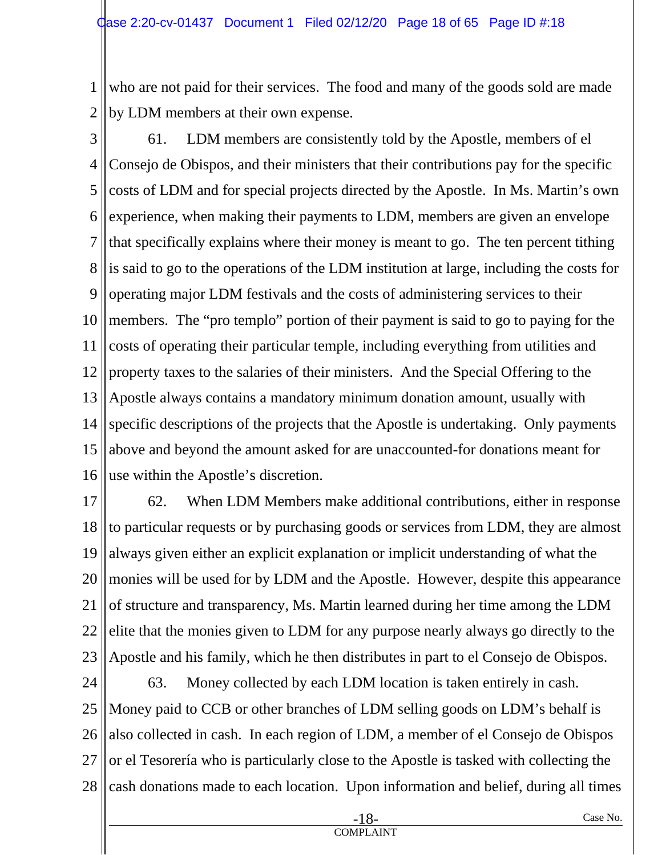1 2 who are not paid for their services. The food and many of the goods sold are made by LDM members at their own expense.

3 4 5 6 7 8 9 10 11 12 13 14 15 16 61. LDM members are consistently told by the Apostle, members of el Consejo de Obispos, and their ministers that their contributions pay for the specific costs of LDM and for special projects directed by the Apostle. In Ms. Martin's own experience, when making their payments to LDM, members are given an envelope that specifically explains where their money is meant to go. The ten percent tithing is said to go to the operations of the LDM institution at large, including the costs for operating major LDM festivals and the costs of administering services to their members. The "pro templo" portion of their payment is said to go to paying for the costs of operating their particular temple, including everything from utilities and property taxes to the salaries of their ministers. And the Special Offering to the Apostle always contains a mandatory minimum donation amount, usually with specific descriptions of the projects that the Apostle is undertaking. Only payments above and beyond the amount asked for are unaccounted-for donations meant for use within the Apostle's discretion.

17 18 19 20 21 22 23 62. When LDM Members make additional contributions, either in response to particular requests or by purchasing goods or services from LDM, they are almost always given either an explicit explanation or implicit understanding of what the monies will be used for by LDM and the Apostle. However, despite this appearance of structure and transparency, Ms. Martin learned during her time among the LDM elite that the monies given to LDM for any purpose nearly always go directly to the Apostle and his family, which he then distributes in part to el Consejo de Obispos.

24 25 26 27 28 63. Money collected by each LDM location is taken entirely in cash. Money paid to CCB or other branches of LDM selling goods on LDM's behalf is also collected in cash. In each region of LDM, a member of el Consejo de Obispos or el Tesorería who is particularly close to the Apostle is tasked with collecting the cash donations made to each location. Upon information and belief, during all times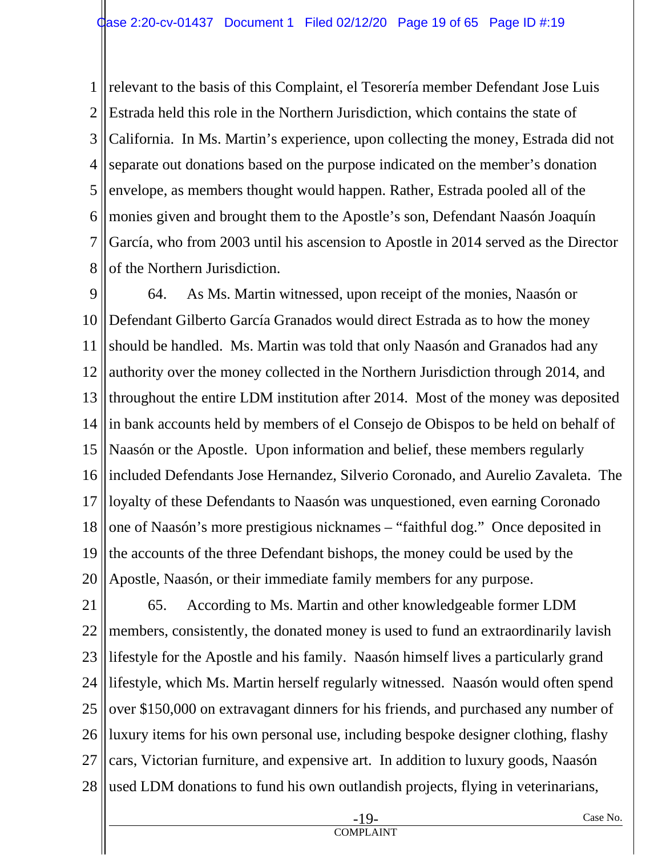1 2 3 4 5 6 7 8 relevant to the basis of this Complaint, el Tesorería member Defendant Jose Luis Estrada held this role in the Northern Jurisdiction, which contains the state of California. In Ms. Martin's experience, upon collecting the money, Estrada did not separate out donations based on the purpose indicated on the member's donation envelope, as members thought would happen. Rather, Estrada pooled all of the monies given and brought them to the Apostle's son, Defendant Naasón Joaquín García, who from 2003 until his ascension to Apostle in 2014 served as the Director of the Northern Jurisdiction.

9 10 11 12 13 14 15 16 17 18 19 20 64. As Ms. Martin witnessed, upon receipt of the monies, Naasón or Defendant Gilberto García Granados would direct Estrada as to how the money should be handled. Ms. Martin was told that only Naasón and Granados had any authority over the money collected in the Northern Jurisdiction through 2014, and throughout the entire LDM institution after 2014. Most of the money was deposited in bank accounts held by members of el Consejo de Obispos to be held on behalf of Naasón or the Apostle. Upon information and belief, these members regularly included Defendants Jose Hernandez, Silverio Coronado, and Aurelio Zavaleta. The loyalty of these Defendants to Naasón was unquestioned, even earning Coronado one of Naasón's more prestigious nicknames – "faithful dog." Once deposited in the accounts of the three Defendant bishops, the money could be used by the Apostle, Naasón, or their immediate family members for any purpose.

21 22 23 24 25 26 27 28 65. According to Ms. Martin and other knowledgeable former LDM members, consistently, the donated money is used to fund an extraordinarily lavish lifestyle for the Apostle and his family. Naasón himself lives a particularly grand lifestyle, which Ms. Martin herself regularly witnessed. Naasón would often spend over \$150,000 on extravagant dinners for his friends, and purchased any number of luxury items for his own personal use, including bespoke designer clothing, flashy cars, Victorian furniture, and expensive art. In addition to luxury goods, Naasón used LDM donations to fund his own outlandish projects, flying in veterinarians,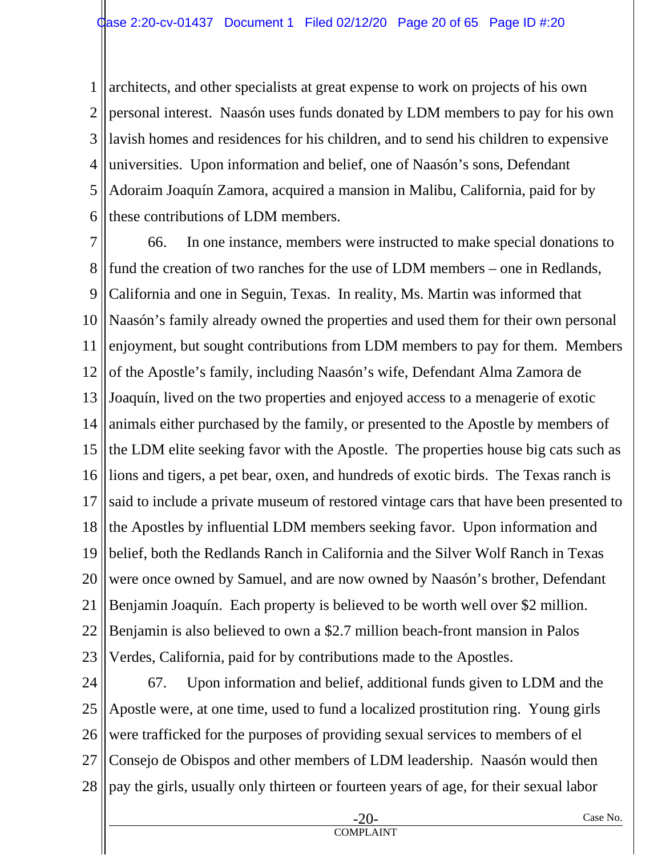1 2 3 4 5 6 architects, and other specialists at great expense to work on projects of his own personal interest. Naasón uses funds donated by LDM members to pay for his own lavish homes and residences for his children, and to send his children to expensive universities. Upon information and belief, one of Naasón's sons, Defendant Adoraim Joaquín Zamora, acquired a mansion in Malibu, California, paid for by these contributions of LDM members.

7 8 9 10 11 12 13 14 15 16 17 18 19 20 21 22 23 66. In one instance, members were instructed to make special donations to fund the creation of two ranches for the use of LDM members – one in Redlands, California and one in Seguin, Texas. In reality, Ms. Martin was informed that Naasón's family already owned the properties and used them for their own personal enjoyment, but sought contributions from LDM members to pay for them. Members of the Apostle's family, including Naasón's wife, Defendant Alma Zamora de Joaquín, lived on the two properties and enjoyed access to a menagerie of exotic animals either purchased by the family, or presented to the Apostle by members of the LDM elite seeking favor with the Apostle. The properties house big cats such as lions and tigers, a pet bear, oxen, and hundreds of exotic birds. The Texas ranch is said to include a private museum of restored vintage cars that have been presented to the Apostles by influential LDM members seeking favor. Upon information and belief, both the Redlands Ranch in California and the Silver Wolf Ranch in Texas were once owned by Samuel, and are now owned by Naasón's brother, Defendant Benjamin Joaquín. Each property is believed to be worth well over \$2 million. Benjamin is also believed to own a \$2.7 million beach-front mansion in Palos Verdes, California, paid for by contributions made to the Apostles.

24 25 26 27 28 67. Upon information and belief, additional funds given to LDM and the Apostle were, at one time, used to fund a localized prostitution ring. Young girls were trafficked for the purposes of providing sexual services to members of el Consejo de Obispos and other members of LDM leadership. Naasón would then pay the girls, usually only thirteen or fourteen years of age, for their sexual labor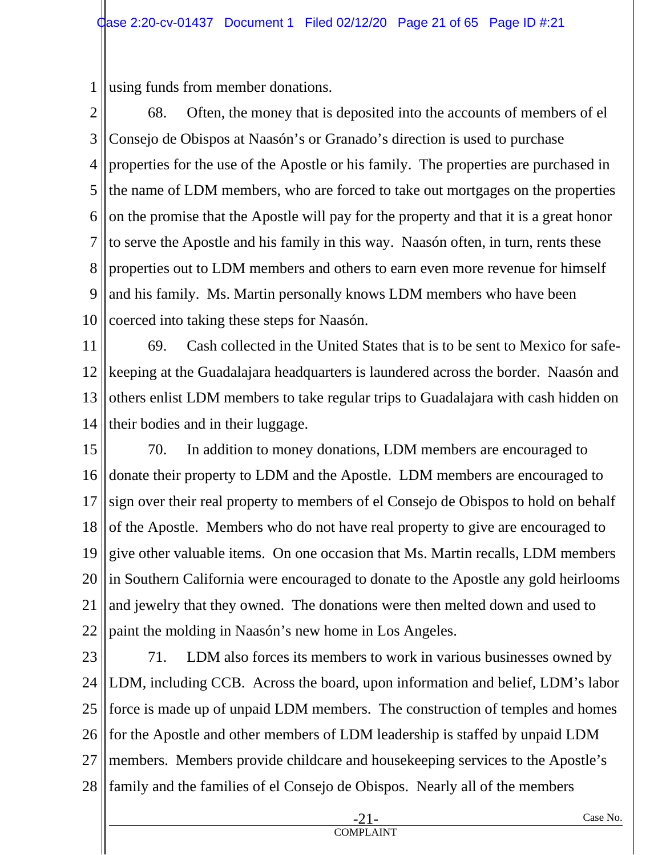1 using funds from member donations.

2 3 4 5 6 7 8 9 10 68. Often, the money that is deposited into the accounts of members of el Consejo de Obispos at Naasón's or Granado's direction is used to purchase properties for the use of the Apostle or his family. The properties are purchased in the name of LDM members, who are forced to take out mortgages on the properties on the promise that the Apostle will pay for the property and that it is a great honor to serve the Apostle and his family in this way. Naasón often, in turn, rents these properties out to LDM members and others to earn even more revenue for himself and his family. Ms. Martin personally knows LDM members who have been coerced into taking these steps for Naasón.

11 12 13 14 69. Cash collected in the United States that is to be sent to Mexico for safekeeping at the Guadalajara headquarters is laundered across the border. Naasón and others enlist LDM members to take regular trips to Guadalajara with cash hidden on their bodies and in their luggage.

15 16 17 18 19 20 21 22 70. In addition to money donations, LDM members are encouraged to donate their property to LDM and the Apostle. LDM members are encouraged to sign over their real property to members of el Consejo de Obispos to hold on behalf of the Apostle. Members who do not have real property to give are encouraged to give other valuable items. On one occasion that Ms. Martin recalls, LDM members in Southern California were encouraged to donate to the Apostle any gold heirlooms and jewelry that they owned. The donations were then melted down and used to paint the molding in Naasón's new home in Los Angeles.

23 24 25 26 27 28 71. LDM also forces its members to work in various businesses owned by LDM, including CCB. Across the board, upon information and belief, LDM's labor force is made up of unpaid LDM members. The construction of temples and homes for the Apostle and other members of LDM leadership is staffed by unpaid LDM members. Members provide childcare and housekeeping services to the Apostle's family and the families of el Consejo de Obispos. Nearly all of the members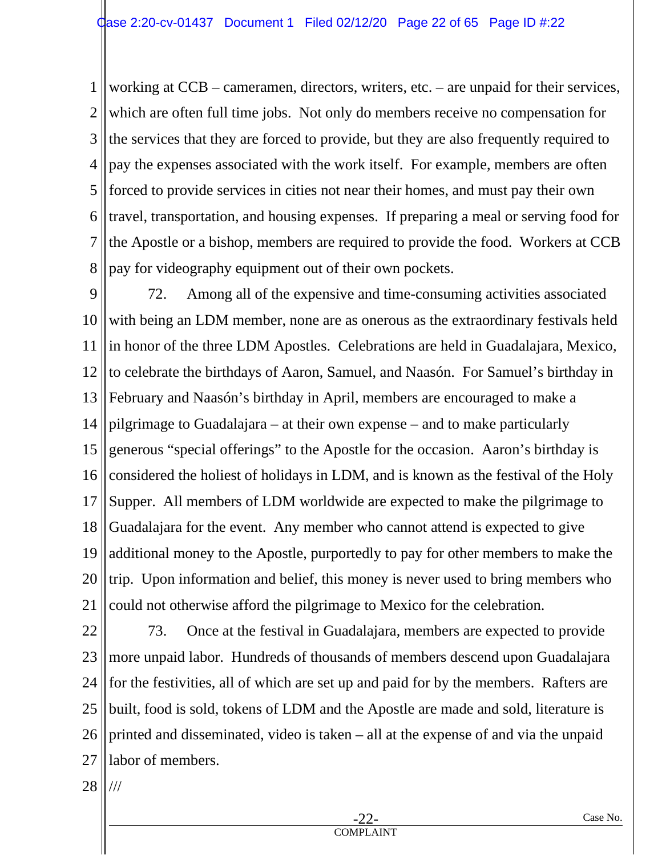1 2 3 4 5 6 7 8 working at CCB – cameramen, directors, writers, etc. – are unpaid for their services, which are often full time jobs. Not only do members receive no compensation for the services that they are forced to provide, but they are also frequently required to pay the expenses associated with the work itself. For example, members are often forced to provide services in cities not near their homes, and must pay their own travel, transportation, and housing expenses. If preparing a meal or serving food for the Apostle or a bishop, members are required to provide the food. Workers at CCB pay for videography equipment out of their own pockets.

9 10 11 12 13 14 15 16 17 18 19 20 21 72. Among all of the expensive and time-consuming activities associated with being an LDM member, none are as onerous as the extraordinary festivals held in honor of the three LDM Apostles. Celebrations are held in Guadalajara, Mexico, to celebrate the birthdays of Aaron, Samuel, and Naasón. For Samuel's birthday in February and Naasón's birthday in April, members are encouraged to make a pilgrimage to Guadalajara – at their own expense – and to make particularly generous "special offerings" to the Apostle for the occasion. Aaron's birthday is considered the holiest of holidays in LDM, and is known as the festival of the Holy Supper. All members of LDM worldwide are expected to make the pilgrimage to Guadalajara for the event. Any member who cannot attend is expected to give additional money to the Apostle, purportedly to pay for other members to make the trip. Upon information and belief, this money is never used to bring members who could not otherwise afford the pilgrimage to Mexico for the celebration.

22 23 24 25 26 27 73. Once at the festival in Guadalajara, members are expected to provide more unpaid labor. Hundreds of thousands of members descend upon Guadalajara for the festivities, all of which are set up and paid for by the members. Rafters are built, food is sold, tokens of LDM and the Apostle are made and sold, literature is printed and disseminated, video is taken – all at the expense of and via the unpaid labor of members.

28 ///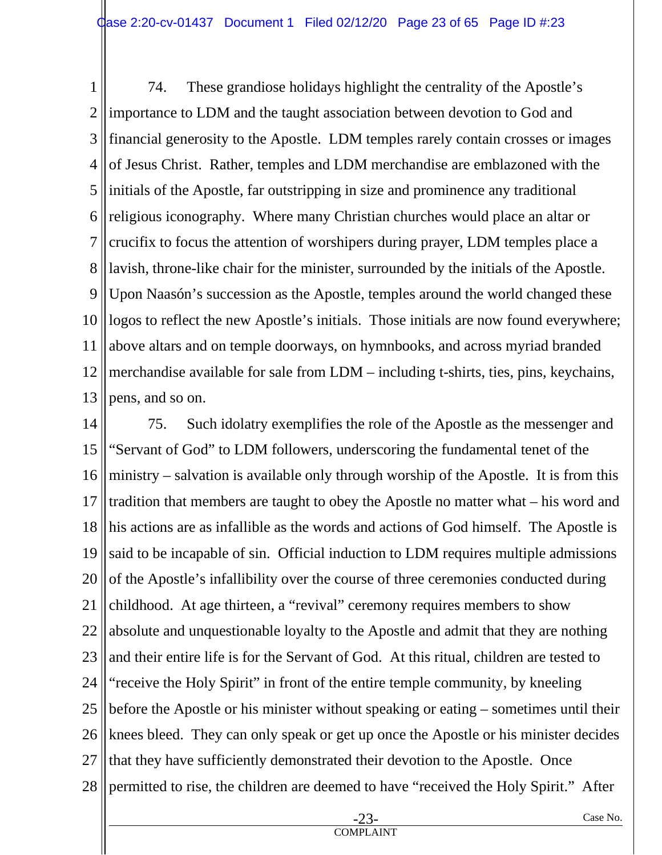1 2 3 4 5 6 7 8 9 10 11 12 13 74. These grandiose holidays highlight the centrality of the Apostle's importance to LDM and the taught association between devotion to God and financial generosity to the Apostle. LDM temples rarely contain crosses or images of Jesus Christ. Rather, temples and LDM merchandise are emblazoned with the initials of the Apostle, far outstripping in size and prominence any traditional religious iconography. Where many Christian churches would place an altar or crucifix to focus the attention of worshipers during prayer, LDM temples place a lavish, throne-like chair for the minister, surrounded by the initials of the Apostle. Upon Naasón's succession as the Apostle, temples around the world changed these logos to reflect the new Apostle's initials. Those initials are now found everywhere; above altars and on temple doorways, on hymnbooks, and across myriad branded merchandise available for sale from LDM – including t-shirts, ties, pins, keychains, pens, and so on.

14 15 16 17 18 19 20 21 22 23 24 25 26 27 28 75. Such idolatry exemplifies the role of the Apostle as the messenger and "Servant of God" to LDM followers, underscoring the fundamental tenet of the ministry – salvation is available only through worship of the Apostle. It is from this tradition that members are taught to obey the Apostle no matter what – his word and his actions are as infallible as the words and actions of God himself. The Apostle is said to be incapable of sin. Official induction to LDM requires multiple admissions of the Apostle's infallibility over the course of three ceremonies conducted during childhood. At age thirteen, a "revival" ceremony requires members to show absolute and unquestionable loyalty to the Apostle and admit that they are nothing and their entire life is for the Servant of God. At this ritual, children are tested to "receive the Holy Spirit" in front of the entire temple community, by kneeling before the Apostle or his minister without speaking or eating – sometimes until their knees bleed. They can only speak or get up once the Apostle or his minister decides that they have sufficiently demonstrated their devotion to the Apostle. Once permitted to rise, the children are deemed to have "received the Holy Spirit." After

COMPLAINT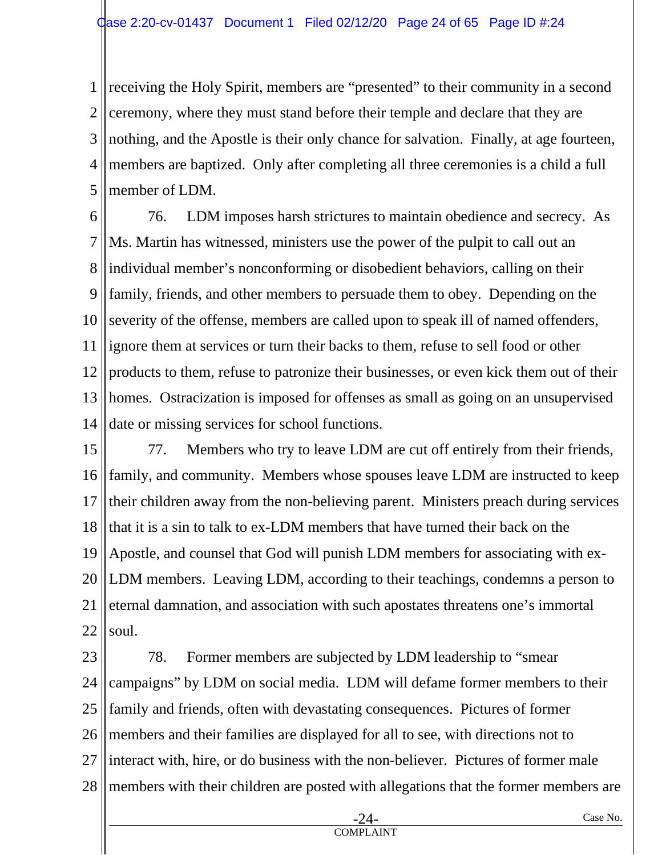1 2 3 4 5 receiving the Holy Spirit, members are "presented" to their community in a second ceremony, where they must stand before their temple and declare that they are nothing, and the Apostle is their only chance for salvation. Finally, at age fourteen, members are baptized. Only after completing all three ceremonies is a child a full member of LDM.

6 7 8 9 10 11 12 13 14 76. LDM imposes harsh strictures to maintain obedience and secrecy. As Ms. Martin has witnessed, ministers use the power of the pulpit to call out an individual member's nonconforming or disobedient behaviors, calling on their family, friends, and other members to persuade them to obey. Depending on the severity of the offense, members are called upon to speak ill of named offenders, ignore them at services or turn their backs to them, refuse to sell food or other products to them, refuse to patronize their businesses, or even kick them out of their homes. Ostracization is imposed for offenses as small as going on an unsupervised date or missing services for school functions.

15 16 17 18 19 20 21 22 77. Members who try to leave LDM are cut off entirely from their friends, family, and community. Members whose spouses leave LDM are instructed to keep their children away from the non-believing parent. Ministers preach during services that it is a sin to talk to ex-LDM members that have turned their back on the Apostle, and counsel that God will punish LDM members for associating with ex-LDM members. Leaving LDM, according to their teachings, condemns a person to eternal damnation, and association with such apostates threatens one's immortal soul.

23 24 25 26 27 28 78. Former members are subjected by LDM leadership to "smear campaigns" by LDM on social media. LDM will defame former members to their family and friends, often with devastating consequences. Pictures of former members and their families are displayed for all to see, with directions not to interact with, hire, or do business with the non-believer. Pictures of former male members with their children are posted with allegations that the former members are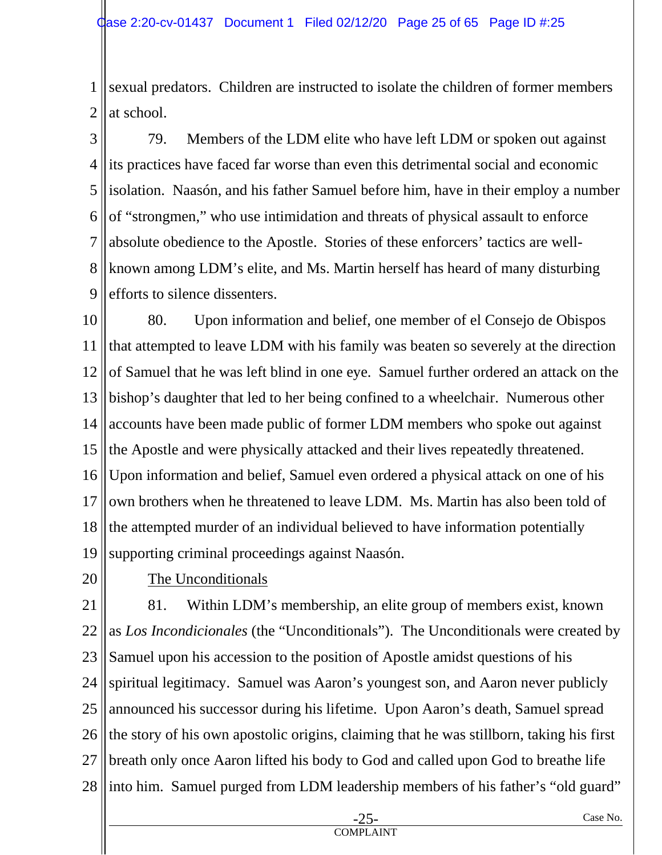1 2 sexual predators. Children are instructed to isolate the children of former members at school.

3 4 5 6 7 8 9 79. Members of the LDM elite who have left LDM or spoken out against its practices have faced far worse than even this detrimental social and economic isolation. Naasón, and his father Samuel before him, have in their employ a number of "strongmen," who use intimidation and threats of physical assault to enforce absolute obedience to the Apostle. Stories of these enforcers' tactics are wellknown among LDM's elite, and Ms. Martin herself has heard of many disturbing efforts to silence dissenters.

10 11 12 13 14 15 16 17 18 19 80. Upon information and belief, one member of el Consejo de Obispos that attempted to leave LDM with his family was beaten so severely at the direction of Samuel that he was left blind in one eye. Samuel further ordered an attack on the bishop's daughter that led to her being confined to a wheelchair. Numerous other accounts have been made public of former LDM members who spoke out against the Apostle and were physically attacked and their lives repeatedly threatened. Upon information and belief, Samuel even ordered a physical attack on one of his own brothers when he threatened to leave LDM. Ms. Martin has also been told of the attempted murder of an individual believed to have information potentially supporting criminal proceedings against Naasón.

20

The Unconditionals

21 22 23 24 25 26 27 28 81. Within LDM's membership, an elite group of members exist, known as *Los Incondicionales* (the "Unconditionals"). The Unconditionals were created by Samuel upon his accession to the position of Apostle amidst questions of his spiritual legitimacy. Samuel was Aaron's youngest son, and Aaron never publicly announced his successor during his lifetime. Upon Aaron's death, Samuel spread the story of his own apostolic origins, claiming that he was stillborn, taking his first breath only once Aaron lifted his body to God and called upon God to breathe life into him. Samuel purged from LDM leadership members of his father's "old guard"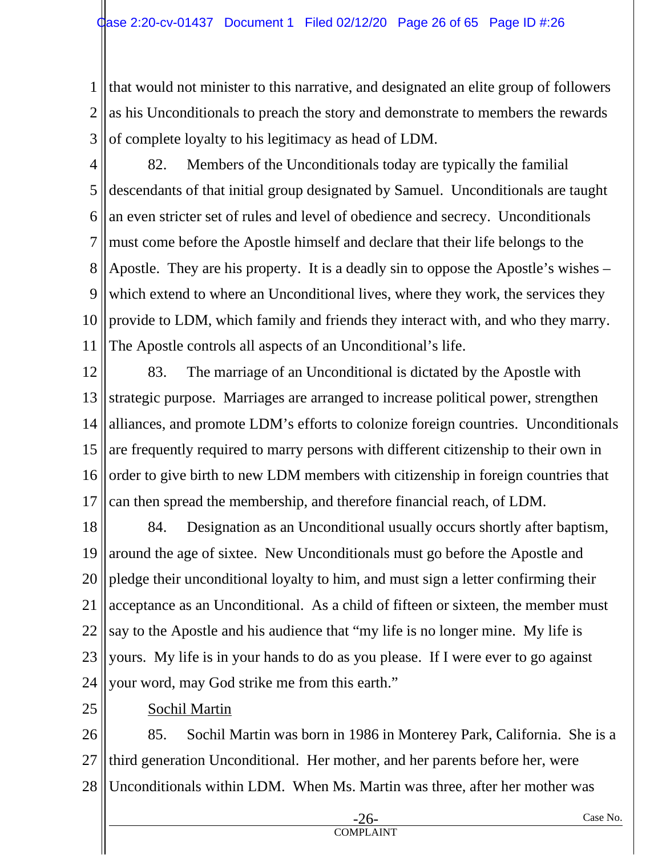1 2 3 that would not minister to this narrative, and designated an elite group of followers as his Unconditionals to preach the story and demonstrate to members the rewards of complete loyalty to his legitimacy as head of LDM.

- 4 5 6 7 8 9 10 11 82. Members of the Unconditionals today are typically the familial descendants of that initial group designated by Samuel. Unconditionals are taught an even stricter set of rules and level of obedience and secrecy. Unconditionals must come before the Apostle himself and declare that their life belongs to the Apostle. They are his property. It is a deadly sin to oppose the Apostle's wishes – which extend to where an Unconditional lives, where they work, the services they provide to LDM, which family and friends they interact with, and who they marry. The Apostle controls all aspects of an Unconditional's life.
- 12 13 14 15 16 17 83. The marriage of an Unconditional is dictated by the Apostle with strategic purpose. Marriages are arranged to increase political power, strengthen alliances, and promote LDM's efforts to colonize foreign countries. Unconditionals are frequently required to marry persons with different citizenship to their own in order to give birth to new LDM members with citizenship in foreign countries that can then spread the membership, and therefore financial reach, of LDM.
- 18 19 20 21 22 23 24 84. Designation as an Unconditional usually occurs shortly after baptism, around the age of sixtee. New Unconditionals must go before the Apostle and pledge their unconditional loyalty to him, and must sign a letter confirming their acceptance as an Unconditional. As a child of fifteen or sixteen, the member must say to the Apostle and his audience that "my life is no longer mine. My life is yours. My life is in your hands to do as you please. If I were ever to go against your word, may God strike me from this earth."
- 25

## Sochil Martin

26 27 28 85. Sochil Martin was born in 1986 in Monterey Park, California. She is a third generation Unconditional. Her mother, and her parents before her, were Unconditionals within LDM. When Ms. Martin was three, after her mother was

COMPLAINT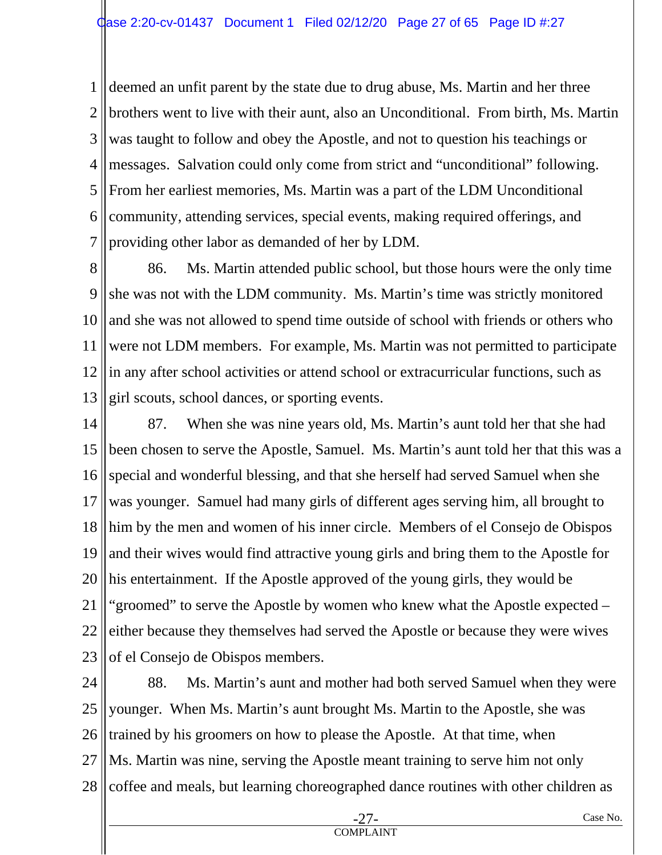1 2 3 4 5 6 7 deemed an unfit parent by the state due to drug abuse, Ms. Martin and her three brothers went to live with their aunt, also an Unconditional. From birth, Ms. Martin was taught to follow and obey the Apostle, and not to question his teachings or messages. Salvation could only come from strict and "unconditional" following. From her earliest memories, Ms. Martin was a part of the LDM Unconditional community, attending services, special events, making required offerings, and providing other labor as demanded of her by LDM.

8 9 10 11 12 13 86. Ms. Martin attended public school, but those hours were the only time she was not with the LDM community. Ms. Martin's time was strictly monitored and she was not allowed to spend time outside of school with friends or others who were not LDM members. For example, Ms. Martin was not permitted to participate in any after school activities or attend school or extracurricular functions, such as girl scouts, school dances, or sporting events.

14 15 16 17 18 19 20 21 22 23 87. When she was nine years old, Ms. Martin's aunt told her that she had been chosen to serve the Apostle, Samuel. Ms. Martin's aunt told her that this was a special and wonderful blessing, and that she herself had served Samuel when she was younger. Samuel had many girls of different ages serving him, all brought to him by the men and women of his inner circle. Members of el Consejo de Obispos and their wives would find attractive young girls and bring them to the Apostle for his entertainment. If the Apostle approved of the young girls, they would be "groomed" to serve the Apostle by women who knew what the Apostle expected – either because they themselves had served the Apostle or because they were wives of el Consejo de Obispos members.

24 25 26 27 28 88. Ms. Martin's aunt and mother had both served Samuel when they were younger. When Ms. Martin's aunt brought Ms. Martin to the Apostle, she was trained by his groomers on how to please the Apostle. At that time, when Ms. Martin was nine, serving the Apostle meant training to serve him not only coffee and meals, but learning choreographed dance routines with other children as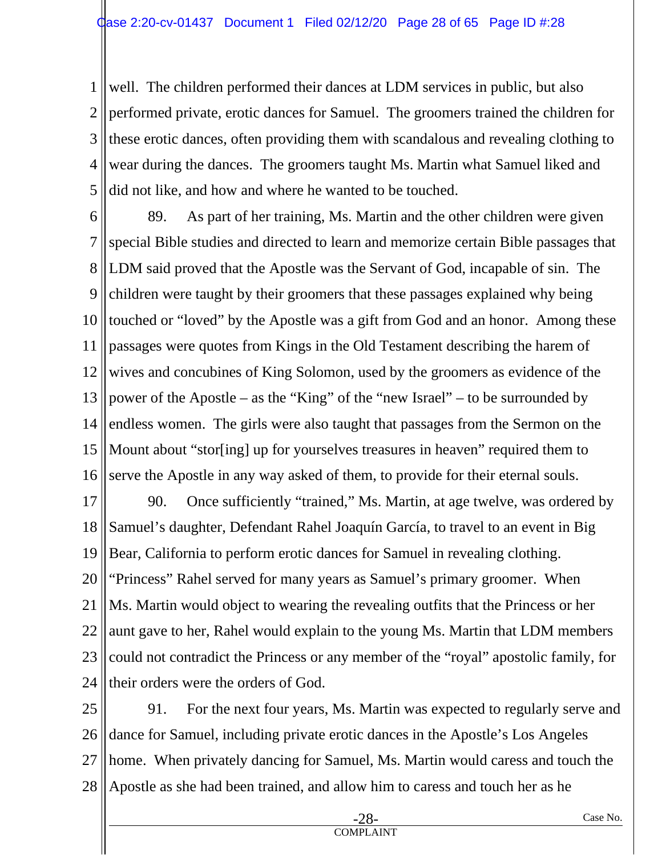1 2 3 4 5 well. The children performed their dances at LDM services in public, but also performed private, erotic dances for Samuel. The groomers trained the children for these erotic dances, often providing them with scandalous and revealing clothing to wear during the dances. The groomers taught Ms. Martin what Samuel liked and did not like, and how and where he wanted to be touched.

6 7 8 9 10 11 12 13 14 15 16 89. As part of her training, Ms. Martin and the other children were given special Bible studies and directed to learn and memorize certain Bible passages that LDM said proved that the Apostle was the Servant of God, incapable of sin. The children were taught by their groomers that these passages explained why being touched or "loved" by the Apostle was a gift from God and an honor. Among these passages were quotes from Kings in the Old Testament describing the harem of wives and concubines of King Solomon, used by the groomers as evidence of the power of the Apostle – as the "King" of the "new Israel" – to be surrounded by endless women. The girls were also taught that passages from the Sermon on the Mount about "stor[ing] up for yourselves treasures in heaven" required them to serve the Apostle in any way asked of them, to provide for their eternal souls.

17 18 19 20 21 22 23 24 90. Once sufficiently "trained," Ms. Martin, at age twelve, was ordered by Samuel's daughter, Defendant Rahel Joaquín García, to travel to an event in Big Bear, California to perform erotic dances for Samuel in revealing clothing. "Princess" Rahel served for many years as Samuel's primary groomer. When Ms. Martin would object to wearing the revealing outfits that the Princess or her aunt gave to her, Rahel would explain to the young Ms. Martin that LDM members could not contradict the Princess or any member of the "royal" apostolic family, for their orders were the orders of God.

25 26 27 28 91. For the next four years, Ms. Martin was expected to regularly serve and dance for Samuel, including private erotic dances in the Apostle's Los Angeles home. When privately dancing for Samuel, Ms. Martin would caress and touch the Apostle as she had been trained, and allow him to caress and touch her as he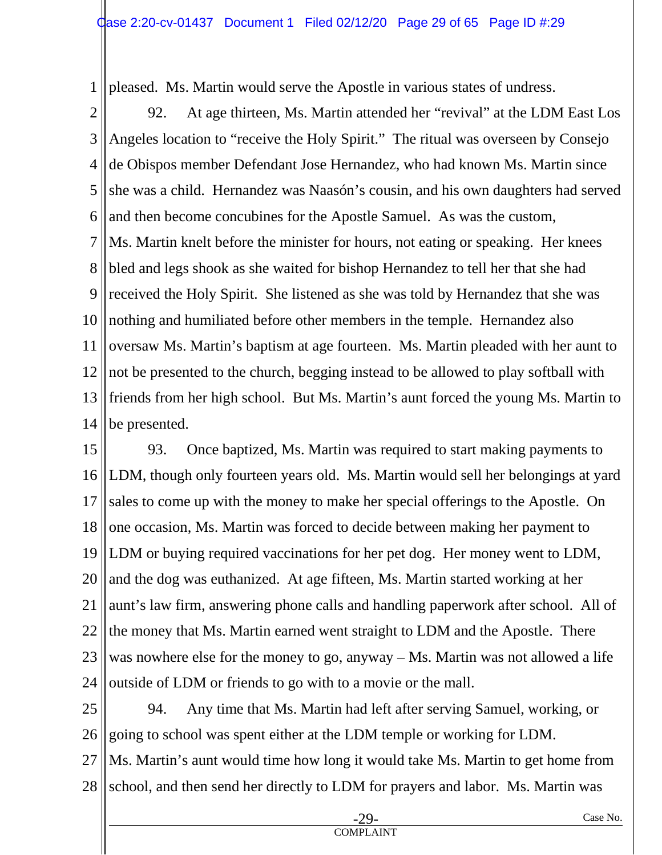1 pleased. Ms. Martin would serve the Apostle in various states of undress.

2 3 4 5 6 7 8 9 10 11 12 13 14 92. At age thirteen, Ms. Martin attended her "revival" at the LDM East Los Angeles location to "receive the Holy Spirit." The ritual was overseen by Consejo de Obispos member Defendant Jose Hernandez, who had known Ms. Martin since she was a child. Hernandez was Naasón's cousin, and his own daughters had served and then become concubines for the Apostle Samuel. As was the custom, Ms. Martin knelt before the minister for hours, not eating or speaking. Her knees bled and legs shook as she waited for bishop Hernandez to tell her that she had received the Holy Spirit. She listened as she was told by Hernandez that she was nothing and humiliated before other members in the temple. Hernandez also oversaw Ms. Martin's baptism at age fourteen. Ms. Martin pleaded with her aunt to not be presented to the church, begging instead to be allowed to play softball with friends from her high school. But Ms. Martin's aunt forced the young Ms. Martin to be presented.

15 16 17 18 19 20 21 22 23 24 93. Once baptized, Ms. Martin was required to start making payments to LDM, though only fourteen years old. Ms. Martin would sell her belongings at yard sales to come up with the money to make her special offerings to the Apostle. On one occasion, Ms. Martin was forced to decide between making her payment to LDM or buying required vaccinations for her pet dog. Her money went to LDM, and the dog was euthanized. At age fifteen, Ms. Martin started working at her aunt's law firm, answering phone calls and handling paperwork after school. All of the money that Ms. Martin earned went straight to LDM and the Apostle. There was nowhere else for the money to go, anyway – Ms. Martin was not allowed a life outside of LDM or friends to go with to a movie or the mall.

25 26 27 28 94. Any time that Ms. Martin had left after serving Samuel, working, or going to school was spent either at the LDM temple or working for LDM. Ms. Martin's aunt would time how long it would take Ms. Martin to get home from school, and then send her directly to LDM for prayers and labor. Ms. Martin was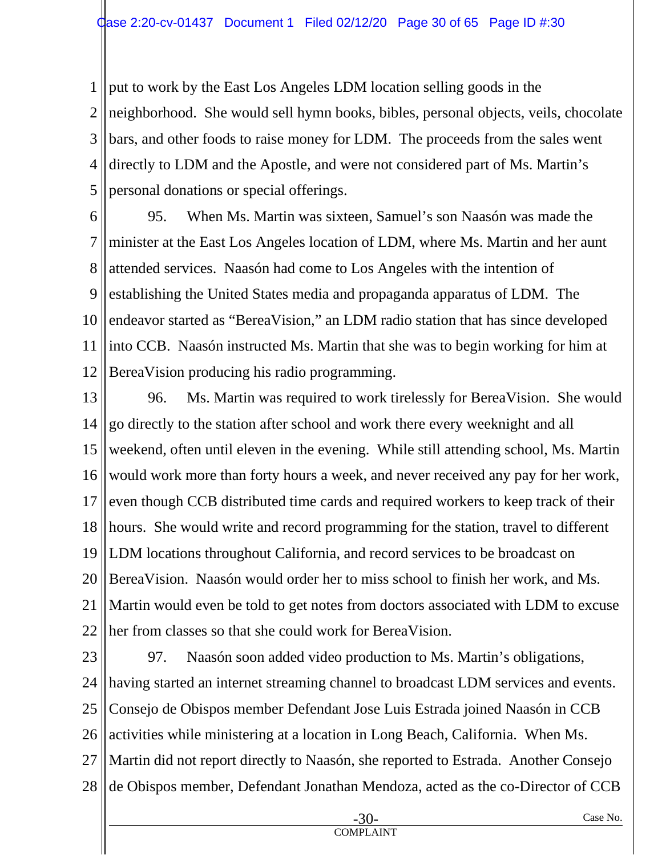1 2 3 4 5 put to work by the East Los Angeles LDM location selling goods in the neighborhood. She would sell hymn books, bibles, personal objects, veils, chocolate bars, and other foods to raise money for LDM. The proceeds from the sales went directly to LDM and the Apostle, and were not considered part of Ms. Martin's personal donations or special offerings.

6 7 8 9 10 11 12 95. When Ms. Martin was sixteen, Samuel's son Naasón was made the minister at the East Los Angeles location of LDM, where Ms. Martin and her aunt attended services. Naasón had come to Los Angeles with the intention of establishing the United States media and propaganda apparatus of LDM. The endeavor started as "BereaVision," an LDM radio station that has since developed into CCB. Naasón instructed Ms. Martin that she was to begin working for him at BereaVision producing his radio programming.

13 14 15 16 17 18 19 20 21 22 96. Ms. Martin was required to work tirelessly for BereaVision. She would go directly to the station after school and work there every weeknight and all weekend, often until eleven in the evening. While still attending school, Ms. Martin would work more than forty hours a week, and never received any pay for her work, even though CCB distributed time cards and required workers to keep track of their hours. She would write and record programming for the station, travel to different LDM locations throughout California, and record services to be broadcast on BereaVision. Naasón would order her to miss school to finish her work, and Ms. Martin would even be told to get notes from doctors associated with LDM to excuse her from classes so that she could work for BereaVision.

23 24 25 26 27 28 97. Naasón soon added video production to Ms. Martin's obligations, having started an internet streaming channel to broadcast LDM services and events. Consejo de Obispos member Defendant Jose Luis Estrada joined Naasón in CCB activities while ministering at a location in Long Beach, California. When Ms. Martin did not report directly to Naasón, she reported to Estrada. Another Consejo de Obispos member, Defendant Jonathan Mendoza, acted as the co-Director of CCB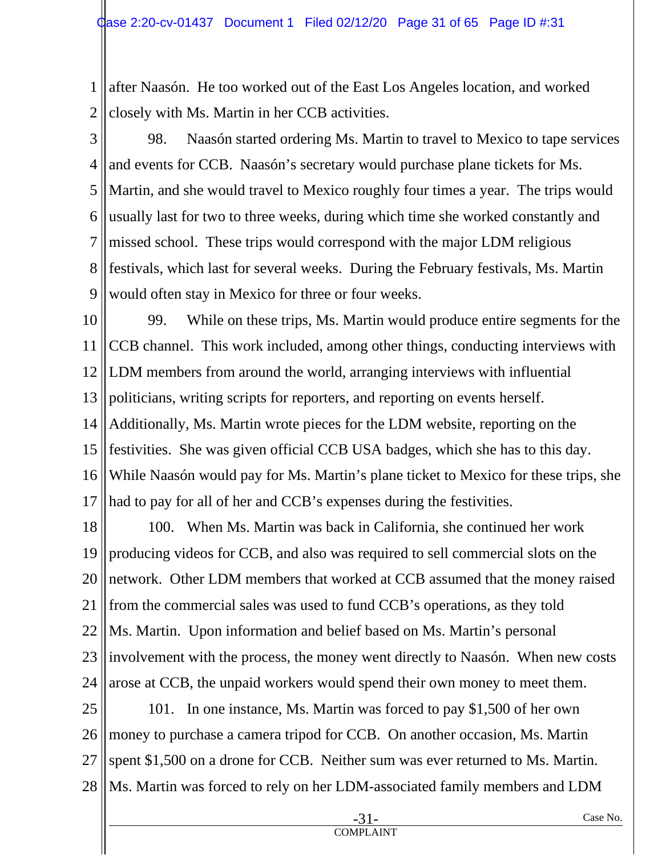1 2 after Naasón. He too worked out of the East Los Angeles location, and worked closely with Ms. Martin in her CCB activities.

3

4 5 6 7 8 9 98. Naasón started ordering Ms. Martin to travel to Mexico to tape services and events for CCB. Naasón's secretary would purchase plane tickets for Ms. Martin, and she would travel to Mexico roughly four times a year. The trips would usually last for two to three weeks, during which time she worked constantly and missed school. These trips would correspond with the major LDM religious festivals, which last for several weeks. During the February festivals, Ms. Martin would often stay in Mexico for three or four weeks.

10 11 12 13 14 15 16 17 99. While on these trips, Ms. Martin would produce entire segments for the CCB channel. This work included, among other things, conducting interviews with LDM members from around the world, arranging interviews with influential politicians, writing scripts for reporters, and reporting on events herself. Additionally, Ms. Martin wrote pieces for the LDM website, reporting on the festivities. She was given official CCB USA badges, which she has to this day. While Naasón would pay for Ms. Martin's plane ticket to Mexico for these trips, she had to pay for all of her and CCB's expenses during the festivities.

18 19 20 21 22 23 24 100. When Ms. Martin was back in California, she continued her work producing videos for CCB, and also was required to sell commercial slots on the network. Other LDM members that worked at CCB assumed that the money raised from the commercial sales was used to fund CCB's operations, as they told Ms. Martin. Upon information and belief based on Ms. Martin's personal involvement with the process, the money went directly to Naasón. When new costs arose at CCB, the unpaid workers would spend their own money to meet them.

25 26 27 28 101. In one instance, Ms. Martin was forced to pay \$1,500 of her own money to purchase a camera tripod for CCB. On another occasion, Ms. Martin spent \$1,500 on a drone for CCB. Neither sum was ever returned to Ms. Martin. Ms. Martin was forced to rely on her LDM-associated family members and LDM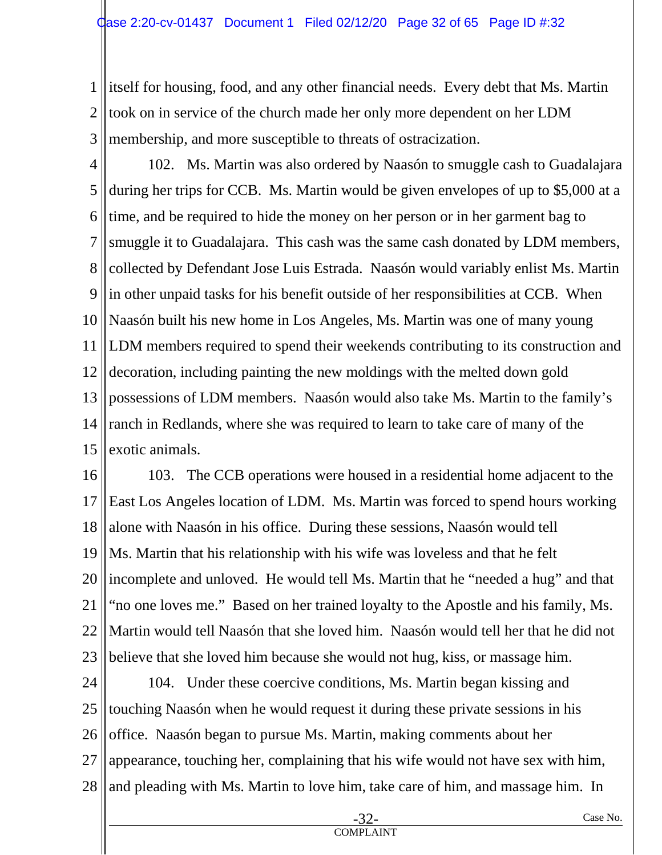1 2 3 itself for housing, food, and any other financial needs. Every debt that Ms. Martin took on in service of the church made her only more dependent on her LDM membership, and more susceptible to threats of ostracization.

4 5 6 7 8 9 10 11 12 13 14 15 102. Ms. Martin was also ordered by Naasón to smuggle cash to Guadalajara during her trips for CCB. Ms. Martin would be given envelopes of up to \$5,000 at a time, and be required to hide the money on her person or in her garment bag to smuggle it to Guadalajara. This cash was the same cash donated by LDM members, collected by Defendant Jose Luis Estrada. Naasón would variably enlist Ms. Martin in other unpaid tasks for his benefit outside of her responsibilities at CCB. When Naasón built his new home in Los Angeles, Ms. Martin was one of many young LDM members required to spend their weekends contributing to its construction and decoration, including painting the new moldings with the melted down gold possessions of LDM members. Naasón would also take Ms. Martin to the family's ranch in Redlands, where she was required to learn to take care of many of the exotic animals.

16 17 18 19 20 21 22 23 103. The CCB operations were housed in a residential home adjacent to the East Los Angeles location of LDM. Ms. Martin was forced to spend hours working alone with Naasón in his office. During these sessions, Naasón would tell Ms. Martin that his relationship with his wife was loveless and that he felt incomplete and unloved. He would tell Ms. Martin that he "needed a hug" and that "no one loves me." Based on her trained loyalty to the Apostle and his family, Ms. Martin would tell Naasón that she loved him. Naasón would tell her that he did not believe that she loved him because she would not hug, kiss, or massage him.

24 25 26 27 28 104. Under these coercive conditions, Ms. Martin began kissing and touching Naasón when he would request it during these private sessions in his office. Naasón began to pursue Ms. Martin, making comments about her appearance, touching her, complaining that his wife would not have sex with him, and pleading with Ms. Martin to love him, take care of him, and massage him. In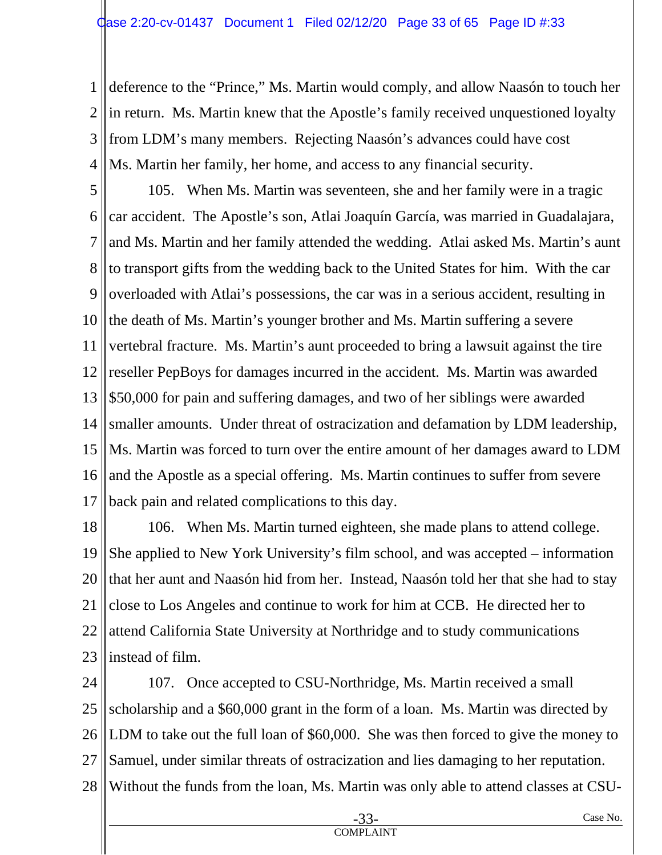1 2 3 4 deference to the "Prince," Ms. Martin would comply, and allow Naasón to touch her in return. Ms. Martin knew that the Apostle's family received unquestioned loyalty from LDM's many members. Rejecting Naasón's advances could have cost Ms. Martin her family, her home, and access to any financial security.

5 6 7 8 9 10 11 12 13 14 15 16 17 105. When Ms. Martin was seventeen, she and her family were in a tragic car accident. The Apostle's son, Atlai Joaquín García, was married in Guadalajara, and Ms. Martin and her family attended the wedding. Atlai asked Ms. Martin's aunt to transport gifts from the wedding back to the United States for him. With the car overloaded with Atlai's possessions, the car was in a serious accident, resulting in the death of Ms. Martin's younger brother and Ms. Martin suffering a severe vertebral fracture. Ms. Martin's aunt proceeded to bring a lawsuit against the tire reseller PepBoys for damages incurred in the accident. Ms. Martin was awarded \$50,000 for pain and suffering damages, and two of her siblings were awarded smaller amounts. Under threat of ostracization and defamation by LDM leadership, Ms. Martin was forced to turn over the entire amount of her damages award to LDM and the Apostle as a special offering. Ms. Martin continues to suffer from severe back pain and related complications to this day.

18 19 20 21 22 23 106. When Ms. Martin turned eighteen, she made plans to attend college. She applied to New York University's film school, and was accepted – information that her aunt and Naasón hid from her. Instead, Naasón told her that she had to stay close to Los Angeles and continue to work for him at CCB. He directed her to attend California State University at Northridge and to study communications instead of film.

24 25 26 27 28 107. Once accepted to CSU-Northridge, Ms. Martin received a small scholarship and a \$60,000 grant in the form of a loan. Ms. Martin was directed by LDM to take out the full loan of \$60,000. She was then forced to give the money to Samuel, under similar threats of ostracization and lies damaging to her reputation. Without the funds from the loan, Ms. Martin was only able to attend classes at CSU-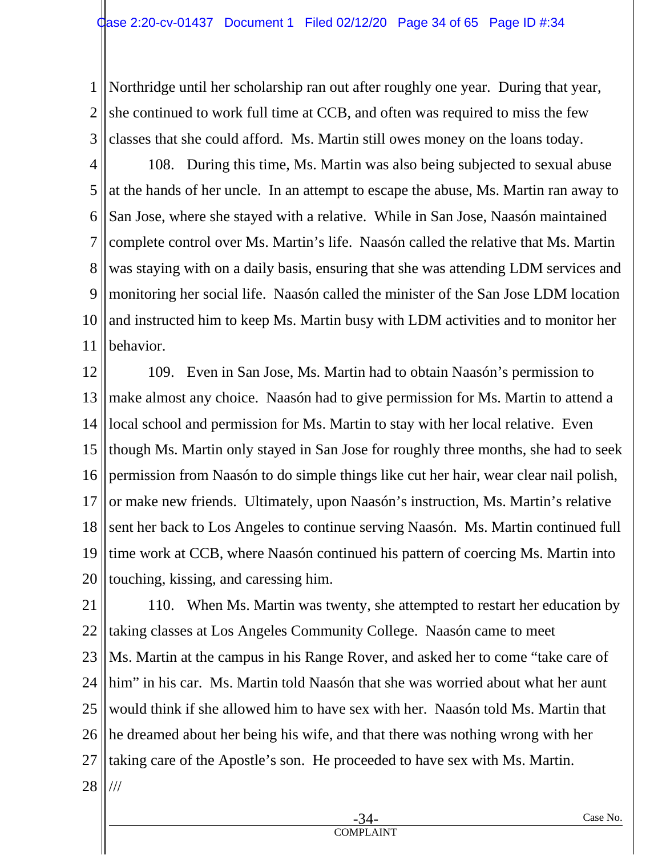1 2 3 Northridge until her scholarship ran out after roughly one year. During that year, she continued to work full time at CCB, and often was required to miss the few classes that she could afford. Ms. Martin still owes money on the loans today.

4 5 6 7 8 9 10 11 108. During this time, Ms. Martin was also being subjected to sexual abuse at the hands of her uncle. In an attempt to escape the abuse, Ms. Martin ran away to San Jose, where she stayed with a relative. While in San Jose, Naasón maintained complete control over Ms. Martin's life. Naasón called the relative that Ms. Martin was staying with on a daily basis, ensuring that she was attending LDM services and monitoring her social life. Naasón called the minister of the San Jose LDM location and instructed him to keep Ms. Martin busy with LDM activities and to monitor her behavior.

12 13 14 15 16 17 18 19 20 109. Even in San Jose, Ms. Martin had to obtain Naasón's permission to make almost any choice. Naasón had to give permission for Ms. Martin to attend a local school and permission for Ms. Martin to stay with her local relative. Even though Ms. Martin only stayed in San Jose for roughly three months, she had to seek permission from Naasón to do simple things like cut her hair, wear clear nail polish, or make new friends. Ultimately, upon Naasón's instruction, Ms. Martin's relative sent her back to Los Angeles to continue serving Naasón. Ms. Martin continued full time work at CCB, where Naasón continued his pattern of coercing Ms. Martin into touching, kissing, and caressing him.

21 22 23 24 25 26 27 28 110. When Ms. Martin was twenty, she attempted to restart her education by taking classes at Los Angeles Community College. Naasón came to meet Ms. Martin at the campus in his Range Rover, and asked her to come "take care of him" in his car. Ms. Martin told Naasón that she was worried about what her aunt would think if she allowed him to have sex with her. Naasón told Ms. Martin that he dreamed about her being his wife, and that there was nothing wrong with her taking care of the Apostle's son. He proceeded to have sex with Ms. Martin. ///

COMPLAINT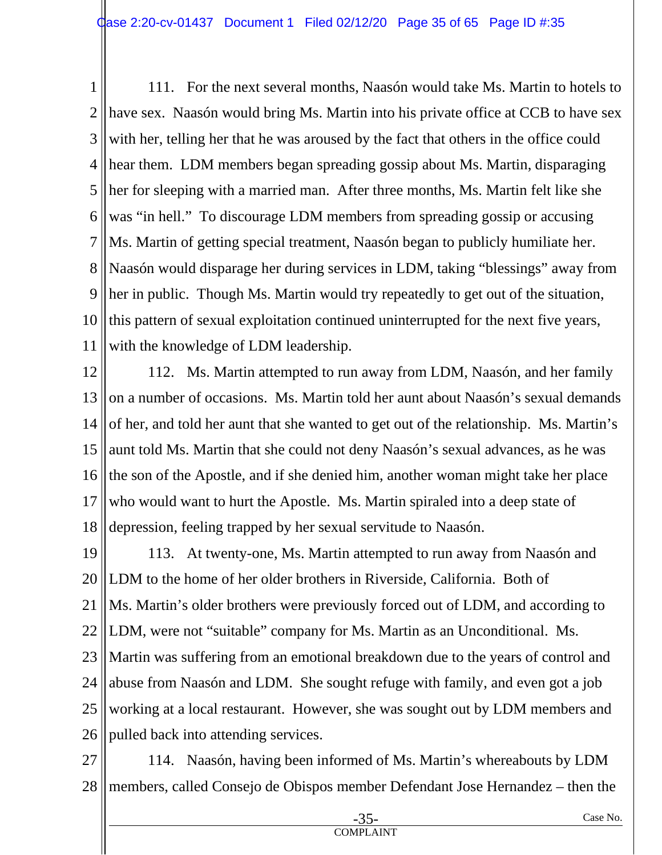1 2 3 4 5 6 7 8 9 10 11 111. For the next several months, Naasón would take Ms. Martin to hotels to have sex. Naasón would bring Ms. Martin into his private office at CCB to have sex with her, telling her that he was aroused by the fact that others in the office could hear them. LDM members began spreading gossip about Ms. Martin, disparaging her for sleeping with a married man. After three months, Ms. Martin felt like she was "in hell." To discourage LDM members from spreading gossip or accusing Ms. Martin of getting special treatment, Naasón began to publicly humiliate her. Naasón would disparage her during services in LDM, taking "blessings" away from her in public. Though Ms. Martin would try repeatedly to get out of the situation, this pattern of sexual exploitation continued uninterrupted for the next five years, with the knowledge of LDM leadership.

12 13 14 15 16 17 18 112. Ms. Martin attempted to run away from LDM, Naasón, and her family on a number of occasions. Ms. Martin told her aunt about Naasón's sexual demands of her, and told her aunt that she wanted to get out of the relationship. Ms. Martin's aunt told Ms. Martin that she could not deny Naasón's sexual advances, as he was the son of the Apostle, and if she denied him, another woman might take her place who would want to hurt the Apostle. Ms. Martin spiraled into a deep state of depression, feeling trapped by her sexual servitude to Naasón.

19 20 21 22 23 24 25 26 113. At twenty-one, Ms. Martin attempted to run away from Naasón and LDM to the home of her older brothers in Riverside, California. Both of Ms. Martin's older brothers were previously forced out of LDM, and according to LDM, were not "suitable" company for Ms. Martin as an Unconditional. Ms. Martin was suffering from an emotional breakdown due to the years of control and abuse from Naasón and LDM. She sought refuge with family, and even got a job working at a local restaurant. However, she was sought out by LDM members and pulled back into attending services.

27 28 114. Naasón, having been informed of Ms. Martin's whereabouts by LDM members, called Consejo de Obispos member Defendant Jose Hernandez – then the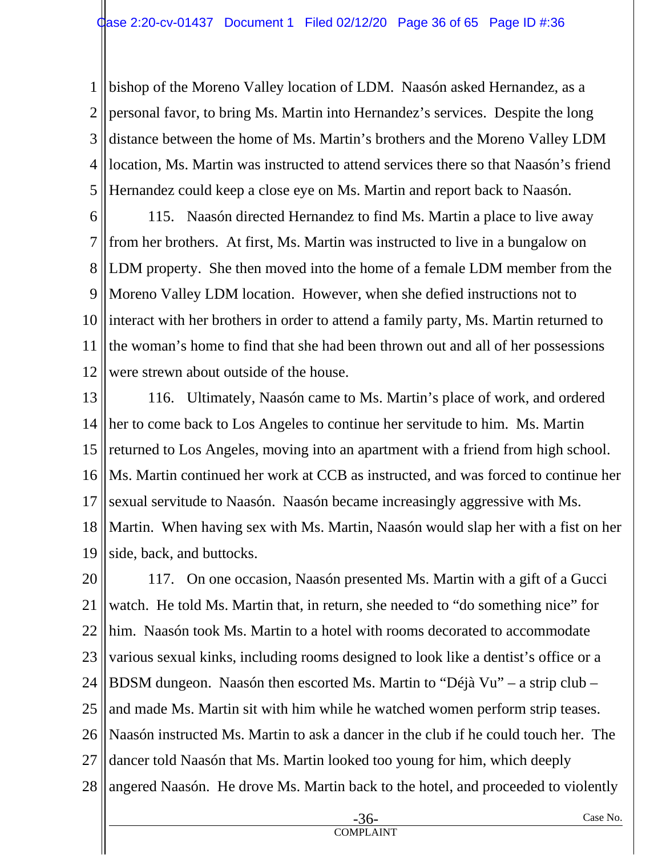1 2 3 4 5 bishop of the Moreno Valley location of LDM. Naasón asked Hernandez, as a personal favor, to bring Ms. Martin into Hernandez's services. Despite the long distance between the home of Ms. Martin's brothers and the Moreno Valley LDM location, Ms. Martin was instructed to attend services there so that Naasón's friend Hernandez could keep a close eye on Ms. Martin and report back to Naasón.

6 7 8 9 10 11 12 115. Naasón directed Hernandez to find Ms. Martin a place to live away from her brothers. At first, Ms. Martin was instructed to live in a bungalow on LDM property. She then moved into the home of a female LDM member from the Moreno Valley LDM location. However, when she defied instructions not to interact with her brothers in order to attend a family party, Ms. Martin returned to the woman's home to find that she had been thrown out and all of her possessions were strewn about outside of the house.

13 14 15 16 17 18 19 116. Ultimately, Naasón came to Ms. Martin's place of work, and ordered her to come back to Los Angeles to continue her servitude to him. Ms. Martin returned to Los Angeles, moving into an apartment with a friend from high school. Ms. Martin continued her work at CCB as instructed, and was forced to continue her sexual servitude to Naasón. Naasón became increasingly aggressive with Ms. Martin. When having sex with Ms. Martin, Naasón would slap her with a fist on her side, back, and buttocks.

20 21 22 23 24 25 26 27 28 117. On one occasion, Naasón presented Ms. Martin with a gift of a Gucci watch. He told Ms. Martin that, in return, she needed to "do something nice" for him. Naasón took Ms. Martin to a hotel with rooms decorated to accommodate various sexual kinks, including rooms designed to look like a dentist's office or a BDSM dungeon. Naasón then escorted Ms. Martin to "Déjà Vu" – a strip club – and made Ms. Martin sit with him while he watched women perform strip teases. Naasón instructed Ms. Martin to ask a dancer in the club if he could touch her. The dancer told Naasón that Ms. Martin looked too young for him, which deeply angered Naasón. He drove Ms. Martin back to the hotel, and proceeded to violently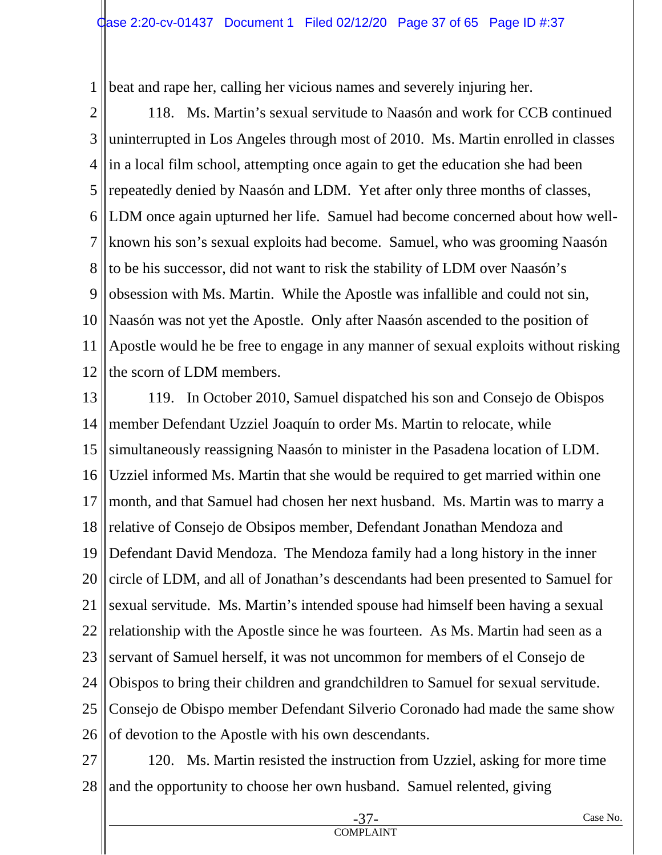1 beat and rape her, calling her vicious names and severely injuring her.

2 3 4 5 6 7 8 9 10 11 12 118. Ms. Martin's sexual servitude to Naasón and work for CCB continued uninterrupted in Los Angeles through most of 2010. Ms. Martin enrolled in classes in a local film school, attempting once again to get the education she had been repeatedly denied by Naasón and LDM. Yet after only three months of classes, LDM once again upturned her life. Samuel had become concerned about how wellknown his son's sexual exploits had become. Samuel, who was grooming Naasón to be his successor, did not want to risk the stability of LDM over Naasón's obsession with Ms. Martin. While the Apostle was infallible and could not sin, Naasón was not yet the Apostle. Only after Naasón ascended to the position of Apostle would he be free to engage in any manner of sexual exploits without risking the scorn of LDM members.

13 14 15 16 17 18 19 20 21 22 23 24 25 26 119. In October 2010, Samuel dispatched his son and Consejo de Obispos member Defendant Uzziel Joaquín to order Ms. Martin to relocate, while simultaneously reassigning Naasón to minister in the Pasadena location of LDM. Uzziel informed Ms. Martin that she would be required to get married within one month, and that Samuel had chosen her next husband. Ms. Martin was to marry a relative of Consejo de Obsipos member, Defendant Jonathan Mendoza and Defendant David Mendoza. The Mendoza family had a long history in the inner circle of LDM, and all of Jonathan's descendants had been presented to Samuel for sexual servitude. Ms. Martin's intended spouse had himself been having a sexual relationship with the Apostle since he was fourteen. As Ms. Martin had seen as a servant of Samuel herself, it was not uncommon for members of el Consejo de Obispos to bring their children and grandchildren to Samuel for sexual servitude. Consejo de Obispo member Defendant Silverio Coronado had made the same show of devotion to the Apostle with his own descendants.

27 28 120. Ms. Martin resisted the instruction from Uzziel, asking for more time and the opportunity to choose her own husband. Samuel relented, giving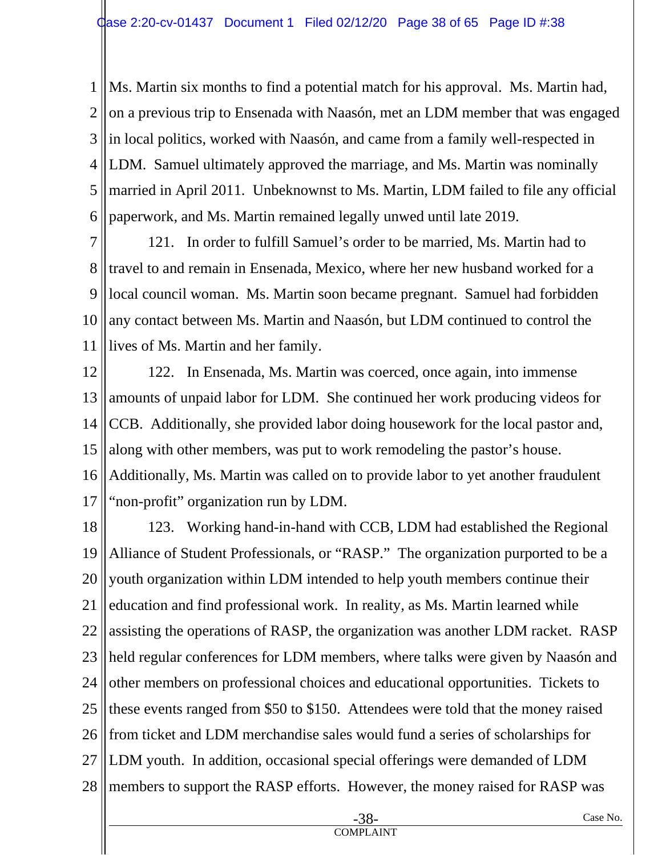1 2 3 4 5 6 Ms. Martin six months to find a potential match for his approval. Ms. Martin had, on a previous trip to Ensenada with Naasón, met an LDM member that was engaged in local politics, worked with Naasón, and came from a family well-respected in LDM. Samuel ultimately approved the marriage, and Ms. Martin was nominally married in April 2011. Unbeknownst to Ms. Martin, LDM failed to file any official paperwork, and Ms. Martin remained legally unwed until late 2019.

7 8 9 10 11 121. In order to fulfill Samuel's order to be married, Ms. Martin had to travel to and remain in Ensenada, Mexico, where her new husband worked for a local council woman. Ms. Martin soon became pregnant. Samuel had forbidden any contact between Ms. Martin and Naasón, but LDM continued to control the lives of Ms. Martin and her family.

12 13 14 15 16 17 122. In Ensenada, Ms. Martin was coerced, once again, into immense amounts of unpaid labor for LDM. She continued her work producing videos for CCB. Additionally, she provided labor doing housework for the local pastor and, along with other members, was put to work remodeling the pastor's house. Additionally, Ms. Martin was called on to provide labor to yet another fraudulent "non-profit" organization run by LDM.

18 19 20 21 22 23 24 25 26 27 28 123. Working hand-in-hand with CCB, LDM had established the Regional Alliance of Student Professionals, or "RASP." The organization purported to be a youth organization within LDM intended to help youth members continue their education and find professional work. In reality, as Ms. Martin learned while assisting the operations of RASP, the organization was another LDM racket. RASP held regular conferences for LDM members, where talks were given by Naasón and other members on professional choices and educational opportunities. Tickets to these events ranged from \$50 to \$150. Attendees were told that the money raised from ticket and LDM merchandise sales would fund a series of scholarships for LDM youth. In addition, occasional special offerings were demanded of LDM members to support the RASP efforts. However, the money raised for RASP was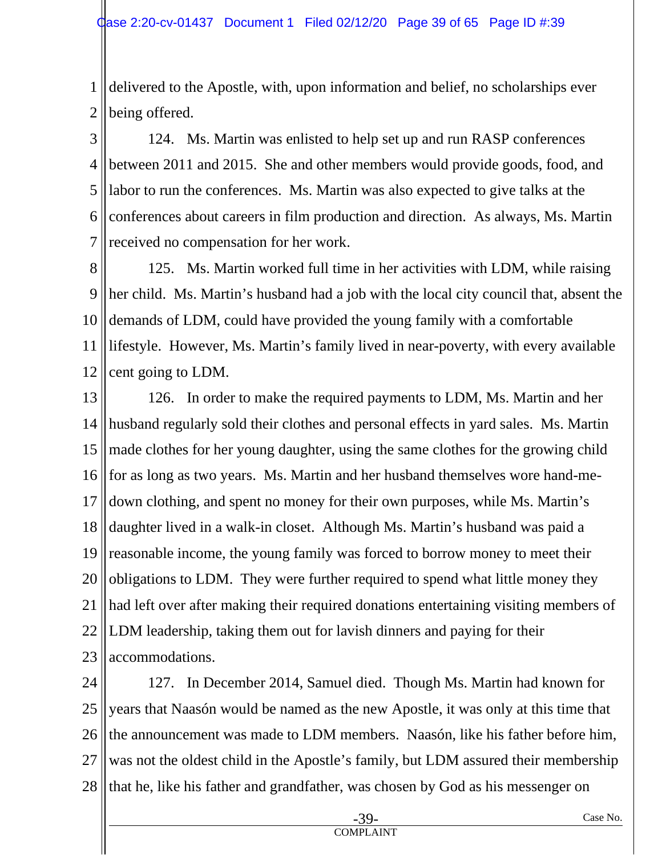1 2 delivered to the Apostle, with, upon information and belief, no scholarships ever being offered.

3 4 5 6 7 124. Ms. Martin was enlisted to help set up and run RASP conferences between 2011 and 2015. She and other members would provide goods, food, and labor to run the conferences. Ms. Martin was also expected to give talks at the conferences about careers in film production and direction. As always, Ms. Martin received no compensation for her work.

8 9 10 11 12 125. Ms. Martin worked full time in her activities with LDM, while raising her child. Ms. Martin's husband had a job with the local city council that, absent the demands of LDM, could have provided the young family with a comfortable lifestyle. However, Ms. Martin's family lived in near-poverty, with every available cent going to LDM.

13 14 15 16 17 18 19 20 21 22 23 126. In order to make the required payments to LDM, Ms. Martin and her husband regularly sold their clothes and personal effects in yard sales. Ms. Martin made clothes for her young daughter, using the same clothes for the growing child for as long as two years. Ms. Martin and her husband themselves wore hand-medown clothing, and spent no money for their own purposes, while Ms. Martin's daughter lived in a walk-in closet. Although Ms. Martin's husband was paid a reasonable income, the young family was forced to borrow money to meet their obligations to LDM. They were further required to spend what little money they had left over after making their required donations entertaining visiting members of LDM leadership, taking them out for lavish dinners and paying for their accommodations.

24 25 26 27 28 127. In December 2014, Samuel died. Though Ms. Martin had known for years that Naasón would be named as the new Apostle, it was only at this time that the announcement was made to LDM members. Naasón, like his father before him, was not the oldest child in the Apostle's family, but LDM assured their membership that he, like his father and grandfather, was chosen by God as his messenger on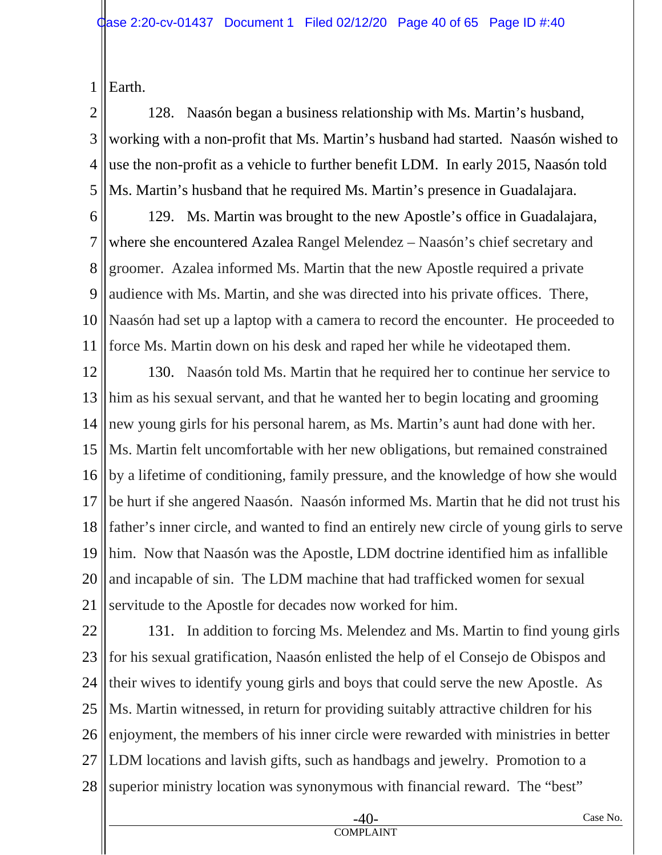1 Earth.

2 3 4 5 128. Naasón began a business relationship with Ms. Martin's husband, working with a non-profit that Ms. Martin's husband had started. Naasón wished to use the non-profit as a vehicle to further benefit LDM. In early 2015, Naasón told Ms. Martin's husband that he required Ms. Martin's presence in Guadalajara.

6 7 8 9 10 11 129. Ms. Martin was brought to the new Apostle's office in Guadalajara, where she encountered Azalea Rangel Melendez – Naasón's chief secretary and groomer. Azalea informed Ms. Martin that the new Apostle required a private audience with Ms. Martin, and she was directed into his private offices. There, Naasón had set up a laptop with a camera to record the encounter. He proceeded to force Ms. Martin down on his desk and raped her while he videotaped them.

12 13 14 15 16 17 18 19 20 21 130. Naasón told Ms. Martin that he required her to continue her service to him as his sexual servant, and that he wanted her to begin locating and grooming new young girls for his personal harem, as Ms. Martin's aunt had done with her. Ms. Martin felt uncomfortable with her new obligations, but remained constrained by a lifetime of conditioning, family pressure, and the knowledge of how she would be hurt if she angered Naasón. Naasón informed Ms. Martin that he did not trust his father's inner circle, and wanted to find an entirely new circle of young girls to serve him. Now that Naasón was the Apostle, LDM doctrine identified him as infallible and incapable of sin. The LDM machine that had trafficked women for sexual servitude to the Apostle for decades now worked for him.

22 23 24 25 26 27 28 131. In addition to forcing Ms. Melendez and Ms. Martin to find young girls for his sexual gratification, Naasón enlisted the help of el Consejo de Obispos and their wives to identify young girls and boys that could serve the new Apostle. As Ms. Martin witnessed, in return for providing suitably attractive children for his enjoyment, the members of his inner circle were rewarded with ministries in better LDM locations and lavish gifts, such as handbags and jewelry. Promotion to a superior ministry location was synonymous with financial reward. The "best"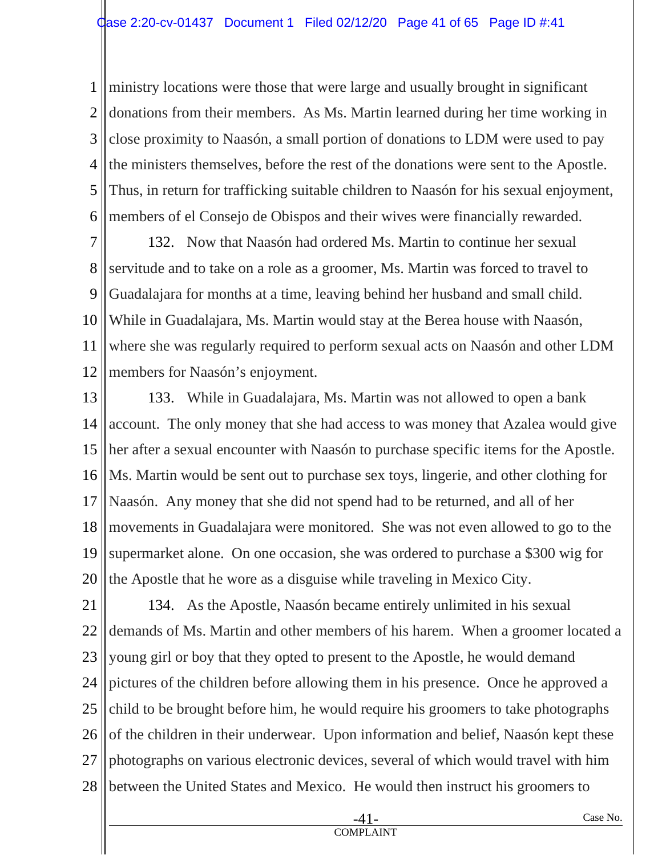1 2 3 4 5 6 ministry locations were those that were large and usually brought in significant donations from their members. As Ms. Martin learned during her time working in close proximity to Naasón, a small portion of donations to LDM were used to pay the ministers themselves, before the rest of the donations were sent to the Apostle. Thus, in return for trafficking suitable children to Naasón for his sexual enjoyment, members of el Consejo de Obispos and their wives were financially rewarded.

7 8 9 10 11 12 132. Now that Naasón had ordered Ms. Martin to continue her sexual servitude and to take on a role as a groomer, Ms. Martin was forced to travel to Guadalajara for months at a time, leaving behind her husband and small child. While in Guadalajara, Ms. Martin would stay at the Berea house with Naasón, where she was regularly required to perform sexual acts on Naasón and other LDM members for Naasón's enjoyment.

13 14 15 16 17 18 19 20 133. While in Guadalajara, Ms. Martin was not allowed to open a bank account. The only money that she had access to was money that Azalea would give her after a sexual encounter with Naasón to purchase specific items for the Apostle. Ms. Martin would be sent out to purchase sex toys, lingerie, and other clothing for Naasón. Any money that she did not spend had to be returned, and all of her movements in Guadalajara were monitored. She was not even allowed to go to the supermarket alone. On one occasion, she was ordered to purchase a \$300 wig for the Apostle that he wore as a disguise while traveling in Mexico City.

21 22 23 24 25 26 27 28 134. As the Apostle, Naasón became entirely unlimited in his sexual demands of Ms. Martin and other members of his harem. When a groomer located a young girl or boy that they opted to present to the Apostle, he would demand pictures of the children before allowing them in his presence. Once he approved a child to be brought before him, he would require his groomers to take photographs of the children in their underwear. Upon information and belief, Naasón kept these photographs on various electronic devices, several of which would travel with him between the United States and Mexico. He would then instruct his groomers to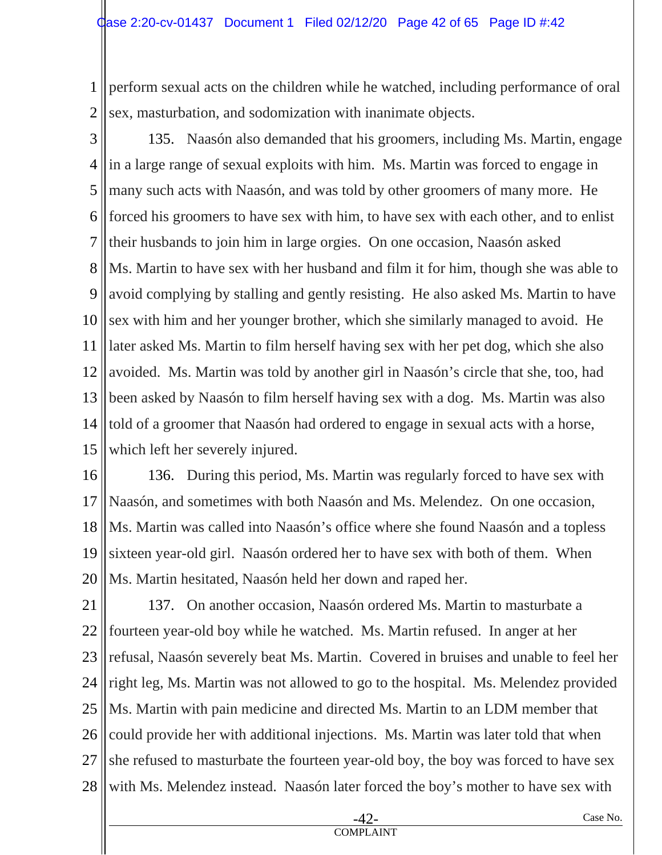1 2 perform sexual acts on the children while he watched, including performance of oral sex, masturbation, and sodomization with inanimate objects.

3 4 5 6 7 8 9 10 11 12 13 14 15 135. Naasón also demanded that his groomers, including Ms. Martin, engage in a large range of sexual exploits with him. Ms. Martin was forced to engage in many such acts with Naasón, and was told by other groomers of many more. He forced his groomers to have sex with him, to have sex with each other, and to enlist their husbands to join him in large orgies. On one occasion, Naasón asked Ms. Martin to have sex with her husband and film it for him, though she was able to avoid complying by stalling and gently resisting. He also asked Ms. Martin to have sex with him and her younger brother, which she similarly managed to avoid. He later asked Ms. Martin to film herself having sex with her pet dog, which she also avoided. Ms. Martin was told by another girl in Naasón's circle that she, too, had been asked by Naasón to film herself having sex with a dog. Ms. Martin was also told of a groomer that Naasón had ordered to engage in sexual acts with a horse, which left her severely injured.

16 17 18 19 20 136. During this period, Ms. Martin was regularly forced to have sex with Naasón, and sometimes with both Naasón and Ms. Melendez. On one occasion, Ms. Martin was called into Naasón's office where she found Naasón and a topless sixteen year-old girl. Naasón ordered her to have sex with both of them. When Ms. Martin hesitated, Naasón held her down and raped her.

21 22 23 24 25 26 27 28 137. On another occasion, Naasón ordered Ms. Martin to masturbate a fourteen year-old boy while he watched. Ms. Martin refused. In anger at her refusal, Naasón severely beat Ms. Martin. Covered in bruises and unable to feel her right leg, Ms. Martin was not allowed to go to the hospital. Ms. Melendez provided Ms. Martin with pain medicine and directed Ms. Martin to an LDM member that could provide her with additional injections. Ms. Martin was later told that when she refused to masturbate the fourteen year-old boy, the boy was forced to have sex with Ms. Melendez instead. Naasón later forced the boy's mother to have sex with

COMPLAINT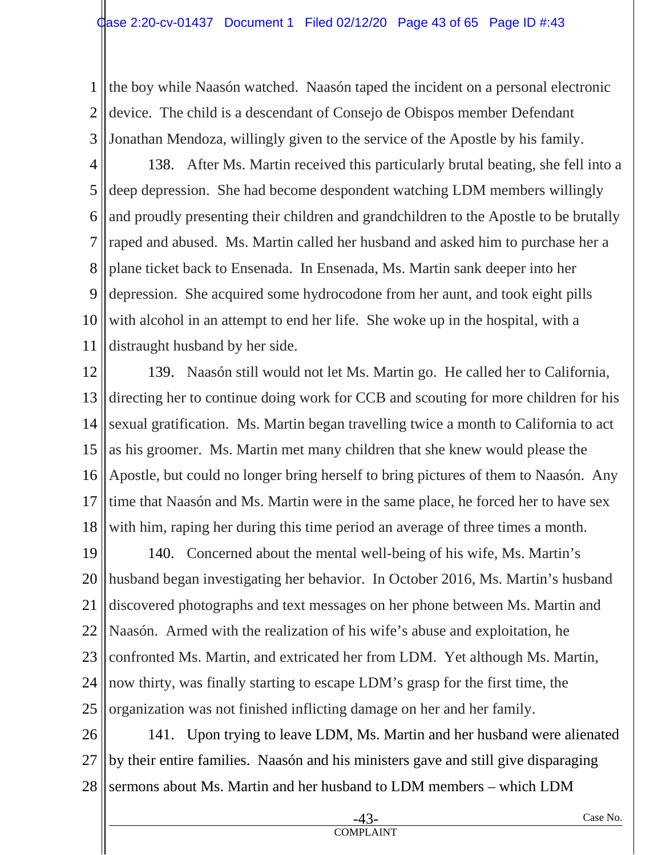1 2 3 the boy while Naasón watched. Naasón taped the incident on a personal electronic device. The child is a descendant of Consejo de Obispos member Defendant Jonathan Mendoza, willingly given to the service of the Apostle by his family.

- 4 5 6 7 8 9 10 11 138. After Ms. Martin received this particularly brutal beating, she fell into a deep depression. She had become despondent watching LDM members willingly and proudly presenting their children and grandchildren to the Apostle to be brutally raped and abused. Ms. Martin called her husband and asked him to purchase her a plane ticket back to Ensenada. In Ensenada, Ms. Martin sank deeper into her depression. She acquired some hydrocodone from her aunt, and took eight pills with alcohol in an attempt to end her life. She woke up in the hospital, with a distraught husband by her side.
- 12 13 14 15 16 17 18 139. Naasón still would not let Ms. Martin go. He called her to California, directing her to continue doing work for CCB and scouting for more children for his sexual gratification. Ms. Martin began travelling twice a month to California to act as his groomer. Ms. Martin met many children that she knew would please the Apostle, but could no longer bring herself to bring pictures of them to Naasón. Any time that Naasón and Ms. Martin were in the same place, he forced her to have sex with him, raping her during this time period an average of three times a month.
- 19 20 21 22 23 24 25 140. Concerned about the mental well-being of his wife, Ms. Martin's husband began investigating her behavior. In October 2016, Ms. Martin's husband discovered photographs and text messages on her phone between Ms. Martin and Naasón. Armed with the realization of his wife's abuse and exploitation, he confronted Ms. Martin, and extricated her from LDM. Yet although Ms. Martin, now thirty, was finally starting to escape LDM's grasp for the first time, the organization was not finished inflicting damage on her and her family.
- 26 27 28 141. Upon trying to leave LDM, Ms. Martin and her husband were alienated by their entire families. Naasón and his ministers gave and still give disparaging sermons about Ms. Martin and her husband to LDM members – which LDM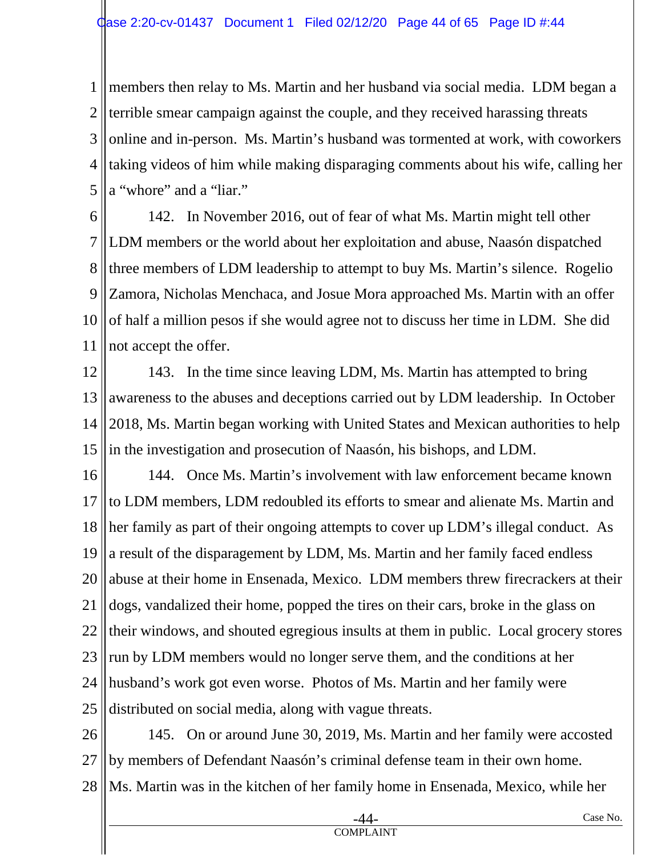1 2 3 4 5 members then relay to Ms. Martin and her husband via social media. LDM began a terrible smear campaign against the couple, and they received harassing threats online and in-person. Ms. Martin's husband was tormented at work, with coworkers taking videos of him while making disparaging comments about his wife, calling her a "whore" and a "liar."

6 7 8 9 10 11 142. In November 2016, out of fear of what Ms. Martin might tell other LDM members or the world about her exploitation and abuse, Naasón dispatched three members of LDM leadership to attempt to buy Ms. Martin's silence. Rogelio Zamora, Nicholas Menchaca, and Josue Mora approached Ms. Martin with an offer of half a million pesos if she would agree not to discuss her time in LDM. She did not accept the offer.

12 13 14 15 143. In the time since leaving LDM, Ms. Martin has attempted to bring awareness to the abuses and deceptions carried out by LDM leadership. In October 2018, Ms. Martin began working with United States and Mexican authorities to help in the investigation and prosecution of Naasón, his bishops, and LDM.

16 17 18 19 20 21 22 23 24 25 144. Once Ms. Martin's involvement with law enforcement became known to LDM members, LDM redoubled its efforts to smear and alienate Ms. Martin and her family as part of their ongoing attempts to cover up LDM's illegal conduct. As a result of the disparagement by LDM, Ms. Martin and her family faced endless abuse at their home in Ensenada, Mexico. LDM members threw firecrackers at their dogs, vandalized their home, popped the tires on their cars, broke in the glass on their windows, and shouted egregious insults at them in public. Local grocery stores run by LDM members would no longer serve them, and the conditions at her husband's work got even worse. Photos of Ms. Martin and her family were distributed on social media, along with vague threats.

26 27 28 145. On or around June 30, 2019, Ms. Martin and her family were accosted by members of Defendant Naasón's criminal defense team in their own home. Ms. Martin was in the kitchen of her family home in Ensenada, Mexico, while her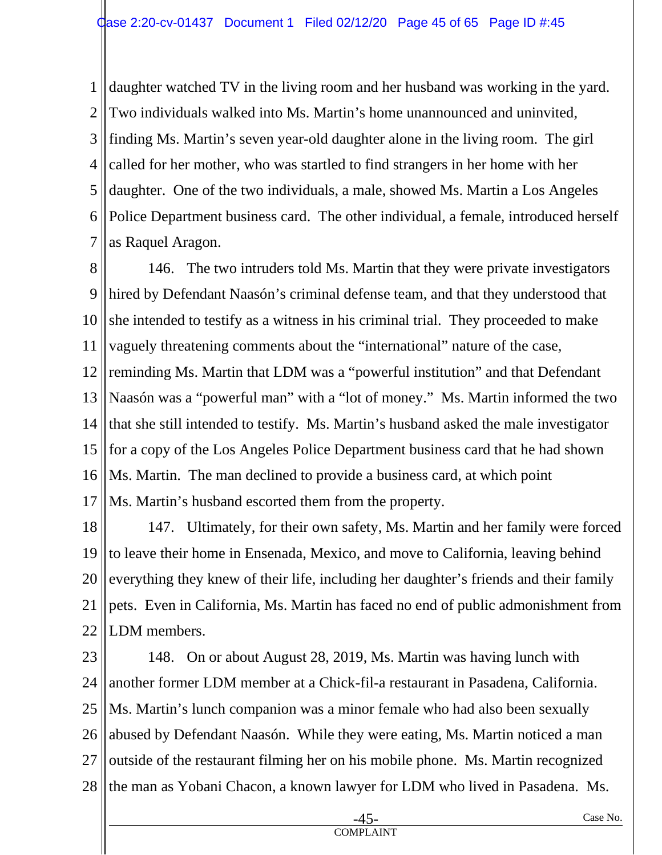1 2 3 4 5 6 7 daughter watched TV in the living room and her husband was working in the yard. Two individuals walked into Ms. Martin's home unannounced and uninvited, finding Ms. Martin's seven year-old daughter alone in the living room. The girl called for her mother, who was startled to find strangers in her home with her daughter. One of the two individuals, a male, showed Ms. Martin a Los Angeles Police Department business card. The other individual, a female, introduced herself as Raquel Aragon.

8 9 10 11 12 13 14 15 16 17 146. The two intruders told Ms. Martin that they were private investigators hired by Defendant Naasón's criminal defense team, and that they understood that she intended to testify as a witness in his criminal trial. They proceeded to make vaguely threatening comments about the "international" nature of the case, reminding Ms. Martin that LDM was a "powerful institution" and that Defendant Naasón was a "powerful man" with a "lot of money." Ms. Martin informed the two that she still intended to testify. Ms. Martin's husband asked the male investigator for a copy of the Los Angeles Police Department business card that he had shown Ms. Martin. The man declined to provide a business card, at which point Ms. Martin's husband escorted them from the property.

18 19 20 21 22 147. Ultimately, for their own safety, Ms. Martin and her family were forced to leave their home in Ensenada, Mexico, and move to California, leaving behind everything they knew of their life, including her daughter's friends and their family pets. Even in California, Ms. Martin has faced no end of public admonishment from LDM members.

23 24 25 26 27 28 148. On or about August 28, 2019, Ms. Martin was having lunch with another former LDM member at a Chick-fil-a restaurant in Pasadena, California. Ms. Martin's lunch companion was a minor female who had also been sexually abused by Defendant Naasón. While they were eating, Ms. Martin noticed a man outside of the restaurant filming her on his mobile phone. Ms. Martin recognized the man as Yobani Chacon, a known lawyer for LDM who lived in Pasadena. Ms.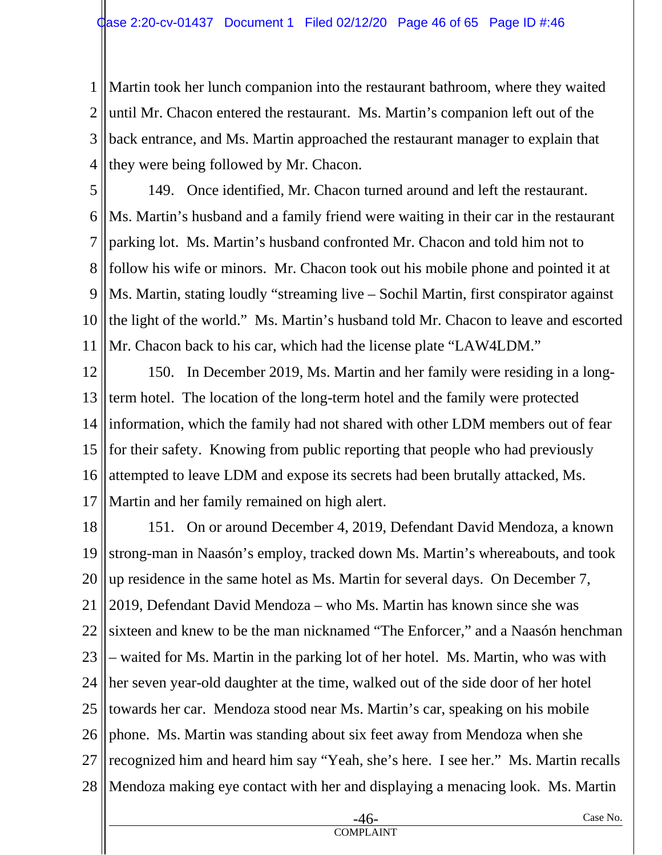1 2 3 4 Martin took her lunch companion into the restaurant bathroom, where they waited until Mr. Chacon entered the restaurant. Ms. Martin's companion left out of the back entrance, and Ms. Martin approached the restaurant manager to explain that they were being followed by Mr. Chacon.

5 6 7 8 9 10 11 149. Once identified, Mr. Chacon turned around and left the restaurant. Ms. Martin's husband and a family friend were waiting in their car in the restaurant parking lot. Ms. Martin's husband confronted Mr. Chacon and told him not to follow his wife or minors. Mr. Chacon took out his mobile phone and pointed it at Ms. Martin, stating loudly "streaming live – Sochil Martin, first conspirator against the light of the world." Ms. Martin's husband told Mr. Chacon to leave and escorted Mr. Chacon back to his car, which had the license plate "LAW4LDM."

12 13 14 15 16 17 150. In December 2019, Ms. Martin and her family were residing in a longterm hotel. The location of the long-term hotel and the family were protected information, which the family had not shared with other LDM members out of fear for their safety. Knowing from public reporting that people who had previously attempted to leave LDM and expose its secrets had been brutally attacked, Ms. Martin and her family remained on high alert.

18 19 20 21 22 23 24 25 26 27 28 151. On or around December 4, 2019, Defendant David Mendoza, a known strong-man in Naasón's employ, tracked down Ms. Martin's whereabouts, and took up residence in the same hotel as Ms. Martin for several days. On December 7, 2019, Defendant David Mendoza – who Ms. Martin has known since she was sixteen and knew to be the man nicknamed "The Enforcer," and a Naasón henchman – waited for Ms. Martin in the parking lot of her hotel. Ms. Martin, who was with her seven year-old daughter at the time, walked out of the side door of her hotel towards her car. Mendoza stood near Ms. Martin's car, speaking on his mobile phone. Ms. Martin was standing about six feet away from Mendoza when she recognized him and heard him say "Yeah, she's here. I see her." Ms. Martin recalls Mendoza making eye contact with her and displaying a menacing look. Ms. Martin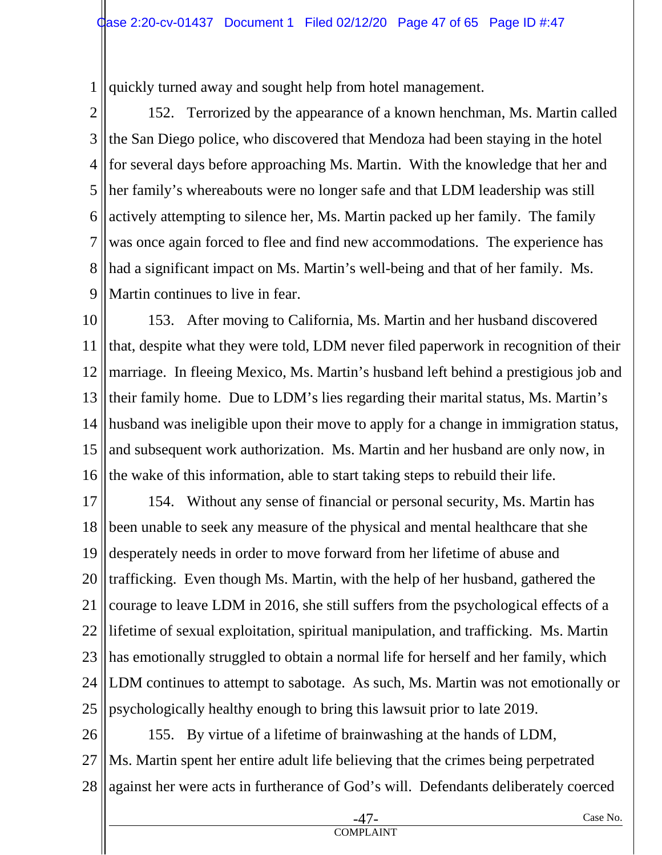1 quickly turned away and sought help from hotel management.

2 3 4 5 6 7 8 9 152. Terrorized by the appearance of a known henchman, Ms. Martin called the San Diego police, who discovered that Mendoza had been staying in the hotel for several days before approaching Ms. Martin. With the knowledge that her and her family's whereabouts were no longer safe and that LDM leadership was still actively attempting to silence her, Ms. Martin packed up her family. The family was once again forced to flee and find new accommodations. The experience has had a significant impact on Ms. Martin's well-being and that of her family. Ms. Martin continues to live in fear.

10 11 12 13 14 15 16 153. After moving to California, Ms. Martin and her husband discovered that, despite what they were told, LDM never filed paperwork in recognition of their marriage. In fleeing Mexico, Ms. Martin's husband left behind a prestigious job and their family home. Due to LDM's lies regarding their marital status, Ms. Martin's husband was ineligible upon their move to apply for a change in immigration status, and subsequent work authorization. Ms. Martin and her husband are only now, in the wake of this information, able to start taking steps to rebuild their life.

17 18 19 20 21 22 23 24 25 154. Without any sense of financial or personal security, Ms. Martin has been unable to seek any measure of the physical and mental healthcare that she desperately needs in order to move forward from her lifetime of abuse and trafficking. Even though Ms. Martin, with the help of her husband, gathered the courage to leave LDM in 2016, she still suffers from the psychological effects of a lifetime of sexual exploitation, spiritual manipulation, and trafficking. Ms. Martin has emotionally struggled to obtain a normal life for herself and her family, which LDM continues to attempt to sabotage. As such, Ms. Martin was not emotionally or psychologically healthy enough to bring this lawsuit prior to late 2019.

26 27 28 155. By virtue of a lifetime of brainwashing at the hands of LDM, Ms. Martin spent her entire adult life believing that the crimes being perpetrated against her were acts in furtherance of God's will. Defendants deliberately coerced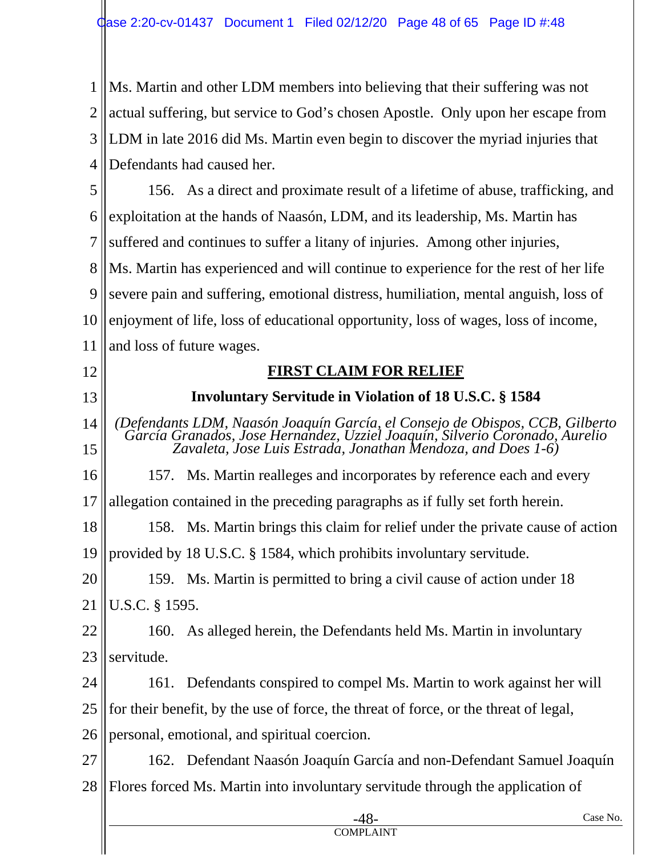1 2 3 4 Ms. Martin and other LDM members into believing that their suffering was not actual suffering, but service to God's chosen Apostle. Only upon her escape from LDM in late 2016 did Ms. Martin even begin to discover the myriad injuries that Defendants had caused her.

5 6 7 8 9 10 11 156. As a direct and proximate result of a lifetime of abuse, trafficking, and exploitation at the hands of Naasón, LDM, and its leadership, Ms. Martin has suffered and continues to suffer a litany of injuries. Among other injuries, Ms. Martin has experienced and will continue to experience for the rest of her life severe pain and suffering, emotional distress, humiliation, mental anguish, loss of enjoyment of life, loss of educational opportunity, loss of wages, loss of income, and loss of future wages.

12

13

## **FIRST CLAIM FOR RELIEF**

**Involuntary Servitude in Violation of 18 U.S.C. § 1584** 

14 15 *(Defendants LDM, Naasón Joaquín García, el Consejo de Obispos, CCB, Gilberto García Granados, Jose Hernandez, Uzziel Joaquín, Silverio Coronado, Aurelio Zavaleta, Jose Luis Estrada, Jonathan Mendoza, and Does 1-6)* 

16 157. Ms. Martin realleges and incorporates by reference each and every

17 allegation contained in the preceding paragraphs as if fully set forth herein.

18 19 158. Ms. Martin brings this claim for relief under the private cause of action provided by 18 U.S.C. § 1584, which prohibits involuntary servitude.

20 159. Ms. Martin is permitted to bring a civil cause of action under 18

21 U.S.C. § 1595.

22 23 160. As alleged herein, the Defendants held Ms. Martin in involuntary servitude.

24 25 26 161. Defendants conspired to compel Ms. Martin to work against her will for their benefit, by the use of force, the threat of force, or the threat of legal, personal, emotional, and spiritual coercion.

27 162. Defendant Naasón Joaquín García and non-Defendant Samuel Joaquín

28 Flores forced Ms. Martin into involuntary servitude through the application of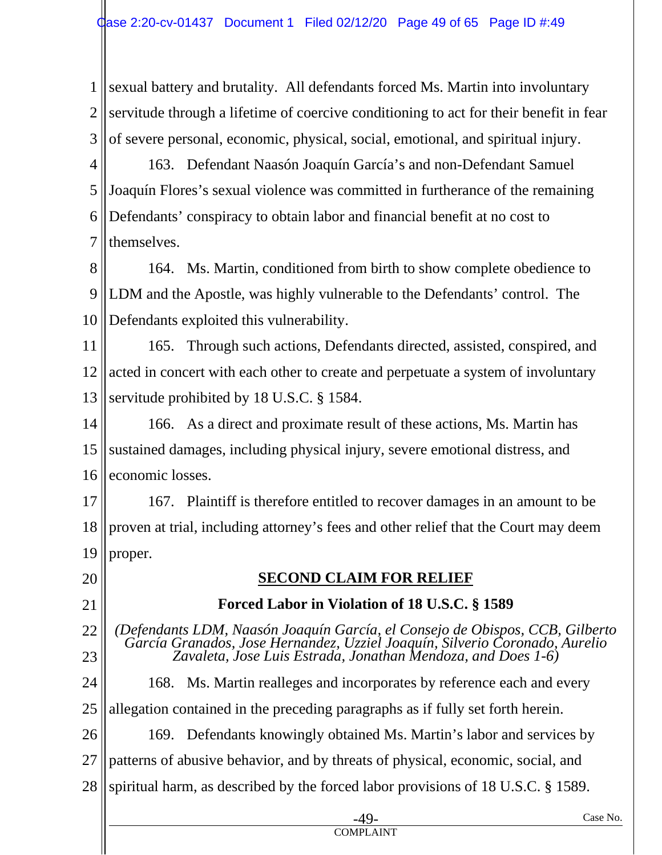1 2 3 sexual battery and brutality. All defendants forced Ms. Martin into involuntary servitude through a lifetime of coercive conditioning to act for their benefit in fear of severe personal, economic, physical, social, emotional, and spiritual injury.

4 5 6 7 163. Defendant Naasón Joaquín García's and non-Defendant Samuel Joaquín Flores's sexual violence was committed in furtherance of the remaining Defendants' conspiracy to obtain labor and financial benefit at no cost to themselves.

8 9 10 164. Ms. Martin, conditioned from birth to show complete obedience to LDM and the Apostle, was highly vulnerable to the Defendants' control. The Defendants exploited this vulnerability.

11 12 13 165. Through such actions, Defendants directed, assisted, conspired, and acted in concert with each other to create and perpetuate a system of involuntary servitude prohibited by 18 U.S.C. § 1584.

14 15 16 166. As a direct and proximate result of these actions, Ms. Martin has sustained damages, including physical injury, severe emotional distress, and economic losses.

17 18 19 167. Plaintiff is therefore entitled to recover damages in an amount to be proven at trial, including attorney's fees and other relief that the Court may deem proper.

20 21 22 23 24 25 26 27 28 -49- Case No. **SECOND CLAIM FOR RELIEF Forced Labor in Violation of 18 U.S.C. § 1589**  *(Defendants LDM, Naasón Joaquín García, el Consejo de Obispos, CCB, Gilberto García Granados, Jose Hernandez, Uzziel Joaquín, Silverio Coronado, Aurelio Zavaleta, Jose Luis Estrada, Jonathan Mendoza, and Does 1-6)*  168. Ms. Martin realleges and incorporates by reference each and every allegation contained in the preceding paragraphs as if fully set forth herein. 169. Defendants knowingly obtained Ms. Martin's labor and services by patterns of abusive behavior, and by threats of physical, economic, social, and spiritual harm, as described by the forced labor provisions of 18 U.S.C. § 1589.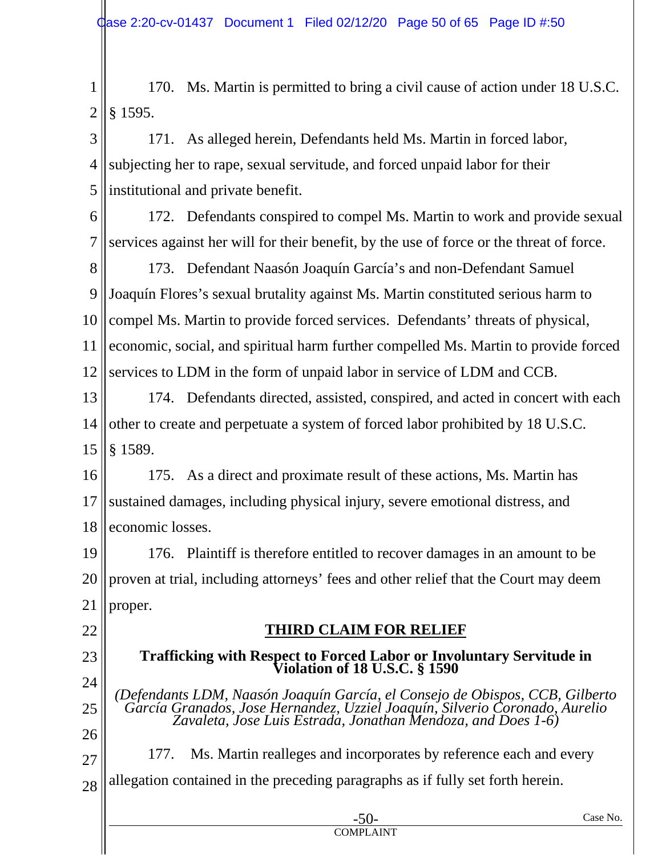1 2 170. Ms. Martin is permitted to bring a civil cause of action under 18 U.S.C. § 1595.

3 4 5 171. As alleged herein, Defendants held Ms. Martin in forced labor, subjecting her to rape, sexual servitude, and forced unpaid labor for their institutional and private benefit.

6

7 172. Defendants conspired to compel Ms. Martin to work and provide sexual services against her will for their benefit, by the use of force or the threat of force.

8 9 10 11 12 173. Defendant Naasón Joaquín García's and non-Defendant Samuel Joaquín Flores's sexual brutality against Ms. Martin constituted serious harm to compel Ms. Martin to provide forced services. Defendants' threats of physical, economic, social, and spiritual harm further compelled Ms. Martin to provide forced services to LDM in the form of unpaid labor in service of LDM and CCB.

13 14 15 174. Defendants directed, assisted, conspired, and acted in concert with each other to create and perpetuate a system of forced labor prohibited by 18 U.S.C. § 1589.

16 17 18 175. As a direct and proximate result of these actions, Ms. Martin has sustained damages, including physical injury, severe emotional distress, and economic losses.

19 20 21 176. Plaintiff is therefore entitled to recover damages in an amount to be proven at trial, including attorneys' fees and other relief that the Court may deem proper.

# 22

23

# **THIRD CLAIM FOR RELIEF**

#### **Trafficking with Respect to Forced Labor or Involuntary Servitude in Violation of 18 U.S.C. § 1590**

24 25 26 *(Defendants LDM, Naasón Joaquín García, el Consejo de Obispos, CCB, Gilberto García Granados, Jose Hernandez, Uzziel Joaquín, Silverio Coronado, Aurelio Zavaleta, Jose Luis Estrada, Jonathan Mendoza, and Does 1-6)* 

27 28 177. Ms. Martin realleges and incorporates by reference each and every allegation contained in the preceding paragraphs as if fully set forth herein.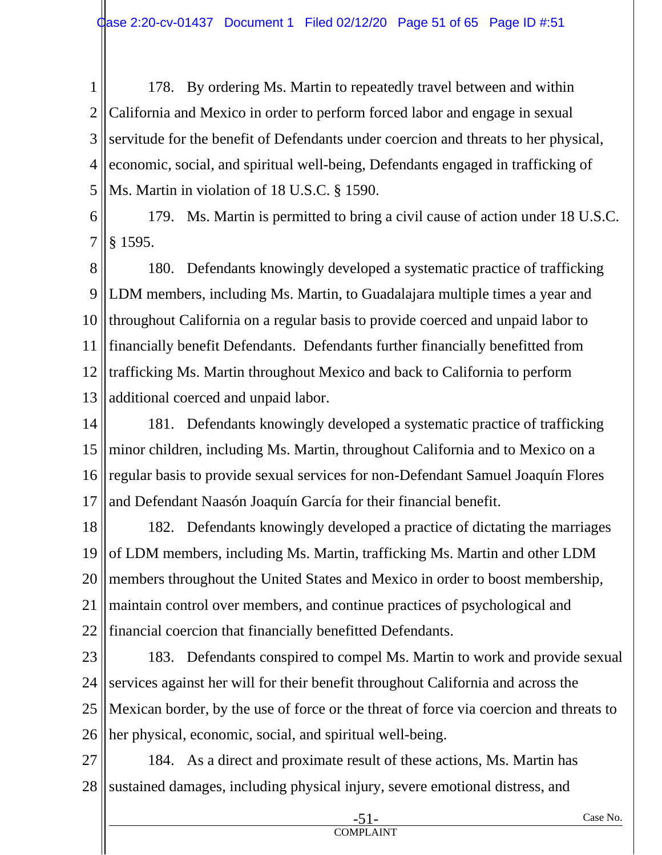1 2 3 4 5 178. By ordering Ms. Martin to repeatedly travel between and within California and Mexico in order to perform forced labor and engage in sexual servitude for the benefit of Defendants under coercion and threats to her physical, economic, social, and spiritual well-being, Defendants engaged in trafficking of Ms. Martin in violation of 18 U.S.C. § 1590.

6 7 179. Ms. Martin is permitted to bring a civil cause of action under 18 U.S.C. § 1595.

8 9 10 11 12 13 180. Defendants knowingly developed a systematic practice of trafficking LDM members, including Ms. Martin, to Guadalajara multiple times a year and throughout California on a regular basis to provide coerced and unpaid labor to financially benefit Defendants. Defendants further financially benefitted from trafficking Ms. Martin throughout Mexico and back to California to perform additional coerced and unpaid labor.

14 15 16 17 181. Defendants knowingly developed a systematic practice of trafficking minor children, including Ms. Martin, throughout California and to Mexico on a regular basis to provide sexual services for non-Defendant Samuel Joaquín Flores and Defendant Naasón Joaquín García for their financial benefit.

18 19 20 21 22 182. Defendants knowingly developed a practice of dictating the marriages of LDM members, including Ms. Martin, trafficking Ms. Martin and other LDM members throughout the United States and Mexico in order to boost membership, maintain control over members, and continue practices of psychological and financial coercion that financially benefitted Defendants.

23 24 25 26 183. Defendants conspired to compel Ms. Martin to work and provide sexual services against her will for their benefit throughout California and across the Mexican border, by the use of force or the threat of force via coercion and threats to her physical, economic, social, and spiritual well-being.

27 28 184. As a direct and proximate result of these actions, Ms. Martin has sustained damages, including physical injury, severe emotional distress, and

COMPLAINT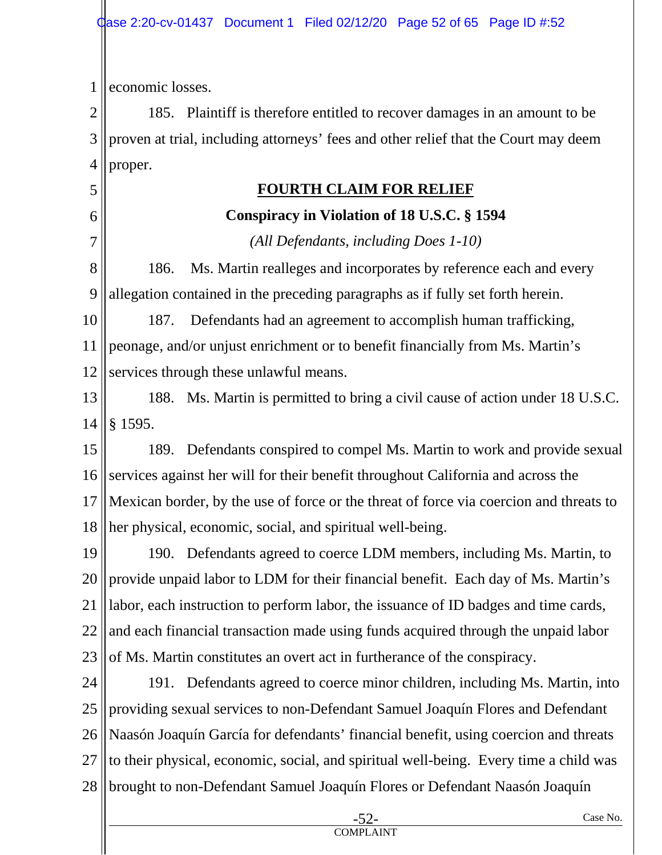1 economic losses.

5

6

7

2 3 4 185. Plaintiff is therefore entitled to recover damages in an amount to be proven at trial, including attorneys' fees and other relief that the Court may deem proper.

# **FOURTH CLAIM FOR RELIEF**

# **Conspiracy in Violation of 18 U.S.C. § 1594**

*(All Defendants, including Does 1-10)* 

8 9 186. Ms. Martin realleges and incorporates by reference each and every allegation contained in the preceding paragraphs as if fully set forth herein.

10 11 12 187. Defendants had an agreement to accomplish human trafficking, peonage, and/or unjust enrichment or to benefit financially from Ms. Martin's services through these unlawful means.

13 14 188. Ms. Martin is permitted to bring a civil cause of action under 18 U.S.C. § 1595.

15 16 17 18 189. Defendants conspired to compel Ms. Martin to work and provide sexual services against her will for their benefit throughout California and across the Mexican border, by the use of force or the threat of force via coercion and threats to her physical, economic, social, and spiritual well-being.

19 20 21 22 23 190. Defendants agreed to coerce LDM members, including Ms. Martin, to provide unpaid labor to LDM for their financial benefit. Each day of Ms. Martin's labor, each instruction to perform labor, the issuance of ID badges and time cards, and each financial transaction made using funds acquired through the unpaid labor of Ms. Martin constitutes an overt act in furtherance of the conspiracy.

24 25 26 27 28 191. Defendants agreed to coerce minor children, including Ms. Martin, into providing sexual services to non-Defendant Samuel Joaquín Flores and Defendant Naasón Joaquín García for defendants' financial benefit, using coercion and threats to their physical, economic, social, and spiritual well-being. Every time a child was brought to non-Defendant Samuel Joaquín Flores or Defendant Naasón Joaquín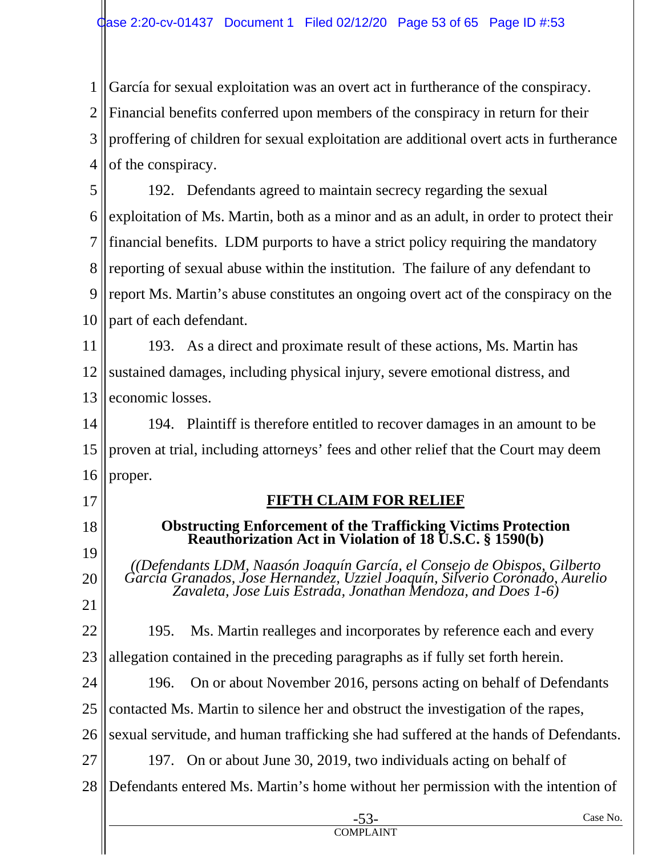1 2 3 4 García for sexual exploitation was an overt act in furtherance of the conspiracy. Financial benefits conferred upon members of the conspiracy in return for their proffering of children for sexual exploitation are additional overt acts in furtherance of the conspiracy.

5 6 7 8 9 10 192. Defendants agreed to maintain secrecy regarding the sexual exploitation of Ms. Martin, both as a minor and as an adult, in order to protect their financial benefits. LDM purports to have a strict policy requiring the mandatory reporting of sexual abuse within the institution. The failure of any defendant to report Ms. Martin's abuse constitutes an ongoing overt act of the conspiracy on the part of each defendant.

11 12 13 193. As a direct and proximate result of these actions, Ms. Martin has sustained damages, including physical injury, severe emotional distress, and economic losses.

14 15 16 194. Plaintiff is therefore entitled to recover damages in an amount to be proven at trial, including attorneys' fees and other relief that the Court may deem proper.

17

18

19

20

21

# **FIFTH CLAIM FOR RELIEF**

#### **Obstructing Enforcement of the Trafficking Victims Protection Reauthorization Act in Violation of 18 U.S.C. § 1590(b)**

*((Defendants LDM, Naasón Joaquín García, el Consejo de Obispos, Gilberto García Granados, Jose Hernandez, Uzziel Joaquín, Silverio Coronado, Aurelio Zavaleta, Jose Luis Estrada, Jonathan Mendoza, and Does 1-6)* 

22 23 195. Ms. Martin realleges and incorporates by reference each and every allegation contained in the preceding paragraphs as if fully set forth herein.

24 25 196. On or about November 2016, persons acting on behalf of Defendants contacted Ms. Martin to silence her and obstruct the investigation of the rapes,

26 sexual servitude, and human trafficking she had suffered at the hands of Defendants.

27 197. On or about June 30, 2019, two individuals acting on behalf of

28 Defendants entered Ms. Martin's home without her permission with the intention of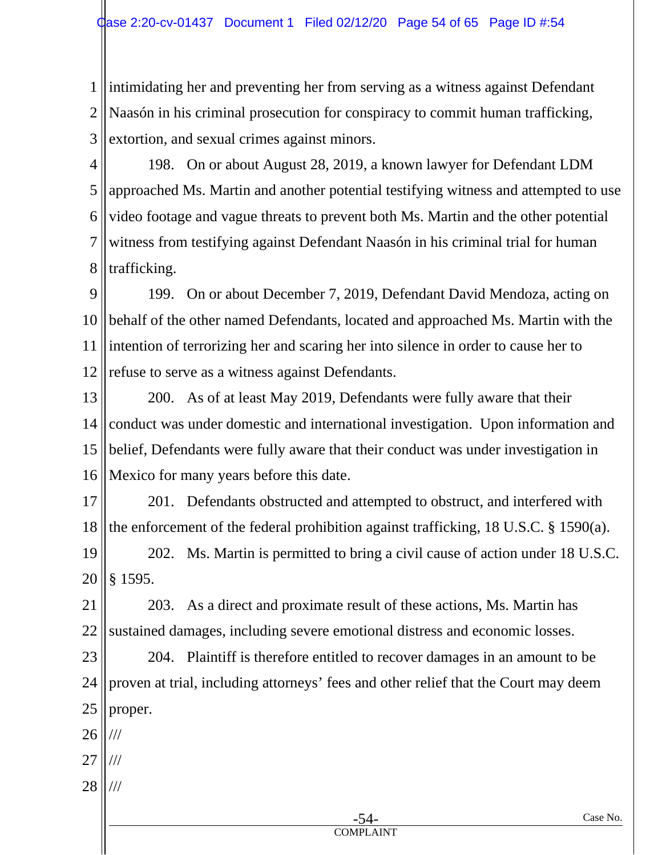1 2 3 intimidating her and preventing her from serving as a witness against Defendant Naasón in his criminal prosecution for conspiracy to commit human trafficking, extortion, and sexual crimes against minors.

4 5 6 7 8 198. On or about August 28, 2019, a known lawyer for Defendant LDM approached Ms. Martin and another potential testifying witness and attempted to use video footage and vague threats to prevent both Ms. Martin and the other potential witness from testifying against Defendant Naasón in his criminal trial for human trafficking.

9 10 11 12 199. On or about December 7, 2019, Defendant David Mendoza, acting on behalf of the other named Defendants, located and approached Ms. Martin with the intention of terrorizing her and scaring her into silence in order to cause her to refuse to serve as a witness against Defendants.

13 14 15 16 200. As of at least May 2019, Defendants were fully aware that their conduct was under domestic and international investigation. Upon information and belief, Defendants were fully aware that their conduct was under investigation in Mexico for many years before this date.

17 18 201. Defendants obstructed and attempted to obstruct, and interfered with the enforcement of the federal prohibition against trafficking, 18 U.S.C. § 1590(a).

19 20 202. Ms. Martin is permitted to bring a civil cause of action under 18 U.S.C. § 1595.

21 22 203. As a direct and proximate result of these actions, Ms. Martin has sustained damages, including severe emotional distress and economic losses.

23 24 25 204. Plaintiff is therefore entitled to recover damages in an amount to be proven at trial, including attorneys' fees and other relief that the Court may deem proper.

26 ///

- 27 ///
- 28 ///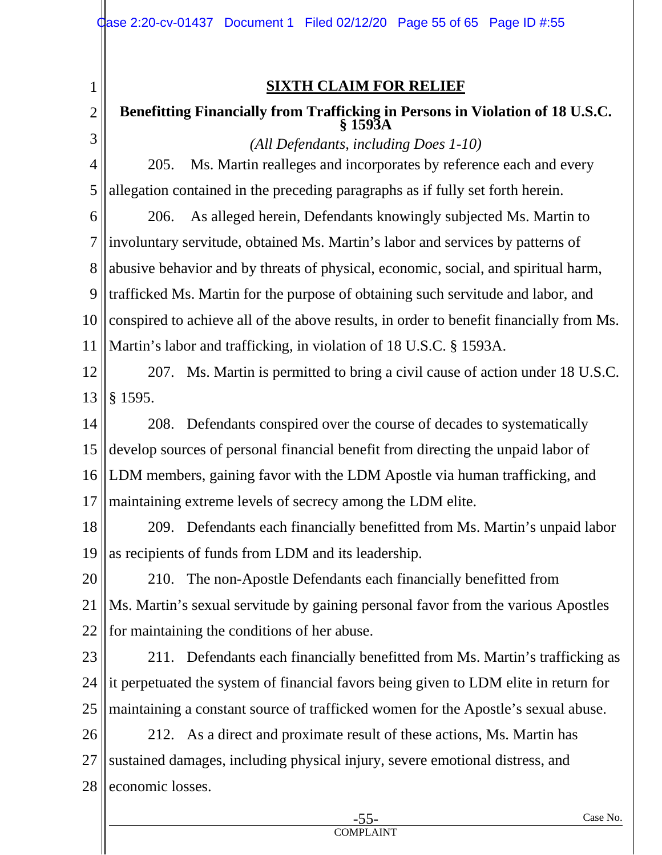1

2

**SIXTH CLAIM FOR RELIEF** 

## **Benefitting Financially from Trafficking in Persons in Violation of 18 U.S.C. § 1593A**

3 4 5 6 7 8 *(All Defendants, including Does 1-10)*  205. Ms. Martin realleges and incorporates by reference each and every allegation contained in the preceding paragraphs as if fully set forth herein. 206. As alleged herein, Defendants knowingly subjected Ms. Martin to involuntary servitude, obtained Ms. Martin's labor and services by patterns of abusive behavior and by threats of physical, economic, social, and spiritual harm,

9 10 trafficked Ms. Martin for the purpose of obtaining such servitude and labor, and conspired to achieve all of the above results, in order to benefit financially from Ms.

11 Martin's labor and trafficking, in violation of 18 U.S.C. § 1593A.

#### 12 13 207. Ms. Martin is permitted to bring a civil cause of action under 18 U.S.C. § 1595.

14 15 16 17 208. Defendants conspired over the course of decades to systematically develop sources of personal financial benefit from directing the unpaid labor of LDM members, gaining favor with the LDM Apostle via human trafficking, and maintaining extreme levels of secrecy among the LDM elite.

18 19 209. Defendants each financially benefitted from Ms. Martin's unpaid labor as recipients of funds from LDM and its leadership.

20 21 22 210. The non-Apostle Defendants each financially benefitted from Ms. Martin's sexual servitude by gaining personal favor from the various Apostles for maintaining the conditions of her abuse.

23 24 25 211. Defendants each financially benefitted from Ms. Martin's trafficking as it perpetuated the system of financial favors being given to LDM elite in return for maintaining a constant source of trafficked women for the Apostle's sexual abuse.

26 27 28 212. As a direct and proximate result of these actions, Ms. Martin has sustained damages, including physical injury, severe emotional distress, and economic losses.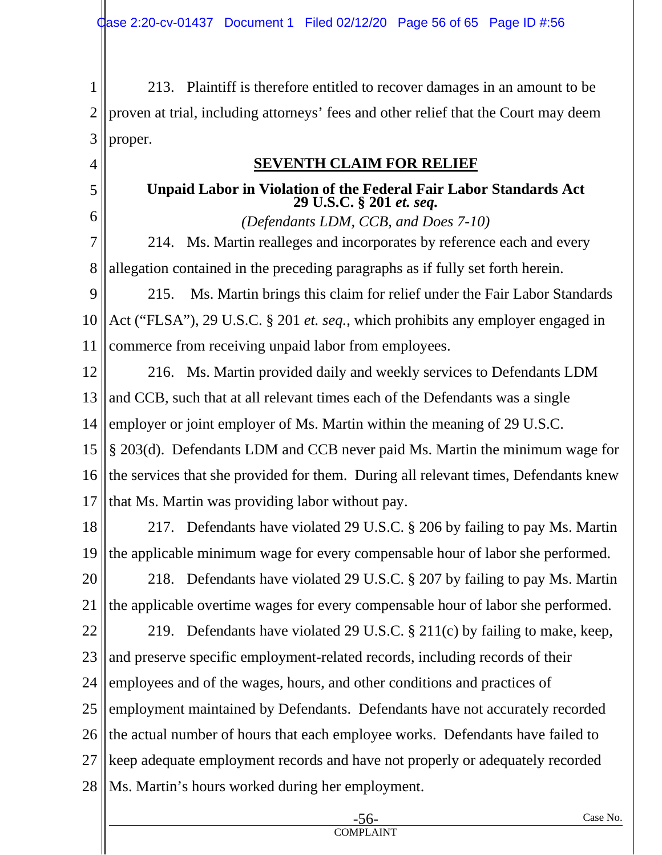1 2 3 213. Plaintiff is therefore entitled to recover damages in an amount to be proven at trial, including attorneys' fees and other relief that the Court may deem proper.

4

5

6

## **SEVENTH CLAIM FOR RELIEF**

## **Unpaid Labor in Violation of the Federal Fair Labor Standards Act 29 U.S.C. § 201** *et. seq.*

*(Defendants LDM, CCB, and Does 7-10)* 

7 8 214. Ms. Martin realleges and incorporates by reference each and every allegation contained in the preceding paragraphs as if fully set forth herein.

9 10 11 215. Ms. Martin brings this claim for relief under the Fair Labor Standards Act ("FLSA"), 29 U.S.C. § 201 *et. seq.*, which prohibits any employer engaged in commerce from receiving unpaid labor from employees.

12 13 14 15 216. Ms. Martin provided daily and weekly services to Defendants LDM and CCB, such that at all relevant times each of the Defendants was a single employer or joint employer of Ms. Martin within the meaning of 29 U.S.C. § 203(d). Defendants LDM and CCB never paid Ms. Martin the minimum wage for

16 17 the services that she provided for them. During all relevant times, Defendants knew that Ms. Martin was providing labor without pay.

- 18 19 217. Defendants have violated 29 U.S.C. § 206 by failing to pay Ms. Martin the applicable minimum wage for every compensable hour of labor she performed.
- 20 21 218. Defendants have violated 29 U.S.C. § 207 by failing to pay Ms. Martin the applicable overtime wages for every compensable hour of labor she performed.

22 23 24 25 26 27 28 219. Defendants have violated 29 U.S.C. § 211(c) by failing to make, keep, and preserve specific employment-related records, including records of their employees and of the wages, hours, and other conditions and practices of employment maintained by Defendants. Defendants have not accurately recorded the actual number of hours that each employee works. Defendants have failed to keep adequate employment records and have not properly or adequately recorded Ms. Martin's hours worked during her employment.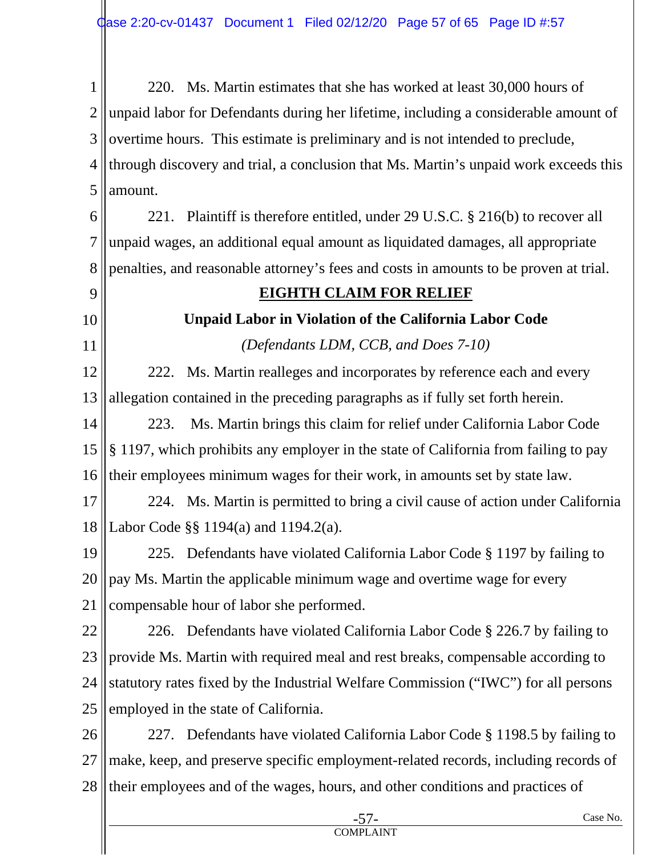1 2 3 4 5 220. Ms. Martin estimates that she has worked at least 30,000 hours of unpaid labor for Defendants during her lifetime, including a considerable amount of overtime hours. This estimate is preliminary and is not intended to preclude, through discovery and trial, a conclusion that Ms. Martin's unpaid work exceeds this amount.

6 7 8 221. Plaintiff is therefore entitled, under 29 U.S.C. § 216(b) to recover all unpaid wages, an additional equal amount as liquidated damages, all appropriate penalties, and reasonable attorney's fees and costs in amounts to be proven at trial.

9 10

11

## **EIGHTH CLAIM FOR RELIEF**

# **Unpaid Labor in Violation of the California Labor Code**

*(Defendants LDM, CCB, and Does 7-10)* 

12 13 222. Ms. Martin realleges and incorporates by reference each and every allegation contained in the preceding paragraphs as if fully set forth herein.

14 15 16 223. Ms. Martin brings this claim for relief under California Labor Code § 1197, which prohibits any employer in the state of California from failing to pay their employees minimum wages for their work, in amounts set by state law.

17 18 224. Ms. Martin is permitted to bring a civil cause of action under California Labor Code §§ 1194(a) and 1194.2(a).

19 20 21 225. Defendants have violated California Labor Code § 1197 by failing to pay Ms. Martin the applicable minimum wage and overtime wage for every compensable hour of labor she performed.

22 23 24 25 226. Defendants have violated California Labor Code § 226.7 by failing to provide Ms. Martin with required meal and rest breaks, compensable according to statutory rates fixed by the Industrial Welfare Commission ("IWC") for all persons employed in the state of California.

26 27 28 227. Defendants have violated California Labor Code § 1198.5 by failing to make, keep, and preserve specific employment-related records, including records of their employees and of the wages, hours, and other conditions and practices of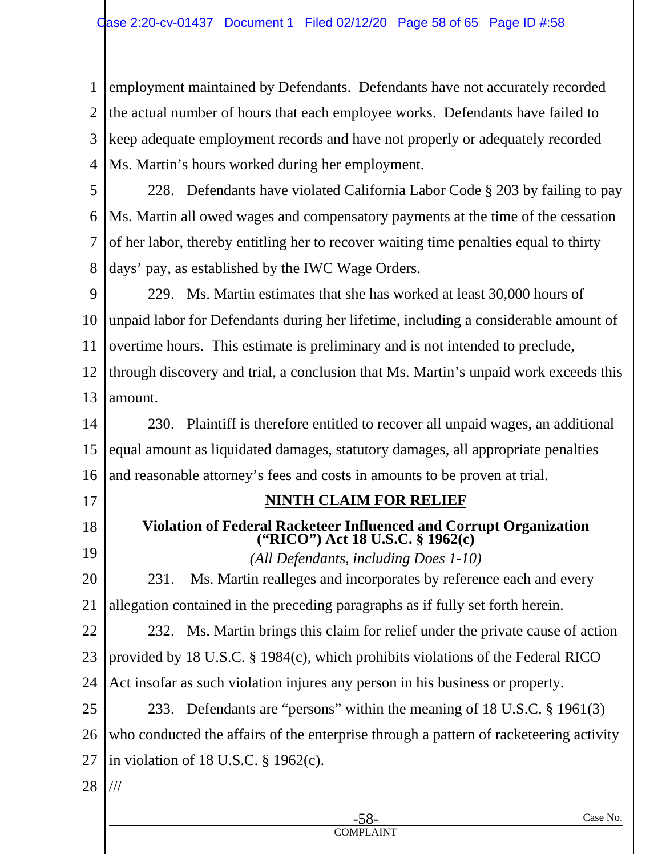1 2 3 4 employment maintained by Defendants. Defendants have not accurately recorded the actual number of hours that each employee works. Defendants have failed to keep adequate employment records and have not properly or adequately recorded Ms. Martin's hours worked during her employment.

5 6 7 8 228. Defendants have violated California Labor Code § 203 by failing to pay Ms. Martin all owed wages and compensatory payments at the time of the cessation of her labor, thereby entitling her to recover waiting time penalties equal to thirty days' pay, as established by the IWC Wage Orders.

9 10 11 12 13 229. Ms. Martin estimates that she has worked at least 30,000 hours of unpaid labor for Defendants during her lifetime, including a considerable amount of overtime hours. This estimate is preliminary and is not intended to preclude, through discovery and trial, a conclusion that Ms. Martin's unpaid work exceeds this amount.

14 15 16 230. Plaintiff is therefore entitled to recover all unpaid wages, an additional equal amount as liquidated damages, statutory damages, all appropriate penalties and reasonable attorney's fees and costs in amounts to be proven at trial.

17

18

19

# **NINTH CLAIM FOR RELIEF**

# **Violation of Federal Racketeer Influenced and Corrupt Organization ("RICO") Act 18 U.S.C. § 1962(c)**

*(All Defendants, including Does 1-10)* 

20 21 231. Ms. Martin realleges and incorporates by reference each and every allegation contained in the preceding paragraphs as if fully set forth herein.

22 23 24 232. Ms. Martin brings this claim for relief under the private cause of action provided by 18 U.S.C. § 1984(c), which prohibits violations of the Federal RICO Act insofar as such violation injures any person in his business or property.

25 26 27 233. Defendants are "persons" within the meaning of 18 U.S.C. § 1961(3) who conducted the affairs of the enterprise through a pattern of racketeering activity in violation of 18 U.S.C. § 1962(c).

28 ///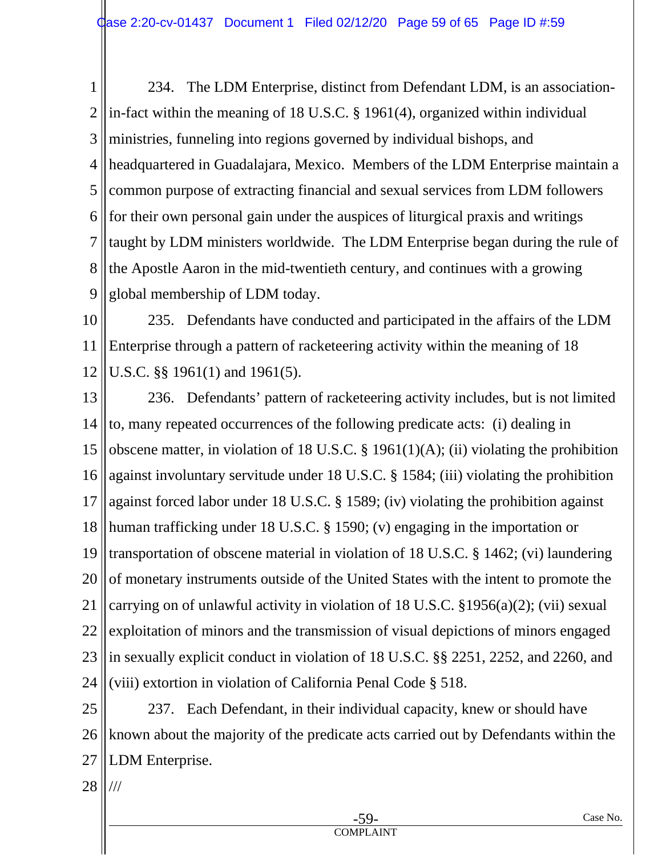1 2 3 4 5 6 7 8 9 234. The LDM Enterprise, distinct from Defendant LDM, is an associationin-fact within the meaning of 18 U.S.C. § 1961(4), organized within individual ministries, funneling into regions governed by individual bishops, and headquartered in Guadalajara, Mexico. Members of the LDM Enterprise maintain a common purpose of extracting financial and sexual services from LDM followers for their own personal gain under the auspices of liturgical praxis and writings taught by LDM ministers worldwide. The LDM Enterprise began during the rule of the Apostle Aaron in the mid-twentieth century, and continues with a growing global membership of LDM today.

10 11 12 235. Defendants have conducted and participated in the affairs of the LDM Enterprise through a pattern of racketeering activity within the meaning of 18 U.S.C. §§ 1961(1) and 1961(5).

13 14 15 16 17 18 19 20 21 22 23 24 236. Defendants' pattern of racketeering activity includes, but is not limited to, many repeated occurrences of the following predicate acts: (i) dealing in obscene matter, in violation of 18 U.S.C. § 1961(1)(A); (ii) violating the prohibition against involuntary servitude under 18 U.S.C. § 1584; (iii) violating the prohibition against forced labor under 18 U.S.C. § 1589; (iv) violating the prohibition against human trafficking under 18 U.S.C. § 1590; (v) engaging in the importation or transportation of obscene material in violation of 18 U.S.C. § 1462; (vi) laundering of monetary instruments outside of the United States with the intent to promote the carrying on of unlawful activity in violation of 18 U.S.C. §1956(a)(2); (vii) sexual exploitation of minors and the transmission of visual depictions of minors engaged in sexually explicit conduct in violation of 18 U.S.C. §§ 2251, 2252, and 2260, and (viii) extortion in violation of California Penal Code § 518.

25 26 27 237. Each Defendant, in their individual capacity, knew or should have known about the majority of the predicate acts carried out by Defendants within the LDM Enterprise.

28 ///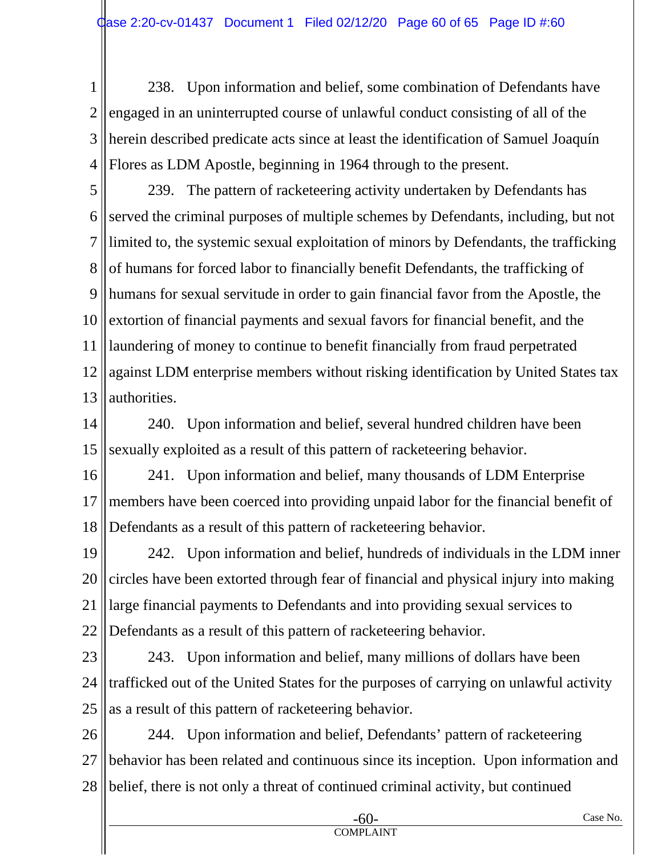1 2 3 4 238. Upon information and belief, some combination of Defendants have engaged in an uninterrupted course of unlawful conduct consisting of all of the herein described predicate acts since at least the identification of Samuel Joaquín Flores as LDM Apostle, beginning in 1964 through to the present.

5 6 7 8 9 10 11 12 13 239. The pattern of racketeering activity undertaken by Defendants has served the criminal purposes of multiple schemes by Defendants, including, but not limited to, the systemic sexual exploitation of minors by Defendants, the trafficking of humans for forced labor to financially benefit Defendants, the trafficking of humans for sexual servitude in order to gain financial favor from the Apostle, the extortion of financial payments and sexual favors for financial benefit, and the laundering of money to continue to benefit financially from fraud perpetrated against LDM enterprise members without risking identification by United States tax authorities.

14 15 240. Upon information and belief, several hundred children have been sexually exploited as a result of this pattern of racketeering behavior.

16 17 18 241. Upon information and belief, many thousands of LDM Enterprise members have been coerced into providing unpaid labor for the financial benefit of Defendants as a result of this pattern of racketeering behavior.

19 20 21 22 242. Upon information and belief, hundreds of individuals in the LDM inner circles have been extorted through fear of financial and physical injury into making large financial payments to Defendants and into providing sexual services to Defendants as a result of this pattern of racketeering behavior.

23 24 25 243. Upon information and belief, many millions of dollars have been trafficked out of the United States for the purposes of carrying on unlawful activity as a result of this pattern of racketeering behavior.

26 27 28 244. Upon information and belief, Defendants' pattern of racketeering behavior has been related and continuous since its inception. Upon information and belief, there is not only a threat of continued criminal activity, but continued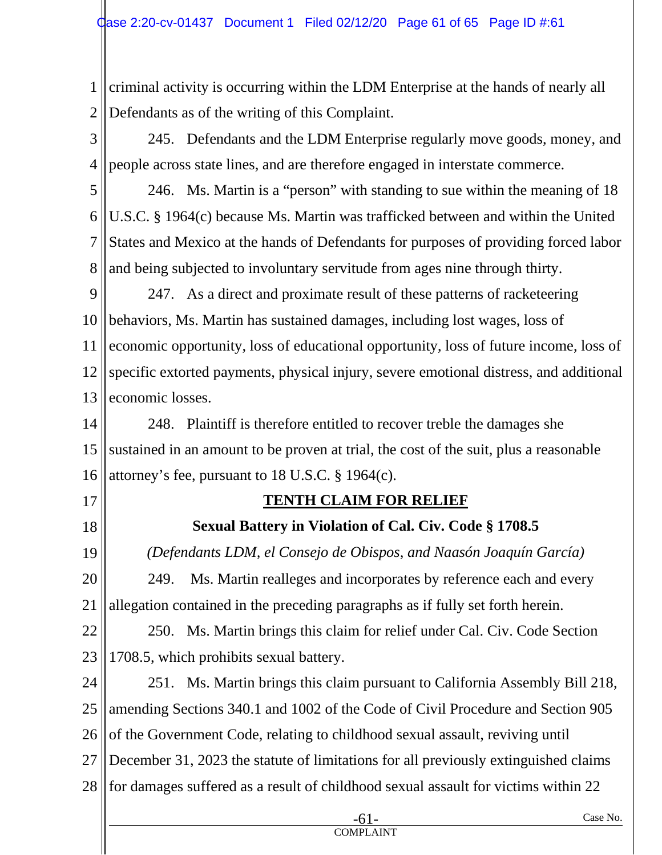1 2 criminal activity is occurring within the LDM Enterprise at the hands of nearly all Defendants as of the writing of this Complaint.

3 4 245. Defendants and the LDM Enterprise regularly move goods, money, and people across state lines, and are therefore engaged in interstate commerce.

5 6 7 8 246. Ms. Martin is a "person" with standing to sue within the meaning of 18 U.S.C. § 1964(c) because Ms. Martin was trafficked between and within the United States and Mexico at the hands of Defendants for purposes of providing forced labor and being subjected to involuntary servitude from ages nine through thirty.

9 10 11 12 13 247. As a direct and proximate result of these patterns of racketeering behaviors, Ms. Martin has sustained damages, including lost wages, loss of economic opportunity, loss of educational opportunity, loss of future income, loss of specific extorted payments, physical injury, severe emotional distress, and additional economic losses.

14 15 16 248. Plaintiff is therefore entitled to recover treble the damages she sustained in an amount to be proven at trial, the cost of the suit, plus a reasonable attorney's fee, pursuant to 18 U.S.C. § 1964(c).

- 17
- 18

# **TENTH CLAIM FOR RELIEF**

# **Sexual Battery in Violation of Cal. Civ. Code § 1708.5**

19 20 21 *(Defendants LDM, el Consejo de Obispos, and Naasón Joaquín García)*  249. Ms. Martin realleges and incorporates by reference each and every allegation contained in the preceding paragraphs as if fully set forth herein.

22 23 250. Ms. Martin brings this claim for relief under Cal. Civ. Code Section 1708.5, which prohibits sexual battery.

24 25 26 27 28 251. Ms. Martin brings this claim pursuant to California Assembly Bill 218, amending Sections 340.1 and 1002 of the Code of Civil Procedure and Section 905 of the Government Code, relating to childhood sexual assault, reviving until December 31, 2023 the statute of limitations for all previously extinguished claims for damages suffered as a result of childhood sexual assault for victims within 22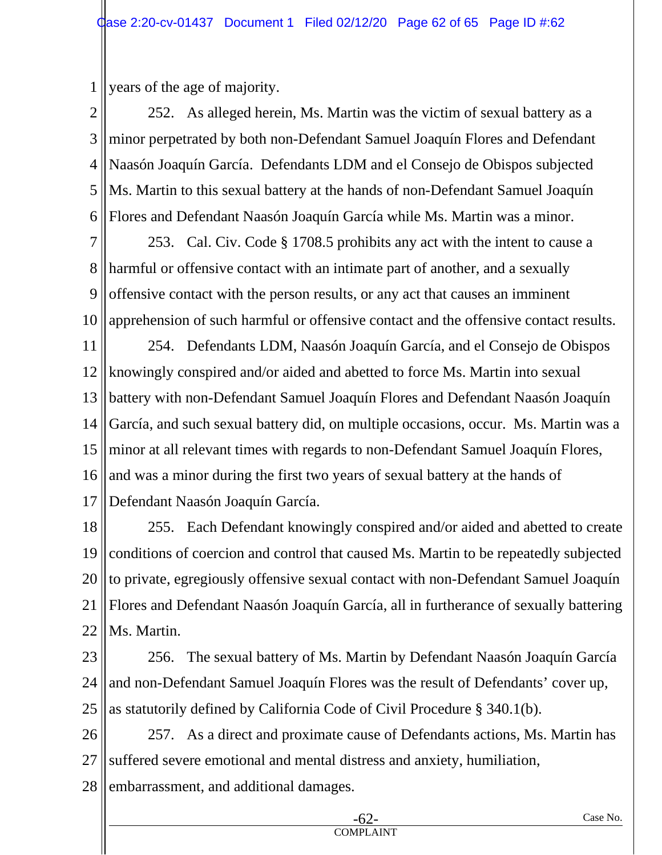1 years of the age of majority.

2 3 4 5 6 252. As alleged herein, Ms. Martin was the victim of sexual battery as a minor perpetrated by both non-Defendant Samuel Joaquín Flores and Defendant Naasón Joaquín García. Defendants LDM and el Consejo de Obispos subjected Ms. Martin to this sexual battery at the hands of non-Defendant Samuel Joaquín Flores and Defendant Naasón Joaquín García while Ms. Martin was a minor.

7 8 9 10 253. Cal. Civ. Code § 1708.5 prohibits any act with the intent to cause a harmful or offensive contact with an intimate part of another, and a sexually offensive contact with the person results, or any act that causes an imminent apprehension of such harmful or offensive contact and the offensive contact results.

11 12 13 14 15 16 17 254. Defendants LDM, Naasón Joaquín García, and el Consejo de Obispos knowingly conspired and/or aided and abetted to force Ms. Martin into sexual battery with non-Defendant Samuel Joaquín Flores and Defendant Naasón Joaquín García, and such sexual battery did, on multiple occasions, occur. Ms. Martin was a minor at all relevant times with regards to non-Defendant Samuel Joaquín Flores, and was a minor during the first two years of sexual battery at the hands of Defendant Naasón Joaquín García.

18 19 20 21 22 255. Each Defendant knowingly conspired and/or aided and abetted to create conditions of coercion and control that caused Ms. Martin to be repeatedly subjected to private, egregiously offensive sexual contact with non-Defendant Samuel Joaquín Flores and Defendant Naasón Joaquín García, all in furtherance of sexually battering Ms. Martin.

23 24 25 256. The sexual battery of Ms. Martin by Defendant Naasón Joaquín García and non-Defendant Samuel Joaquín Flores was the result of Defendants' cover up, as statutorily defined by California Code of Civil Procedure § 340.1(b).

26 27 257. As a direct and proximate cause of Defendants actions, Ms. Martin has suffered severe emotional and mental distress and anxiety, humiliation,

28 embarrassment, and additional damages.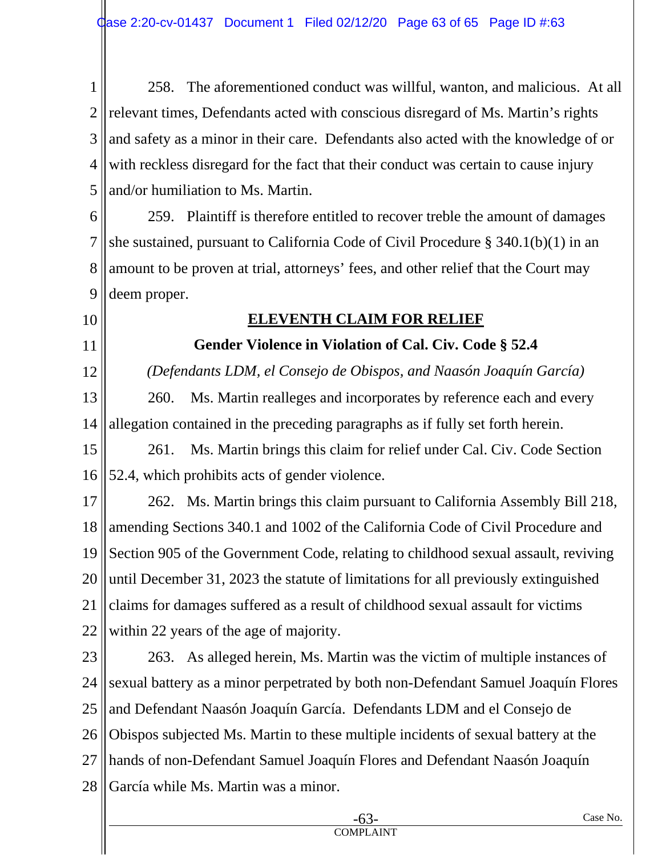1 2 3 4 5 258. The aforementioned conduct was willful, wanton, and malicious. At all relevant times, Defendants acted with conscious disregard of Ms. Martin's rights and safety as a minor in their care. Defendants also acted with the knowledge of or with reckless disregard for the fact that their conduct was certain to cause injury and/or humiliation to Ms. Martin.

6 7 8 9 259. Plaintiff is therefore entitled to recover treble the amount of damages she sustained, pursuant to California Code of Civil Procedure § 340.1(b)(1) in an amount to be proven at trial, attorneys' fees, and other relief that the Court may deem proper.

10

11

12

#### **ELEVENTH CLAIM FOR RELIEF**

**Gender Violence in Violation of Cal. Civ. Code § 52.4** 

*(Defendants LDM, el Consejo de Obispos, and Naasón Joaquín García)* 

13 14 260. Ms. Martin realleges and incorporates by reference each and every allegation contained in the preceding paragraphs as if fully set forth herein.

15 16 261. Ms. Martin brings this claim for relief under Cal. Civ. Code Section 52.4, which prohibits acts of gender violence.

17 18 19 20 21 22 262. Ms. Martin brings this claim pursuant to California Assembly Bill 218, amending Sections 340.1 and 1002 of the California Code of Civil Procedure and Section 905 of the Government Code, relating to childhood sexual assault, reviving until December 31, 2023 the statute of limitations for all previously extinguished claims for damages suffered as a result of childhood sexual assault for victims within 22 years of the age of majority.

23 24 25 26 27 28 263. As alleged herein, Ms. Martin was the victim of multiple instances of sexual battery as a minor perpetrated by both non-Defendant Samuel Joaquín Flores and Defendant Naasón Joaquín García. Defendants LDM and el Consejo de Obispos subjected Ms. Martin to these multiple incidents of sexual battery at the hands of non-Defendant Samuel Joaquín Flores and Defendant Naasón Joaquín García while Ms. Martin was a minor.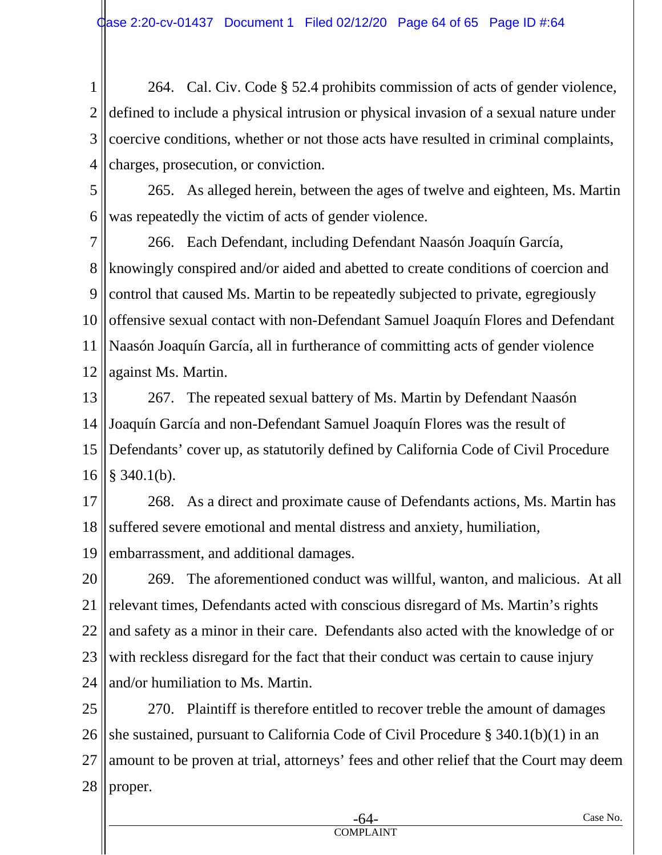1 2 3 4 264. Cal. Civ. Code § 52.4 prohibits commission of acts of gender violence, defined to include a physical intrusion or physical invasion of a sexual nature under coercive conditions, whether or not those acts have resulted in criminal complaints, charges, prosecution, or conviction.

5 6 265. As alleged herein, between the ages of twelve and eighteen, Ms. Martin was repeatedly the victim of acts of gender violence.

7 8 9 10 11 12 266. Each Defendant, including Defendant Naasón Joaquín García, knowingly conspired and/or aided and abetted to create conditions of coercion and control that caused Ms. Martin to be repeatedly subjected to private, egregiously offensive sexual contact with non-Defendant Samuel Joaquín Flores and Defendant Naasón Joaquín García, all in furtherance of committing acts of gender violence against Ms. Martin.

13 14 15 16 267. The repeated sexual battery of Ms. Martin by Defendant Naasón Joaquín García and non-Defendant Samuel Joaquín Flores was the result of Defendants' cover up, as statutorily defined by California Code of Civil Procedure § 340.1(b).

17 18 19 268. As a direct and proximate cause of Defendants actions, Ms. Martin has suffered severe emotional and mental distress and anxiety, humiliation, embarrassment, and additional damages.

20 21 22 23 24 269. The aforementioned conduct was willful, wanton, and malicious. At all relevant times, Defendants acted with conscious disregard of Ms. Martin's rights and safety as a minor in their care. Defendants also acted with the knowledge of or with reckless disregard for the fact that their conduct was certain to cause injury and/or humiliation to Ms. Martin.

25 26 27 28 270. Plaintiff is therefore entitled to recover treble the amount of damages she sustained, pursuant to California Code of Civil Procedure § 340.1(b)(1) in an amount to be proven at trial, attorneys' fees and other relief that the Court may deem proper.